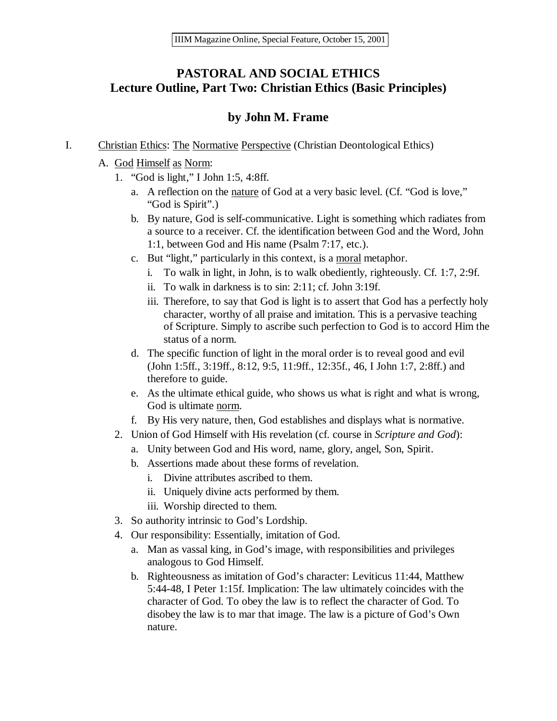# **PASTORAL AND SOCIAL ETHICS Lecture Outline, Part Two: Christian Ethics (Basic Principles)**

## **by John M. Frame**

- I. Christian Ethics: The Normative Perspective (Christian Deontological Ethics)
	- A. God Himself as Norm:
		- 1. "God is light," I John 1:5, 4:8ff.
			- a. A reflection on the nature of God at a very basic level. (Cf. "God is love," "God is Spirit".)
			- b. By nature, God is self-communicative. Light is something which radiates from a source to a receiver. Cf. the identification between God and the Word, John 1:1, between God and His name (Psalm 7:17, etc.).
			- c. But "light," particularly in this context, is a moral metaphor.
				- i. To walk in light, in John, is to walk obediently, righteously. Cf. 1:7, 2:9f.
				- ii. To walk in darkness is to sin: 2:11; cf. John 3:19f.
				- iii. Therefore, to say that God is light is to assert that God has a perfectly holy character, worthy of all praise and imitation. This is a pervasive teaching of Scripture. Simply to ascribe such perfection to God is to accord Him the status of a norm.
			- d. The specific function of light in the moral order is to reveal good and evil (John 1:5ff., 3:19ff., 8:12, 9:5, 11:9ff., 12:35f., 46, I John 1:7, 2:8ff.) and therefore to guide.
			- e. As the ultimate ethical guide, who shows us what is right and what is wrong, God is ultimate norm.
			- f. By His very nature, then, God establishes and displays what is normative.
		- 2. Union of God Himself with His revelation (cf. course in *Scripture and God*):
			- a. Unity between God and His word, name, glory, angel, Son, Spirit.
			- b. Assertions made about these forms of revelation.
				- i. Divine attributes ascribed to them.
				- ii. Uniquely divine acts performed by them.
				- iii. Worship directed to them.
		- 3. So authority intrinsic to God's Lordship.
		- 4. Our responsibility: Essentially, imitation of God.
			- a. Man as vassal king, in God's image, with responsibilities and privileges analogous to God Himself.
			- b. Righteousness as imitation of God's character: Leviticus 11:44, Matthew 5:44-48, I Peter 1:15f. Implication: The law ultimately coincides with the character of God. To obey the law is to reflect the character of God. To disobey the law is to mar that image. The law is a picture of God's Own nature.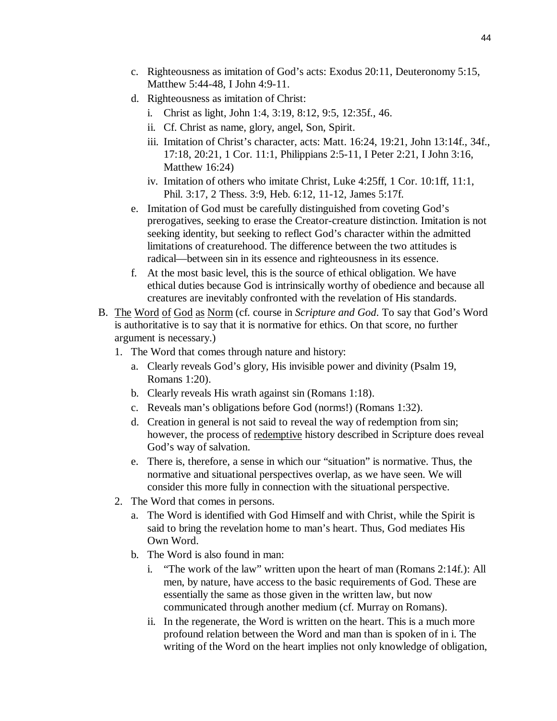- c. Righteousness as imitation of God's acts: Exodus 20:11, Deuteronomy 5:15, Matthew 5:44-48, I John 4:9-11.
- d. Righteousness as imitation of Christ:
	- i. Christ as light, John 1:4, 3:19, 8:12, 9:5, 12:35f., 46.
	- ii. Cf. Christ as name, glory, angel, Son, Spirit.
	- iii. Imitation of Christ's character, acts: Matt. 16:24, 19:21, John 13:14f., 34f., 17:18, 20:21, 1 Cor. 11:1, Philippians 2:5-11, I Peter 2:21, I John 3:16, Matthew 16:24)
	- iv. Imitation of others who imitate Christ, Luke 4:25ff, 1 Cor. 10:1ff, 11:1, Phil. 3:17, 2 Thess. 3:9, Heb. 6:12, 11-12, James 5:17f.
- e. Imitation of God must be carefully distinguished from coveting God's prerogatives, seeking to erase the Creator-creature distinction. Imitation is not seeking identity, but seeking to reflect God's character within the admitted limitations of creaturehood. The difference between the two attitudes is radical—between sin in its essence and righteousness in its essence.
- f. At the most basic level, this is the source of ethical obligation. We have ethical duties because God is intrinsically worthy of obedience and because all creatures are inevitably confronted with the revelation of His standards.
- B. The Word of God as Norm (cf. course in *Scripture and God*. To say that God's Word is authoritative is to say that it is normative for ethics. On that score, no further argument is necessary.)
	- 1. The Word that comes through nature and history:
		- a. Clearly reveals God's glory, His invisible power and divinity (Psalm 19, Romans 1:20).
		- b. Clearly reveals His wrath against sin (Romans 1:18).
		- c. Reveals man's obligations before God (norms!) (Romans 1:32).
		- d. Creation in general is not said to reveal the way of redemption from sin; however, the process of redemptive history described in Scripture does reveal God's way of salvation.
		- e. There is, therefore, a sense in which our "situation" is normative. Thus, the normative and situational perspectives overlap, as we have seen. We will consider this more fully in connection with the situational perspective.
	- 2. The Word that comes in persons.
		- a. The Word is identified with God Himself and with Christ, while the Spirit is said to bring the revelation home to man's heart. Thus, God mediates His Own Word.
		- b. The Word is also found in man:
			- i. "The work of the law" written upon the heart of man (Romans 2:14f.): All men, by nature, have access to the basic requirements of God. These are essentially the same as those given in the written law, but now communicated through another medium (cf. Murray on Romans).
			- ii. In the regenerate, the Word is written on the heart. This is a much more profound relation between the Word and man than is spoken of in i. The writing of the Word on the heart implies not only knowledge of obligation,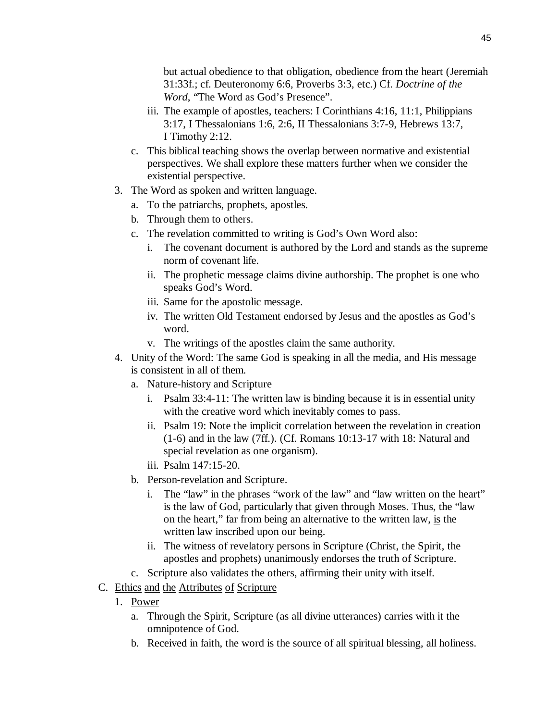but actual obedience to that obligation, obedience from the heart (Jeremiah 31:33f.; cf. Deuteronomy 6:6, Proverbs 3:3, etc.) Cf. *Doctrine of the Word*, "The Word as God's Presence".

- iii. The example of apostles, teachers: I Corinthians 4:16, 11:1, Philippians 3:17, I Thessalonians 1:6, 2:6, II Thessalonians 3:7-9, Hebrews 13:7, I Timothy 2:12.
- c. This biblical teaching shows the overlap between normative and existential perspectives. We shall explore these matters further when we consider the existential perspective.
- 3. The Word as spoken and written language.
	- a. To the patriarchs, prophets, apostles.
	- b. Through them to others.
	- c. The revelation committed to writing is God's Own Word also:
		- i. The covenant document is authored by the Lord and stands as the supreme norm of covenant life.
		- ii. The prophetic message claims divine authorship. The prophet is one who speaks God's Word.
		- iii. Same for the apostolic message.
		- iv. The written Old Testament endorsed by Jesus and the apostles as God's word.
		- v. The writings of the apostles claim the same authority.
- 4. Unity of the Word: The same God is speaking in all the media, and His message is consistent in all of them.
	- a. Nature-history and Scripture
		- i. Psalm 33:4-11: The written law is binding because it is in essential unity with the creative word which inevitably comes to pass.
		- ii. Psalm 19: Note the implicit correlation between the revelation in creation (1-6) and in the law (7ff.). (Cf. Romans 10:13-17 with 18: Natural and special revelation as one organism).
		- iii. Psalm 147:15-20.
	- b. Person-revelation and Scripture.
		- i. The "law" in the phrases "work of the law" and "law written on the heart" is the law of God, particularly that given through Moses. Thus, the "law on the heart," far from being an alternative to the written law, is the written law inscribed upon our being.
		- ii. The witness of revelatory persons in Scripture (Christ, the Spirit, the apostles and prophets) unanimously endorses the truth of Scripture.
	- c. Scripture also validates the others, affirming their unity with itself.
- C. Ethics and the Attributes of Scripture
	- 1. Power
		- a. Through the Spirit, Scripture (as all divine utterances) carries with it the omnipotence of God.
		- b. Received in faith, the word is the source of all spiritual blessing, all holiness.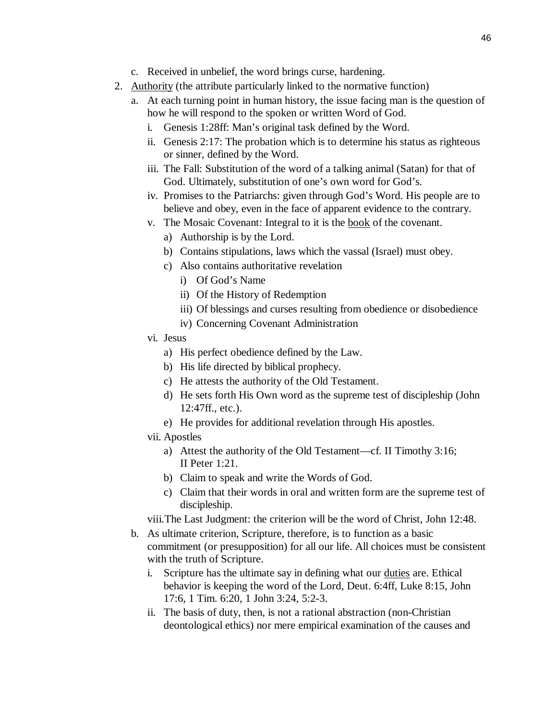- c. Received in unbelief, the word brings curse, hardening.
- 2. Authority (the attribute particularly linked to the normative function)
	- a. At each turning point in human history, the issue facing man is the question of how he will respond to the spoken or written Word of God.
		- i. Genesis 1:28ff: Man's original task defined by the Word.
		- ii. Genesis 2:17: The probation which is to determine his status as righteous or sinner, defined by the Word.
		- iii. The Fall: Substitution of the word of a talking animal (Satan) for that of God. Ultimately, substitution of one's own word for God's.
		- iv. Promises to the Patriarchs: given through God's Word. His people are to believe and obey, even in the face of apparent evidence to the contrary.
		- v. The Mosaic Covenant: Integral to it is the book of the covenant.
			- a) Authorship is by the Lord.
				- b) Contains stipulations, laws which the vassal (Israel) must obey.
			- c) Also contains authoritative revelation
				- i) Of God's Name
				- ii) Of the History of Redemption
				- iii) Of blessings and curses resulting from obedience or disobedience
				- iv) Concerning Covenant Administration
		- vi. Jesus
			- a) His perfect obedience defined by the Law.
			- b) His life directed by biblical prophecy.
			- c) He attests the authority of the Old Testament.
			- d) He sets forth His Own word as the supreme test of discipleship (John 12:47ff., etc.).
			- e) He provides for additional revelation through His apostles.
		- vii. Apostles
			- a) Attest the authority of the Old Testament—cf. II Timothy 3:16; II Peter 1:21.
			- b) Claim to speak and write the Words of God.
			- c) Claim that their words in oral and written form are the supreme test of discipleship.
		- viii.The Last Judgment: the criterion will be the word of Christ, John 12:48.
	- b. As ultimate criterion, Scripture, therefore, is to function as a basic commitment (or presupposition) for all our life. All choices must be consistent with the truth of Scripture.
		- i. Scripture has the ultimate say in defining what our duties are. Ethical behavior is keeping the word of the Lord, Deut. 6:4ff, Luke 8:15, John 17:6, 1 Tim. 6:20, 1 John 3:24, 5:2-3.
		- ii. The basis of duty, then, is not a rational abstraction (non-Christian deontological ethics) nor mere empirical examination of the causes and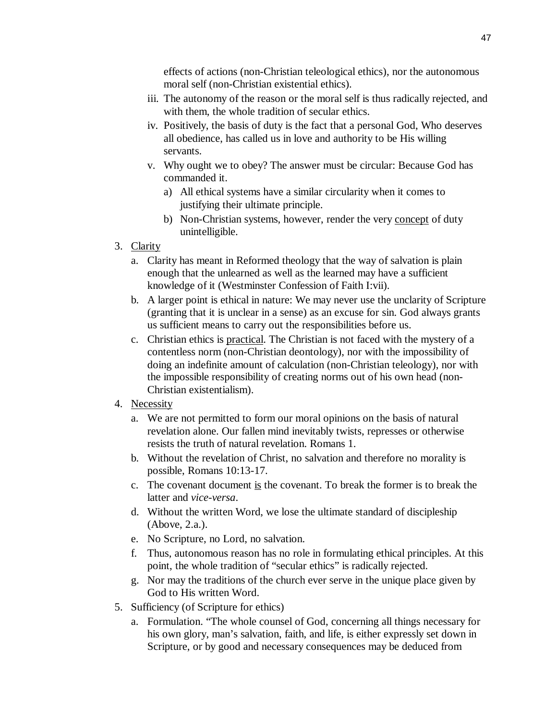effects of actions (non-Christian teleological ethics), nor the autonomous moral self (non-Christian existential ethics).

- iii. The autonomy of the reason or the moral self is thus radically rejected, and with them, the whole tradition of secular ethics.
- iv. Positively, the basis of duty is the fact that a personal God, Who deserves all obedience, has called us in love and authority to be His willing servants.
- v. Why ought we to obey? The answer must be circular: Because God has commanded it.
	- a) All ethical systems have a similar circularity when it comes to justifying their ultimate principle.
	- b) Non-Christian systems, however, render the very concept of duty unintelligible.
- 3. Clarity
	- a. Clarity has meant in Reformed theology that the way of salvation is plain enough that the unlearned as well as the learned may have a sufficient knowledge of it (Westminster Confession of Faith I:vii).
	- b. A larger point is ethical in nature: We may never use the unclarity of Scripture (granting that it is unclear in a sense) as an excuse for sin. God always grants us sufficient means to carry out the responsibilities before us.
	- c. Christian ethics is practical. The Christian is not faced with the mystery of a contentless norm (non-Christian deontology), nor with the impossibility of doing an indefinite amount of calculation (non-Christian teleology), nor with the impossible responsibility of creating norms out of his own head (non-Christian existentialism).
- 4. Necessity
	- a. We are not permitted to form our moral opinions on the basis of natural revelation alone. Our fallen mind inevitably twists, represses or otherwise resists the truth of natural revelation. Romans 1.
	- b. Without the revelation of Christ, no salvation and therefore no morality is possible, Romans 10:13-17.
	- c. The covenant document is the covenant. To break the former is to break the latter and *vice-versa*.
	- d. Without the written Word, we lose the ultimate standard of discipleship (Above, 2.a.).
	- e. No Scripture, no Lord, no salvation.
	- f. Thus, autonomous reason has no role in formulating ethical principles. At this point, the whole tradition of "secular ethics" is radically rejected.
	- g. Nor may the traditions of the church ever serve in the unique place given by God to His written Word.
- 5. Sufficiency (of Scripture for ethics)
	- a. Formulation. "The whole counsel of God, concerning all things necessary for his own glory, man's salvation, faith, and life, is either expressly set down in Scripture, or by good and necessary consequences may be deduced from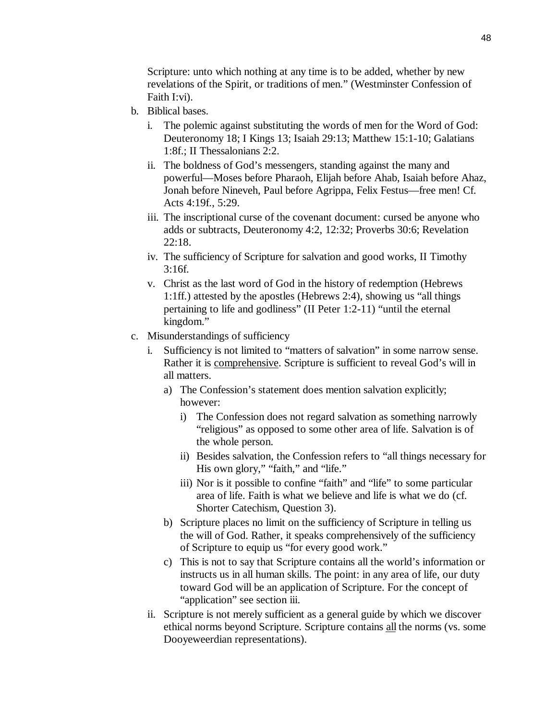Scripture: unto which nothing at any time is to be added, whether by new revelations of the Spirit, or traditions of men." (Westminster Confession of Faith I:vi).

- b. Biblical bases.
	- i. The polemic against substituting the words of men for the Word of God: Deuteronomy 18; I Kings 13; Isaiah 29:13; Matthew 15:1-10; Galatians 1:8f.; II Thessalonians 2:2.
	- ii. The boldness of God's messengers, standing against the many and powerful—Moses before Pharaoh, Elijah before Ahab, Isaiah before Ahaz, Jonah before Nineveh, Paul before Agrippa, Felix Festus—free men! Cf. Acts 4:19f., 5:29.
	- iii. The inscriptional curse of the covenant document: cursed be anyone who adds or subtracts, Deuteronomy 4:2, 12:32; Proverbs 30:6; Revelation 22:18.
	- iv. The sufficiency of Scripture for salvation and good works, II Timothy  $3:16f.$
	- v. Christ as the last word of God in the history of redemption (Hebrews 1:1ff.) attested by the apostles (Hebrews 2:4), showing us "all things pertaining to life and godliness" (II Peter 1:2-11) "until the eternal kingdom."
- c. Misunderstandings of sufficiency
	- i. Sufficiency is not limited to "matters of salvation" in some narrow sense. Rather it is comprehensive. Scripture is sufficient to reveal God's will in all matters.
		- a) The Confession's statement does mention salvation explicitly; however:
			- i) The Confession does not regard salvation as something narrowly "religious" as opposed to some other area of life. Salvation is of the whole person.
			- ii) Besides salvation, the Confession refers to "all things necessary for His own glory," "faith," and "life."
			- iii) Nor is it possible to confine "faith" and "life" to some particular area of life. Faith is what we believe and life is what we do (cf. Shorter Catechism, Question 3).
		- b) Scripture places no limit on the sufficiency of Scripture in telling us the will of God. Rather, it speaks comprehensively of the sufficiency of Scripture to equip us "for every good work."
		- c) This is not to say that Scripture contains all the world's information or instructs us in all human skills. The point: in any area of life, our duty toward God will be an application of Scripture. For the concept of "application" see section iii.
	- ii. Scripture is not merely sufficient as a general guide by which we discover ethical norms beyond Scripture. Scripture contains all the norms (vs. some Dooyeweerdian representations).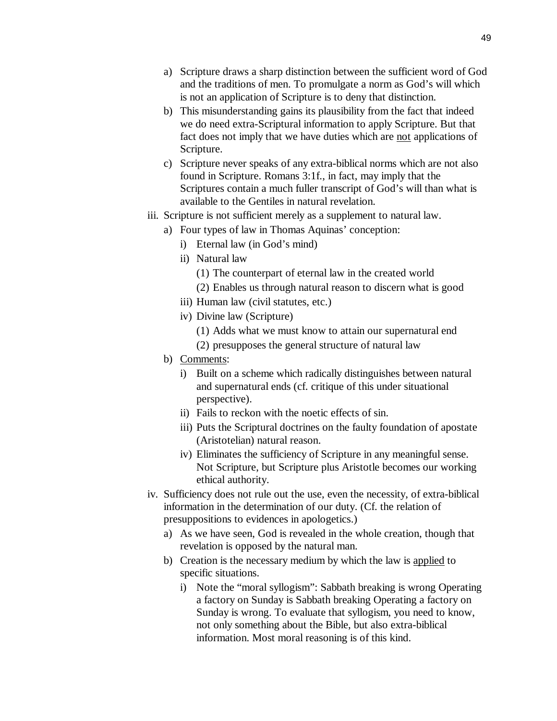- a) Scripture draws a sharp distinction between the sufficient word of God and the traditions of men. To promulgate a norm as God's will which is not an application of Scripture is to deny that distinction.
- b) This misunderstanding gains its plausibility from the fact that indeed we do need extra-Scriptural information to apply Scripture. But that fact does not imply that we have duties which are not applications of Scripture.
- c) Scripture never speaks of any extra-biblical norms which are not also found in Scripture. Romans 3:1f., in fact, may imply that the Scriptures contain a much fuller transcript of God's will than what is available to the Gentiles in natural revelation.
- iii. Scripture is not sufficient merely as a supplement to natural law.
	- a) Four types of law in Thomas Aquinas' conception:
		- i) Eternal law (in God's mind)
		- ii) Natural law
			- (1) The counterpart of eternal law in the created world
			- (2) Enables us through natural reason to discern what is good
		- iii) Human law (civil statutes, etc.)
		- iv) Divine law (Scripture)
			- (1) Adds what we must know to attain our supernatural end
			- (2) presupposes the general structure of natural law
	- b) Comments:
		- i) Built on a scheme which radically distinguishes between natural and supernatural ends (cf. critique of this under situational perspective).
		- ii) Fails to reckon with the noetic effects of sin.
		- iii) Puts the Scriptural doctrines on the faulty foundation of apostate (Aristotelian) natural reason.
		- iv) Eliminates the sufficiency of Scripture in any meaningful sense. Not Scripture, but Scripture plus Aristotle becomes our working ethical authority.
- iv. Sufficiency does not rule out the use, even the necessity, of extra-biblical information in the determination of our duty. (Cf. the relation of presuppositions to evidences in apologetics.)
	- a) As we have seen, God is revealed in the whole creation, though that revelation is opposed by the natural man.
	- b) Creation is the necessary medium by which the law is applied to specific situations.
		- i) Note the "moral syllogism": Sabbath breaking is wrong Operating a factory on Sunday is Sabbath breaking Operating a factory on Sunday is wrong. To evaluate that syllogism, you need to know, not only something about the Bible, but also extra-biblical information. Most moral reasoning is of this kind.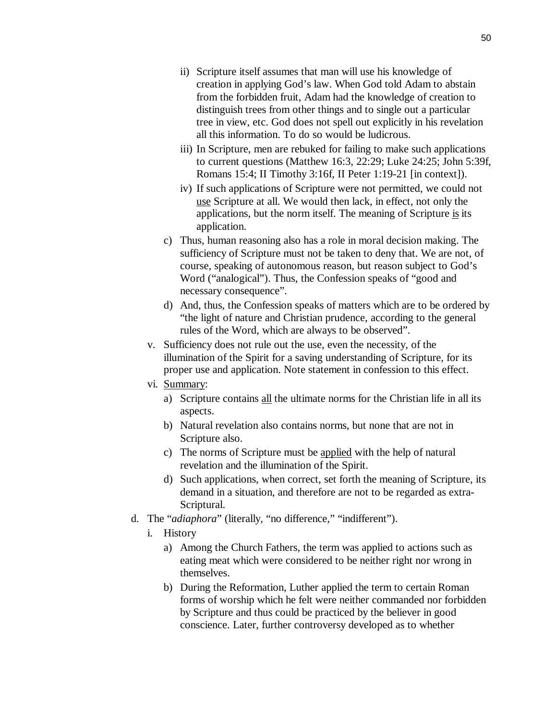- ii) Scripture itself assumes that man will use his knowledge of creation in applying God's law. When God told Adam to abstain from the forbidden fruit, Adam had the knowledge of creation to distinguish trees from other things and to single out a particular tree in view, etc. God does not spell out explicitly in his revelation all this information. To do so would be ludicrous.
- iii) In Scripture, men are rebuked for failing to make such applications to current questions (Matthew 16:3, 22:29; Luke 24:25; John 5:39f, Romans 15:4; II Timothy 3:16f, II Peter 1:19-21 [in context]).
- iv) If such applications of Scripture were not permitted, we could not use Scripture at all. We would then lack, in effect, not only the applications, but the norm itself. The meaning of Scripture is its application.
- c) Thus, human reasoning also has a role in moral decision making. The sufficiency of Scripture must not be taken to deny that. We are not, of course, speaking of autonomous reason, but reason subject to God's Word ("analogical"). Thus, the Confession speaks of "good and necessary consequence".
- d) And, thus, the Confession speaks of matters which are to be ordered by "the light of nature and Christian prudence, according to the general rules of the Word, which are always to be observed".
- v. Sufficiency does not rule out the use, even the necessity, of the illumination of the Spirit for a saving understanding of Scripture, for its proper use and application. Note statement in confession to this effect.
- vi. Summary:
	- a) Scripture contains all the ultimate norms for the Christian life in all its aspects.
	- b) Natural revelation also contains norms, but none that are not in Scripture also.
	- c) The norms of Scripture must be applied with the help of natural revelation and the illumination of the Spirit.
	- d) Such applications, when correct, set forth the meaning of Scripture, its demand in a situation, and therefore are not to be regarded as extra-Scriptural.
- d. The "*adiaphora*" (literally, "no difference," "indifferent").
	- i. History
		- a) Among the Church Fathers, the term was applied to actions such as eating meat which were considered to be neither right nor wrong in themselves.
		- b) During the Reformation, Luther applied the term to certain Roman forms of worship which he felt were neither commanded nor forbidden by Scripture and thus could be practiced by the believer in good conscience. Later, further controversy developed as to whether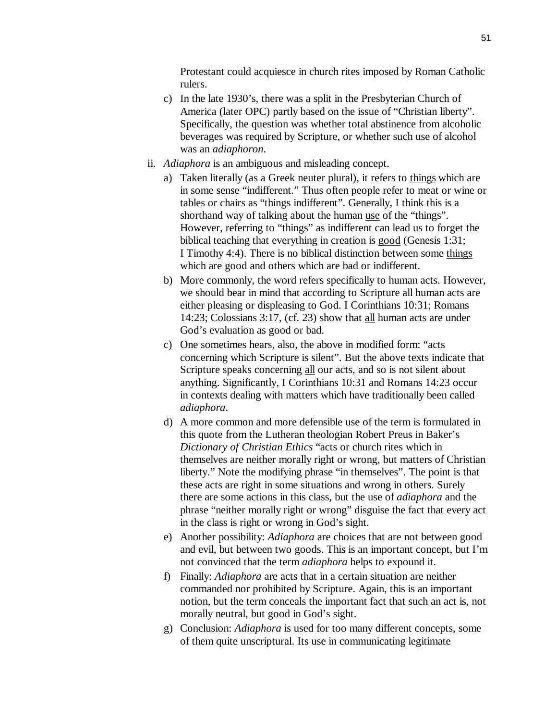Protestant could acquiesce in church rites imposed by Roman Catholic rulers.

- c) In the late 1930's, there was a split in the Presbyterian Church of America (later OPC) partly based on the issue of "Christian liberty". Specifically, the question was whether total abstinence from alcoholic beverages was required by Scripture, or whether such use of alcohol was an *adiaphoron*.
- ii. *Adiaphora* is an ambiguous and misleading concept.
	- a) Taken literally (as a Greek neuter plural), it refers to things which are in some sense "indifferent." Thus often people refer to meat or wine or tables or chairs as "things indifferent". Generally, I think this is a shorthand way of talking about the human use of the "things". However, referring to "things" as indifferent can lead us to forget the biblical teaching that everything in creation is good (Genesis 1:31; I Timothy 4:4). There is no biblical distinction between some things which are good and others which are bad or indifferent.
	- b) More commonly, the word refers specifically to human acts. However, we should bear in mind that according to Scripture all human acts are either pleasing or displeasing to God. I Corinthians 10:31; Romans 14:23; Colossians 3:17, (cf. 23) show that all human acts are under God's evaluation as good or bad.
	- c) One sometimes hears, also, the above in modified form: "acts concerning which Scripture is silent". But the above texts indicate that Scripture speaks concerning all our acts, and so is not silent about anything. Significantly, I Corinthians 10:31 and Romans 14:23 occur in contexts dealing with matters which have traditionally been called *adiaphora*.
	- d) A more common and more defensible use of the term is formulated in this quote from the Lutheran theologian Robert Preus in Baker's *Dictionary of Christian Ethics* "acts or church rites which in themselves are neither morally right or wrong, but matters of Christian liberty." Note the modifying phrase "in themselves". The point is that these acts are right in some situations and wrong in others. Surely there are some actions in this class, but the use of *adiaphora* and the phrase "neither morally right or wrong" disguise the fact that every act in the class is right or wrong in God's sight.
	- e) Another possibility: *Adiaphora* are choices that are not between good and evil, but between two goods. This is an important concept, but I'm not convinced that the term *adiaphora* helps to expound it.
	- f) Finally: *Adiaphora* are acts that in a certain situation are neither commanded nor prohibited by Scripture. Again, this is an important notion, but the term conceals the important fact that such an act is, not morally neutral, but good in God's sight.
	- g) Conclusion: *Adiaphora* is used for too many different concepts, some of them quite unscriptural. Its use in communicating legitimate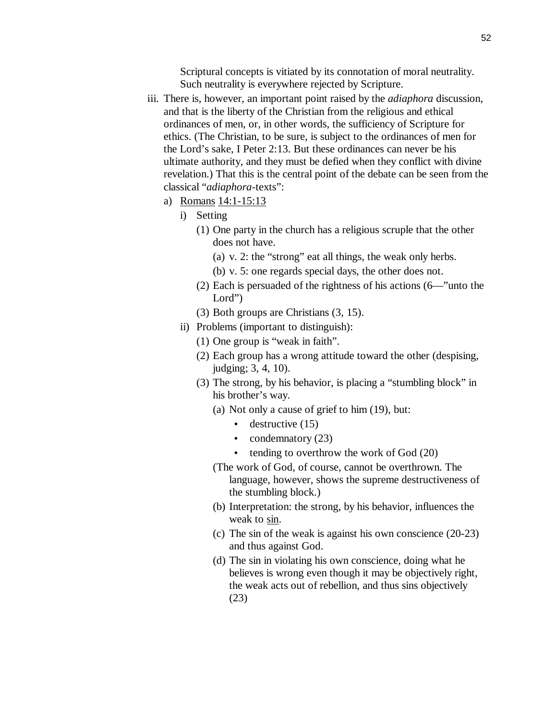Scriptural concepts is vitiated by its connotation of moral neutrality. Such neutrality is everywhere rejected by Scripture.

- iii. There is, however, an important point raised by the *adiaphora* discussion, and that is the liberty of the Christian from the religious and ethical ordinances of men, or, in other words, the sufficiency of Scripture for ethics. (The Christian, to be sure, is subject to the ordinances of men for the Lord's sake, I Peter 2:13. But these ordinances can never be his ultimate authority, and they must be defied when they conflict with divine revelation.) That this is the central point of the debate can be seen from the classical "*adiaphora*-texts":
	- a) Romans 14:1-15:13
		- i) Setting
			- (1) One party in the church has a religious scruple that the other does not have.
				- (a) v. 2: the "strong" eat all things, the weak only herbs.
				- (b) v. 5: one regards special days, the other does not.
			- (2) Each is persuaded of the rightness of his actions (6—"unto the Lord")
			- (3) Both groups are Christians (3, 15).
		- ii) Problems (important to distinguish):
			- (1) One group is "weak in faith".
			- (2) Each group has a wrong attitude toward the other (despising, judging; 3, 4, 10).
			- (3) The strong, by his behavior, is placing a "stumbling block" in his brother's way.
				- (a) Not only a cause of grief to him (19), but:
					- $\bullet$  destructive (15)
					- condemnatory (23)
					- tending to overthrow the work of God  $(20)$
				- (The work of God, of course, cannot be overthrown. The language, however, shows the supreme destructiveness of the stumbling block.)
				- (b) Interpretation: the strong, by his behavior, influences the weak to sin.
				- (c) The sin of the weak is against his own conscience (20-23) and thus against God.
				- (d) The sin in violating his own conscience, doing what he believes is wrong even though it may be objectively right, the weak acts out of rebellion, and thus sins objectively (23)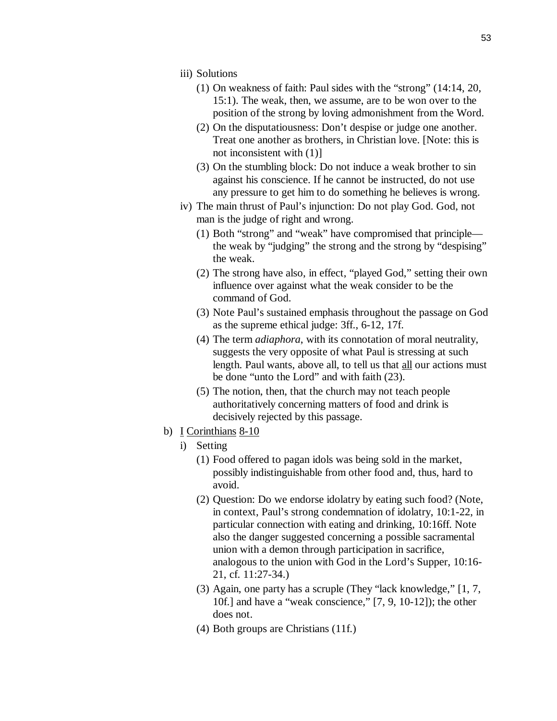- iii) Solutions
	- (1) On weakness of faith: Paul sides with the "strong" (14:14, 20, 15:1). The weak, then, we assume, are to be won over to the position of the strong by loving admonishment from the Word.
	- (2) On the disputatiousness: Don't despise or judge one another. Treat one another as brothers, in Christian love. [Note: this is not inconsistent with (1)]
	- (3) On the stumbling block: Do not induce a weak brother to sin against his conscience. If he cannot be instructed, do not use any pressure to get him to do something he believes is wrong.
- iv) The main thrust of Paul's injunction: Do not play God. God, not man is the judge of right and wrong.
	- (1) Both "strong" and "weak" have compromised that principle the weak by "judging" the strong and the strong by "despising" the weak.
	- (2) The strong have also, in effect, "played God," setting their own influence over against what the weak consider to be the command of God.
	- (3) Note Paul's sustained emphasis throughout the passage on God as the supreme ethical judge: 3ff., 6-12, 17f.
	- (4) The term *adiaphora*, with its connotation of moral neutrality, suggests the very opposite of what Paul is stressing at such length. Paul wants, above all, to tell us that all our actions must be done "unto the Lord" and with faith (23).
	- (5) The notion, then, that the church may not teach people authoritatively concerning matters of food and drink is decisively rejected by this passage.
- b) I Corinthians 8-10
	- i) Setting
		- (1) Food offered to pagan idols was being sold in the market, possibly indistinguishable from other food and, thus, hard to avoid.
		- (2) Question: Do we endorse idolatry by eating such food? (Note, in context, Paul's strong condemnation of idolatry, 10:1-22, in particular connection with eating and drinking, 10:16ff. Note also the danger suggested concerning a possible sacramental union with a demon through participation in sacrifice, analogous to the union with God in the Lord's Supper, 10:16- 21, cf. 11:27-34.)
		- (3) Again, one party has a scruple (They "lack knowledge," [1, 7, 10f.] and have a "weak conscience," [7, 9, 10-12]); the other does not.
		- (4) Both groups are Christians (11f.)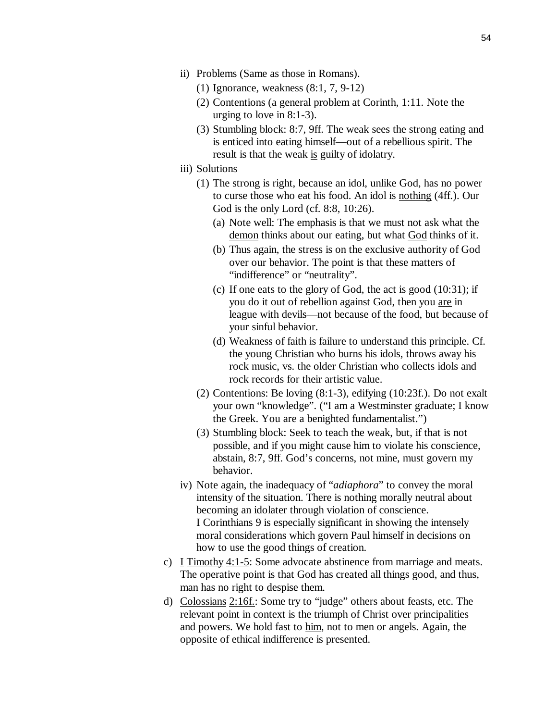- ii) Problems (Same as those in Romans).
	- (1) Ignorance, weakness (8:1, 7, 9-12)
	- (2) Contentions (a general problem at Corinth, 1:11. Note the urging to love in 8:1-3).
	- (3) Stumbling block: 8:7, 9ff. The weak sees the strong eating and is enticed into eating himself—out of a rebellious spirit. The result is that the weak is guilty of idolatry.
- iii) Solutions
	- (1) The strong is right, because an idol, unlike God, has no power to curse those who eat his food. An idol is nothing (4ff.). Our God is the only Lord (cf. 8:8, 10:26).
		- (a) Note well: The emphasis is that we must not ask what the demon thinks about our eating, but what God thinks of it.
		- (b) Thus again, the stress is on the exclusive authority of God over our behavior. The point is that these matters of "indifference" or "neutrality".
		- (c) If one eats to the glory of God, the act is good (10:31); if you do it out of rebellion against God, then you are in league with devils—not because of the food, but because of your sinful behavior.
		- (d) Weakness of faith is failure to understand this principle. Cf. the young Christian who burns his idols, throws away his rock music, vs. the older Christian who collects idols and rock records for their artistic value.
	- (2) Contentions: Be loving (8:1-3), edifying (10:23f.). Do not exalt your own "knowledge". ("I am a Westminster graduate; I know the Greek. You are a benighted fundamentalist.")
	- (3) Stumbling block: Seek to teach the weak, but, if that is not possible, and if you might cause him to violate his conscience, abstain, 8:7, 9ff. God's concerns, not mine, must govern my behavior.
- iv) Note again, the inadequacy of "*adiaphora*" to convey the moral intensity of the situation. There is nothing morally neutral about becoming an idolater through violation of conscience. I Corinthians 9 is especially significant in showing the intensely moral considerations which govern Paul himself in decisions on how to use the good things of creation.
- c) I Timothy 4:1-5: Some advocate abstinence from marriage and meats. The operative point is that God has created all things good, and thus, man has no right to despise them.
- d) Colossians 2:16f.: Some try to "judge" others about feasts, etc. The relevant point in context is the triumph of Christ over principalities and powers. We hold fast to him, not to men or angels. Again, the opposite of ethical indifference is presented.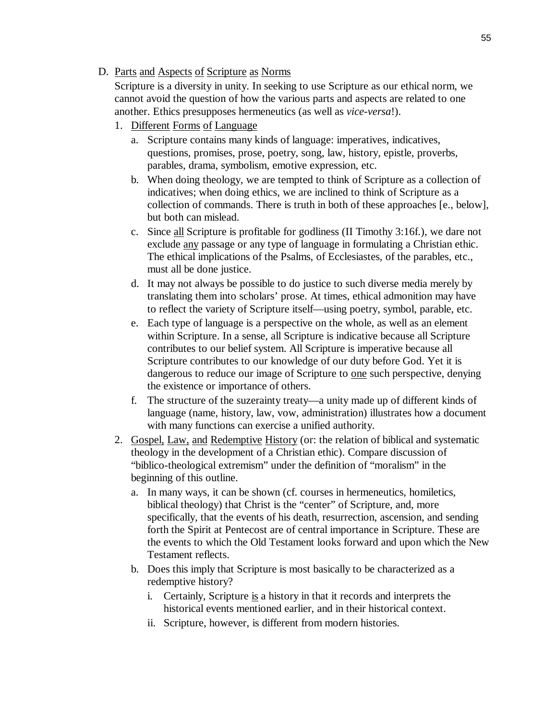#### D. <u>Parts and Aspects of Scripture as Norms</u>

Scripture is a diversity in unity. In seeking to use Scripture as our ethical norm, we cannot avoid the question of how the various parts and aspects are related to one another. Ethics presupposes hermeneutics (as well as *vice-versa*!).

- 1. Different Forms of Language
	- a. Scripture contains many kinds of language: imperatives, indicatives, questions, promises, prose, poetry, song, law, history, epistle, proverbs, parables, drama, symbolism, emotive expression, etc.
	- b. When doing theology, we are tempted to think of Scripture as a collection of indicatives; when doing ethics, we are inclined to think of Scripture as a collection of commands. There is truth in both of these approaches [e., below], but both can mislead.
	- c. Since all Scripture is profitable for godliness (II Timothy 3:16f.), we dare not exclude any passage or any type of language in formulating a Christian ethic. The ethical implications of the Psalms, of Ecclesiastes, of the parables, etc., must all be done justice.
	- d. It may not always be possible to do justice to such diverse media merely by translating them into scholars' prose. At times, ethical admonition may have to reflect the variety of Scripture itself—using poetry, symbol, parable, etc.
	- e. Each type of language is a perspective on the whole, as well as an element within Scripture. In a sense, all Scripture is indicative because all Scripture contributes to our belief system. All Scripture is imperative because all Scripture contributes to our knowledge of our duty before God. Yet it is dangerous to reduce our image of Scripture to one such perspective, denying the existence or importance of others.
	- f. The structure of the suzerainty treaty—a unity made up of different kinds of language (name, history, law, vow, administration) illustrates how a document with many functions can exercise a unified authority.
- 2. Gospel, Law, and Redemptive History (or: the relation of biblical and systematic theology in the development of a Christian ethic). Compare discussion of "biblico-theological extremism" under the definition of "moralism" in the beginning of this outline.
	- a. In many ways, it can be shown (cf. courses in hermeneutics, homiletics, biblical theology) that Christ is the "center" of Scripture, and, more specifically, that the events of his death, resurrection, ascension, and sending forth the Spirit at Pentecost are of central importance in Scripture. These are the events to which the Old Testament looks forward and upon which the New Testament reflects.
	- b. Does this imply that Scripture is most basically to be characterized as a redemptive history?
		- i. Certainly, Scripture is a history in that it records and interprets the historical events mentioned earlier, and in their historical context.
		- ii. Scripture, however, is different from modern histories.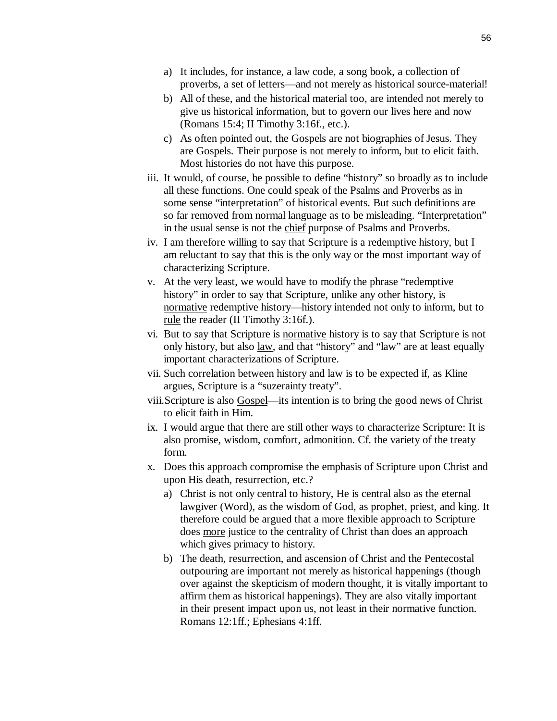- a) It includes, for instance, a law code, a song book, a collection of proverbs, a set of letters—and not merely as historical source-material!
- b) All of these, and the historical material too, are intended not merely to give us historical information, but to govern our lives here and now (Romans 15:4; II Timothy 3:16f., etc.).
- c) As often pointed out, the Gospels are not biographies of Jesus. They are Gospels. Their purpose is not merely to inform, but to elicit faith. Most histories do not have this purpose.
- iii. It would, of course, be possible to define "history" so broadly as to include all these functions. One could speak of the Psalms and Proverbs as in some sense "interpretation" of historical events. But such definitions are so far removed from normal language as to be misleading. "Interpretation" in the usual sense is not the chief purpose of Psalms and Proverbs.
- iv. I am therefore willing to say that Scripture is a redemptive history, but I am reluctant to say that this is the only way or the most important way of characterizing Scripture.
- v. At the very least, we would have to modify the phrase "redemptive history" in order to say that Scripture, unlike any other history, is normative redemptive history—history intended not only to inform, but to rule the reader (II Timothy 3:16f.).
- vi. But to say that Scripture is normative history is to say that Scripture is not only history, but also law, and that "history" and "law" are at least equally important characterizations of Scripture.
- vii. Such correlation between history and law is to be expected if, as Kline argues, Scripture is a "suzerainty treaty".
- viii.Scripture is also Gospel—its intention is to bring the good news of Christ to elicit faith in Him.
- ix. I would argue that there are still other ways to characterize Scripture: It is also promise, wisdom, comfort, admonition. Cf. the variety of the treaty form.
- x. Does this approach compromise the emphasis of Scripture upon Christ and upon His death, resurrection, etc.?
	- a) Christ is not only central to history, He is central also as the eternal lawgiver (Word), as the wisdom of God, as prophet, priest, and king. It therefore could be argued that a more flexible approach to Scripture does more justice to the centrality of Christ than does an approach which gives primacy to history.
	- b) The death, resurrection, and ascension of Christ and the Pentecostal outpouring are important not merely as historical happenings (though over against the skepticism of modern thought, it is vitally important to affirm them as historical happenings). They are also vitally important in their present impact upon us, not least in their normative function. Romans 12:1ff.; Ephesians 4:1ff.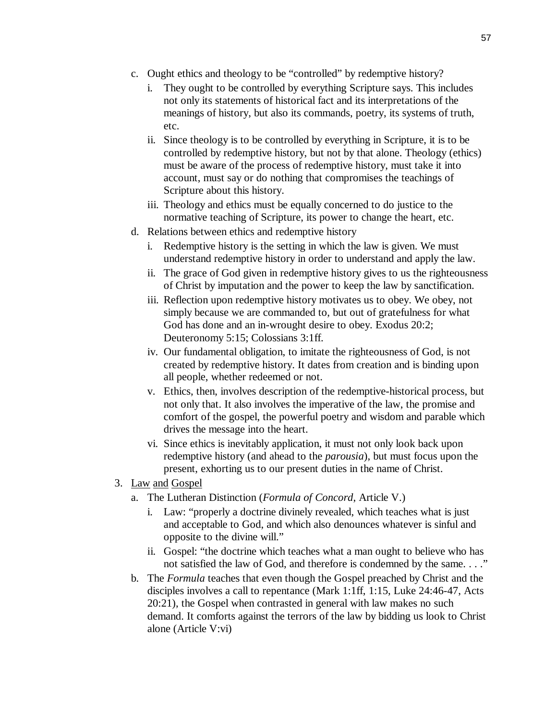- c. Ought ethics and theology to be "controlled" by redemptive history?
	- i. They ought to be controlled by everything Scripture says. This includes not only its statements of historical fact and its interpretations of the meanings of history, but also its commands, poetry, its systems of truth, etc.
	- ii. Since theology is to be controlled by everything in Scripture, it is to be controlled by redemptive history, but not by that alone. Theology (ethics) must be aware of the process of redemptive history, must take it into account, must say or do nothing that compromises the teachings of Scripture about this history.
	- iii. Theology and ethics must be equally concerned to do justice to the normative teaching of Scripture, its power to change the heart, etc.
- d. Relations between ethics and redemptive history
	- i. Redemptive history is the setting in which the law is given. We must understand redemptive history in order to understand and apply the law.
	- ii. The grace of God given in redemptive history gives to us the righteousness of Christ by imputation and the power to keep the law by sanctification.
	- iii. Reflection upon redemptive history motivates us to obey. We obey, not simply because we are commanded to, but out of gratefulness for what God has done and an in-wrought desire to obey. Exodus 20:2; Deuteronomy 5:15; Colossians 3:1ff.
	- iv. Our fundamental obligation, to imitate the righteousness of God, is not created by redemptive history. It dates from creation and is binding upon all people, whether redeemed or not.
	- v. Ethics, then, involves description of the redemptive-historical process, but not only that. It also involves the imperative of the law, the promise and comfort of the gospel, the powerful poetry and wisdom and parable which drives the message into the heart.
	- vi. Since ethics is inevitably application, it must not only look back upon redemptive history (and ahead to the *parousia*), but must focus upon the present, exhorting us to our present duties in the name of Christ.
- 3. Law and Gospel
	- a. The Lutheran Distinction (*Formula of Concord*, Article V.)
		- i. Law: "properly a doctrine divinely revealed, which teaches what is just and acceptable to God, and which also denounces whatever is sinful and opposite to the divine will."
		- ii. Gospel: "the doctrine which teaches what a man ought to believe who has not satisfied the law of God, and therefore is condemned by the same. . . ."
	- b. The *Formula* teaches that even though the Gospel preached by Christ and the disciples involves a call to repentance (Mark 1:1ff, 1:15, Luke 24:46-47, Acts 20:21), the Gospel when contrasted in general with law makes no such demand. It comforts against the terrors of the law by bidding us look to Christ alone (Article V:vi)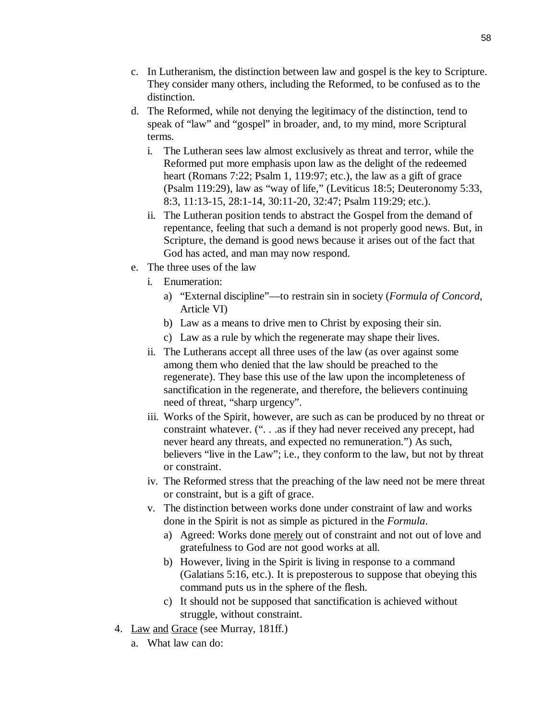- d. The Reformed, while not denying the legitimacy of the distinction, tend to speak of "law" and "gospel" in broader, and, to my mind, more Scriptural terms.
	- i. The Lutheran sees law almost exclusively as threat and terror, while the Reformed put more emphasis upon law as the delight of the redeemed heart (Romans 7:22; Psalm 1, 119:97; etc.), the law as a gift of grace (Psalm 119:29), law as "way of life," (Leviticus 18:5; Deuteronomy 5:33, 8:3, 11:13-15, 28:1-14, 30:11-20, 32:47; Psalm 119:29; etc.).
	- ii. The Lutheran position tends to abstract the Gospel from the demand of repentance, feeling that such a demand is not properly good news. But, in Scripture, the demand is good news because it arises out of the fact that God has acted, and man may now respond.
- e. The three uses of the law
	- i. Enumeration:

distinction.

- a) "External discipline"—to restrain sin in society (*Formula of Concord*, Article VI)
- b) Law as a means to drive men to Christ by exposing their sin.
- c) Law as a rule by which the regenerate may shape their lives.
- ii. The Lutherans accept all three uses of the law (as over against some among them who denied that the law should be preached to the regenerate). They base this use of the law upon the incompleteness of sanctification in the regenerate, and therefore, the believers continuing need of threat, "sharp urgency".
- iii. Works of the Spirit, however, are such as can be produced by no threat or constraint whatever. (". . .as if they had never received any precept, had never heard any threats, and expected no remuneration.") As such, believers "live in the Law"; i.e., they conform to the law, but not by threat or constraint.
- iv. The Reformed stress that the preaching of the law need not be mere threat or constraint, but is a gift of grace.
- v. The distinction between works done under constraint of law and works done in the Spirit is not as simple as pictured in the *Formula*.
	- a) Agreed: Works done merely out of constraint and not out of love and gratefulness to God are not good works at all.
	- b) However, living in the Spirit is living in response to a command (Galatians 5:16, etc.). It is preposterous to suppose that obeying this command puts us in the sphere of the flesh.
	- c) It should not be supposed that sanctification is achieved without struggle, without constraint.
- 4. Law and Grace (see Murray, 181ff.)
	- a. What law can do: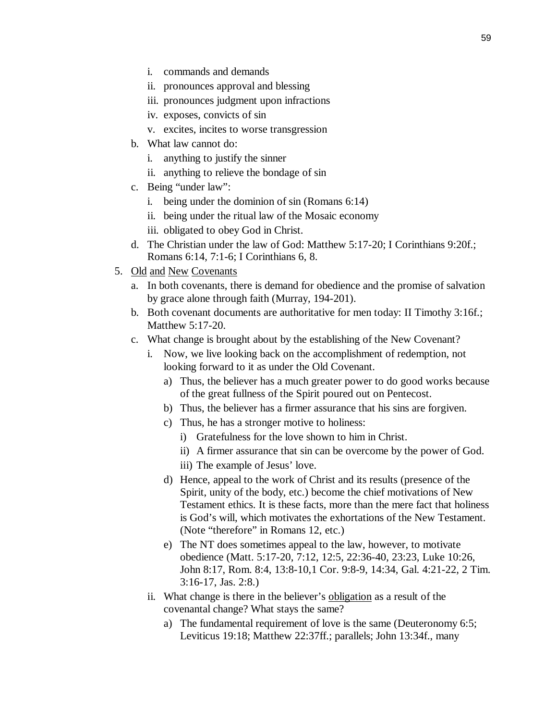- i. commands and demands
- ii. pronounces approval and blessing
- iii. pronounces judgment upon infractions
- iv. exposes, convicts of sin
- v. excites, incites to worse transgression
- b. What law cannot do:
	- i. anything to justify the sinner
	- ii. anything to relieve the bondage of sin
- c. Being "under law":
	- i. being under the dominion of sin (Romans 6:14)
	- ii. being under the ritual law of the Mosaic economy
	- iii. obligated to obey God in Christ.
- d. The Christian under the law of God: Matthew 5:17-20; I Corinthians 9:20f.; Romans 6:14, 7:1-6; I Corinthians 6, 8.
- 5. Old and New Covenants
	- a. In both covenants, there is demand for obedience and the promise of salvation by grace alone through faith (Murray, 194-201).
	- b. Both covenant documents are authoritative for men today: II Timothy 3:16f.; Matthew 5:17-20.
	- c. What change is brought about by the establishing of the New Covenant?
		- i. Now, we live looking back on the accomplishment of redemption, not looking forward to it as under the Old Covenant.
			- a) Thus, the believer has a much greater power to do good works because of the great fullness of the Spirit poured out on Pentecost.
			- b) Thus, the believer has a firmer assurance that his sins are forgiven.
			- c) Thus, he has a stronger motive to holiness:
				- i) Gratefulness for the love shown to him in Christ.
				- ii) A firmer assurance that sin can be overcome by the power of God.
				- iii) The example of Jesus' love.
			- d) Hence, appeal to the work of Christ and its results (presence of the Spirit, unity of the body, etc.) become the chief motivations of New Testament ethics. It is these facts, more than the mere fact that holiness is God's will, which motivates the exhortations of the New Testament. (Note "therefore" in Romans 12, etc.)
			- e) The NT does sometimes appeal to the law, however, to motivate obedience (Matt. 5:17-20, 7:12, 12:5, 22:36-40, 23:23, Luke 10:26, John 8:17, Rom. 8:4, 13:8-10,1 Cor. 9:8-9, 14:34, Gal. 4:21-22, 2 Tim. 3:16-17, Jas. 2:8.)
		- ii. What change is there in the believer's obligation as a result of the covenantal change? What stays the same?
			- a) The fundamental requirement of love is the same (Deuteronomy 6:5; Leviticus 19:18; Matthew 22:37ff.; parallels; John 13:34f., many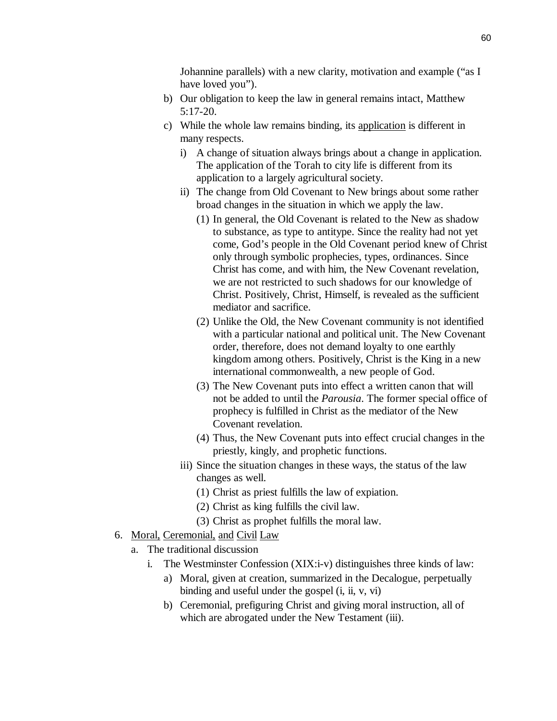Johannine parallels) with a new clarity, motivation and example ("as I have loved you").

- b) Our obligation to keep the law in general remains intact, Matthew 5:17-20.
- c) While the whole law remains binding, its application is different in many respects.
	- i) A change of situation always brings about a change in application. The application of the Torah to city life is different from its application to a largely agricultural society.
	- ii) The change from Old Covenant to New brings about some rather broad changes in the situation in which we apply the law.
		- (1) In general, the Old Covenant is related to the New as shadow to substance, as type to antitype. Since the reality had not yet come, God's people in the Old Covenant period knew of Christ only through symbolic prophecies, types, ordinances. Since Christ has come, and with him, the New Covenant revelation, we are not restricted to such shadows for our knowledge of Christ. Positively, Christ, Himself, is revealed as the sufficient mediator and sacrifice.
		- (2) Unlike the Old, the New Covenant community is not identified with a particular national and political unit. The New Covenant order, therefore, does not demand loyalty to one earthly kingdom among others. Positively, Christ is the King in a new international commonwealth, a new people of God.
		- (3) The New Covenant puts into effect a written canon that will not be added to until the *Parousia*. The former special office of prophecy is fulfilled in Christ as the mediator of the New Covenant revelation.
		- (4) Thus, the New Covenant puts into effect crucial changes in the priestly, kingly, and prophetic functions.
	- iii) Since the situation changes in these ways, the status of the law changes as well.
		- (1) Christ as priest fulfills the law of expiation.
		- (2) Christ as king fulfills the civil law.
		- (3) Christ as prophet fulfills the moral law.
- 6. Moral, Ceremonial, and Civil Law
	- a. The traditional discussion
		- i. The Westminster Confession (XIX:i-v) distinguishes three kinds of law:
			- a) Moral, given at creation, summarized in the Decalogue, perpetually binding and useful under the gospel (i, ii, v, vi)
			- b) Ceremonial, prefiguring Christ and giving moral instruction, all of which are abrogated under the New Testament (iii).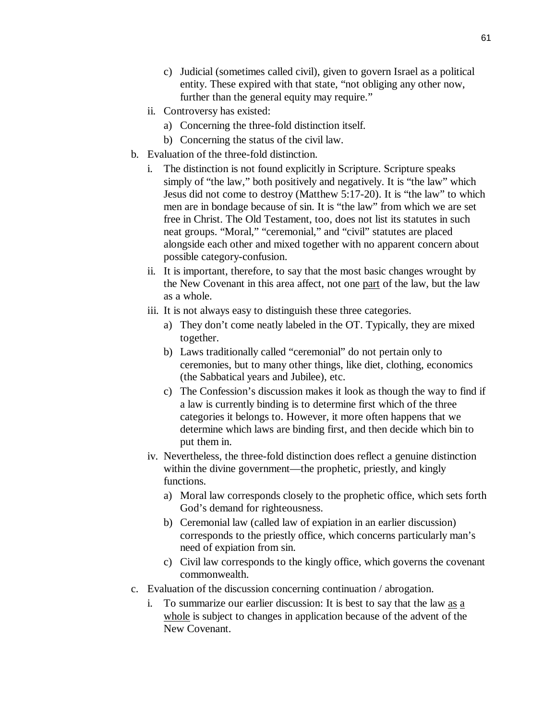- c) Judicial (sometimes called civil), given to govern Israel as a political entity. These expired with that state, "not obliging any other now, further than the general equity may require."
- ii. Controversy has existed:
	- a) Concerning the three-fold distinction itself.
	- b) Concerning the status of the civil law.
- b. Evaluation of the three-fold distinction.
	- i. The distinction is not found explicitly in Scripture. Scripture speaks simply of "the law," both positively and negatively. It is "the law" which Jesus did not come to destroy (Matthew 5:17-20). It is "the law" to which men are in bondage because of sin. It is "the law" from which we are set free in Christ. The Old Testament, too, does not list its statutes in such neat groups. "Moral," "ceremonial," and "civil" statutes are placed alongside each other and mixed together with no apparent concern about possible category-confusion.
	- ii. It is important, therefore, to say that the most basic changes wrought by the New Covenant in this area affect, not one part of the law, but the law as a whole.
	- iii. It is not always easy to distinguish these three categories.
		- a) They don't come neatly labeled in the OT. Typically, they are mixed together.
		- b) Laws traditionally called "ceremonial" do not pertain only to ceremonies, but to many other things, like diet, clothing, economics (the Sabbatical years and Jubilee), etc.
		- c) The Confession's discussion makes it look as though the way to find if a law is currently binding is to determine first which of the three categories it belongs to. However, it more often happens that we determine which laws are binding first, and then decide which bin to put them in.
	- iv. Nevertheless, the three-fold distinction does reflect a genuine distinction within the divine government—the prophetic, priestly, and kingly functions.
		- a) Moral law corresponds closely to the prophetic office, which sets forth God's demand for righteousness.
		- b) Ceremonial law (called law of expiation in an earlier discussion) corresponds to the priestly office, which concerns particularly man's need of expiation from sin.
		- c) Civil law corresponds to the kingly office, which governs the covenant commonwealth.
- c. Evaluation of the discussion concerning continuation / abrogation.
	- i. To summarize our earlier discussion: It is best to say that the law as a whole is subject to changes in application because of the advent of the New Covenant.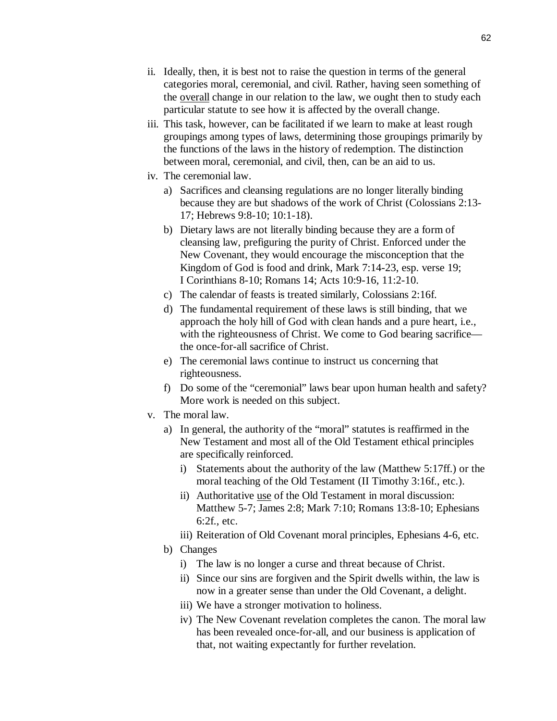- ii. Ideally, then, it is best not to raise the question in terms of the general categories moral, ceremonial, and civil. Rather, having seen something of the overall change in our relation to the law, we ought then to study each particular statute to see how it is affected by the overall change.
- iii. This task, however, can be facilitated if we learn to make at least rough groupings among types of laws, determining those groupings primarily by the functions of the laws in the history of redemption. The distinction between moral, ceremonial, and civil, then, can be an aid to us.
- iv. The ceremonial law.
	- a) Sacrifices and cleansing regulations are no longer literally binding because they are but shadows of the work of Christ (Colossians 2:13- 17; Hebrews 9:8-10; 10:1-18).
	- b) Dietary laws are not literally binding because they are a form of cleansing law, prefiguring the purity of Christ. Enforced under the New Covenant, they would encourage the misconception that the Kingdom of God is food and drink, Mark 7:14-23, esp. verse 19; I Corinthians 8-10; Romans 14; Acts 10:9-16, 11:2-10.
	- c) The calendar of feasts is treated similarly, Colossians 2:16f.
	- d) The fundamental requirement of these laws is still binding, that we approach the holy hill of God with clean hands and a pure heart, i.e., with the righteousness of Christ. We come to God bearing sacrifice the once-for-all sacrifice of Christ.
	- e) The ceremonial laws continue to instruct us concerning that righteousness.
	- f) Do some of the "ceremonial" laws bear upon human health and safety? More work is needed on this subject.
- v. The moral law.
	- a) In general, the authority of the "moral" statutes is reaffirmed in the New Testament and most all of the Old Testament ethical principles are specifically reinforced.
		- i) Statements about the authority of the law (Matthew 5:17ff.) or the moral teaching of the Old Testament (II Timothy 3:16f., etc.).
		- ii) Authoritative use of the Old Testament in moral discussion: Matthew 5-7; James 2:8; Mark 7:10; Romans 13:8-10; Ephesians 6:2f., etc.
		- iii) Reiteration of Old Covenant moral principles, Ephesians 4-6, etc.
	- b) Changes
		- i) The law is no longer a curse and threat because of Christ.
		- ii) Since our sins are forgiven and the Spirit dwells within, the law is now in a greater sense than under the Old Covenant, a delight.
		- iii) We have a stronger motivation to holiness.
		- iv) The New Covenant revelation completes the canon. The moral law has been revealed once-for-all, and our business is application of that, not waiting expectantly for further revelation.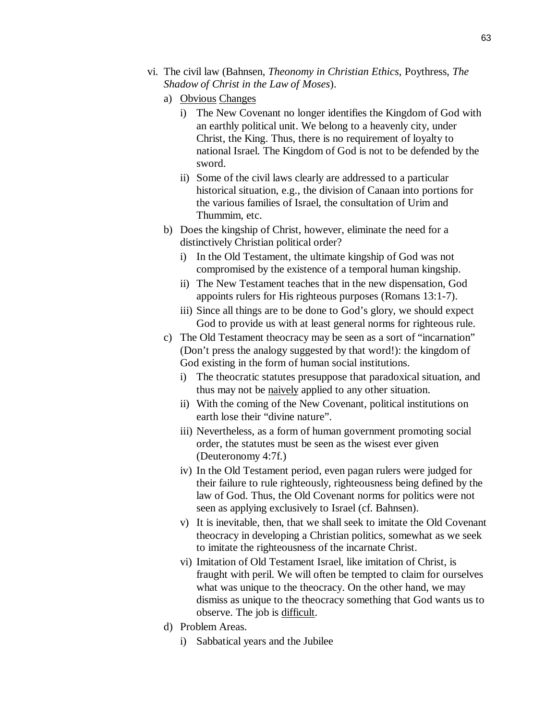- vi. The civil law (Bahnsen, *Theonomy in Christian Ethics*, Poythress, *The Shadow of Christ in the Law of Moses*).
	- a) Obvious Changes
		- i) The New Covenant no longer identifies the Kingdom of God with an earthly political unit. We belong to a heavenly city, under Christ, the King. Thus, there is no requirement of loyalty to national Israel. The Kingdom of God is not to be defended by the sword.
		- ii) Some of the civil laws clearly are addressed to a particular historical situation, e.g., the division of Canaan into portions for the various families of Israel, the consultation of Urim and Thummim, etc.
	- b) Does the kingship of Christ, however, eliminate the need for a distinctively Christian political order?
		- i) In the Old Testament, the ultimate kingship of God was not compromised by the existence of a temporal human kingship.
		- ii) The New Testament teaches that in the new dispensation, God appoints rulers for His righteous purposes (Romans 13:1-7).
		- iii) Since all things are to be done to God's glory, we should expect God to provide us with at least general norms for righteous rule.
	- c) The Old Testament theocracy may be seen as a sort of "incarnation" (Don't press the analogy suggested by that word!): the kingdom of God existing in the form of human social institutions.
		- i) The theocratic statutes presuppose that paradoxical situation, and thus may not be naively applied to any other situation.
		- ii) With the coming of the New Covenant, political institutions on earth lose their "divine nature".
		- iii) Nevertheless, as a form of human government promoting social order, the statutes must be seen as the wisest ever given (Deuteronomy 4:7f.)
		- iv) In the Old Testament period, even pagan rulers were judged for their failure to rule righteously, righteousness being defined by the law of God. Thus, the Old Covenant norms for politics were not seen as applying exclusively to Israel (cf. Bahnsen).
		- v) It is inevitable, then, that we shall seek to imitate the Old Covenant theocracy in developing a Christian politics, somewhat as we seek to imitate the righteousness of the incarnate Christ.
		- vi) Imitation of Old Testament Israel, like imitation of Christ, is fraught with peril. We will often be tempted to claim for ourselves what was unique to the theocracy. On the other hand, we may dismiss as unique to the theocracy something that God wants us to observe. The job is difficult.
	- d) Problem Areas.
		- i) Sabbatical years and the Jubilee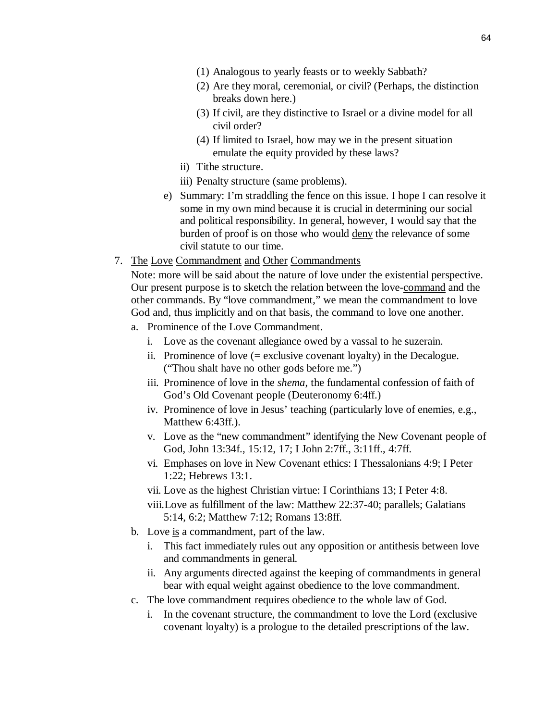- (1) Analogous to yearly feasts or to weekly Sabbath?
- (2) Are they moral, ceremonial, or civil? (Perhaps, the distinction breaks down here.)
- (3) If civil, are they distinctive to Israel or a divine model for all civil order?
- (4) If limited to Israel, how may we in the present situation emulate the equity provided by these laws?
- ii) Tithe structure.
- iii) Penalty structure (same problems).
- e) Summary: I'm straddling the fence on this issue. I hope I can resolve it some in my own mind because it is crucial in determining our social and political responsibility. In general, however, I would say that the burden of proof is on those who would deny the relevance of some civil statute to our time.
- 7. The Love Commandment and Other Commandments

Note: more will be said about the nature of love under the existential perspective. Our present purpose is to sketch the relation between the love-command and the other commands. By "love commandment," we mean the commandment to love God and, thus implicitly and on that basis, the command to love one another.

- a. Prominence of the Love Commandment.
	- i. Love as the covenant allegiance owed by a vassal to he suzerain.
	- ii. Prominence of love (= exclusive covenant loyalty) in the Decalogue. ("Thou shalt have no other gods before me.")
	- iii. Prominence of love in the *shema*, the fundamental confession of faith of God's Old Covenant people (Deuteronomy 6:4ff.)
	- iv. Prominence of love in Jesus' teaching (particularly love of enemies, e.g., Matthew 6:43ff.).
	- v. Love as the "new commandment" identifying the New Covenant people of God, John 13:34f., 15:12, 17; I John 2:7ff., 3:11ff., 4:7ff.
	- vi. Emphases on love in New Covenant ethics: I Thessalonians 4:9; I Peter 1:22; Hebrews 13:1.
	- vii. Love as the highest Christian virtue: I Corinthians 13; I Peter 4:8.
	- viii.Love as fulfillment of the law: Matthew 22:37-40; parallels; Galatians 5:14, 6:2; Matthew 7:12; Romans 13:8ff.
- b. Love is a commandment, part of the law.
	- i. This fact immediately rules out any opposition or antithesis between love and commandments in general.
	- ii. Any arguments directed against the keeping of commandments in general bear with equal weight against obedience to the love commandment.
- c. The love commandment requires obedience to the whole law of God.
	- i. In the covenant structure, the commandment to love the Lord (exclusive covenant loyalty) is a prologue to the detailed prescriptions of the law.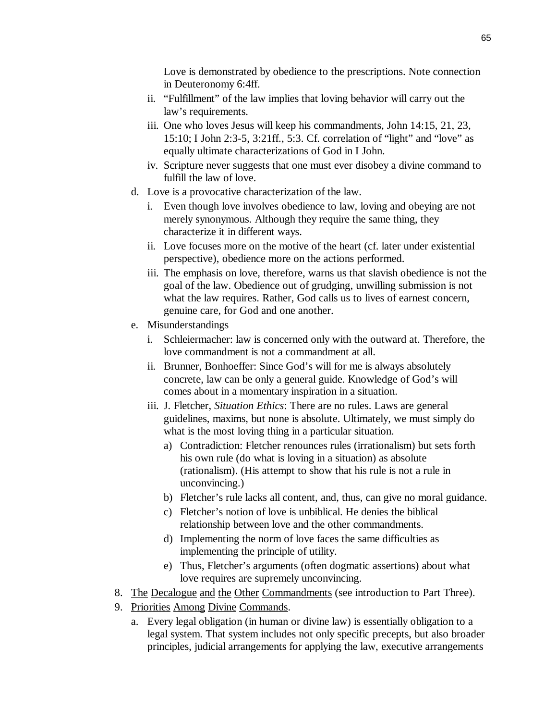Love is demonstrated by obedience to the prescriptions. Note connection in Deuteronomy 6:4ff.

- ii. "Fulfillment" of the law implies that loving behavior will carry out the law's requirements.
- iii. One who loves Jesus will keep his commandments, John 14:15, 21, 23, 15:10; I John 2:3-5, 3:21ff., 5:3. Cf. correlation of "light" and "love" as equally ultimate characterizations of God in I John.
- iv. Scripture never suggests that one must ever disobey a divine command to fulfill the law of love.
- d. Love is a provocative characterization of the law.
	- i. Even though love involves obedience to law, loving and obeying are not merely synonymous. Although they require the same thing, they characterize it in different ways.
	- ii. Love focuses more on the motive of the heart (cf. later under existential perspective), obedience more on the actions performed.
	- iii. The emphasis on love, therefore, warns us that slavish obedience is not the goal of the law. Obedience out of grudging, unwilling submission is not what the law requires. Rather, God calls us to lives of earnest concern, genuine care, for God and one another.
- e. Misunderstandings
	- i. Schleiermacher: law is concerned only with the outward at. Therefore, the love commandment is not a commandment at all.
	- ii. Brunner, Bonhoeffer: Since God's will for me is always absolutely concrete, law can be only a general guide. Knowledge of God's will comes about in a momentary inspiration in a situation.
	- iii. J. Fletcher, *Situation Ethics*: There are no rules. Laws are general guidelines, maxims, but none is absolute. Ultimately, we must simply do what is the most loving thing in a particular situation.
		- a) Contradiction: Fletcher renounces rules (irrationalism) but sets forth his own rule (do what is loving in a situation) as absolute (rationalism). (His attempt to show that his rule is not a rule in unconvincing.)
		- b) Fletcher's rule lacks all content, and, thus, can give no moral guidance.
		- c) Fletcher's notion of love is unbiblical. He denies the biblical relationship between love and the other commandments.
		- d) Implementing the norm of love faces the same difficulties as implementing the principle of utility.
		- e) Thus, Fletcher's arguments (often dogmatic assertions) about what love requires are supremely unconvincing.
- 8. The Decalogue and the Other Commandments (see introduction to Part Three).
- 9. Priorities Among Divine Commands.
	- a. Every legal obligation (in human or divine law) is essentially obligation to a legal system. That system includes not only specific precepts, but also broader principles, judicial arrangements for applying the law, executive arrangements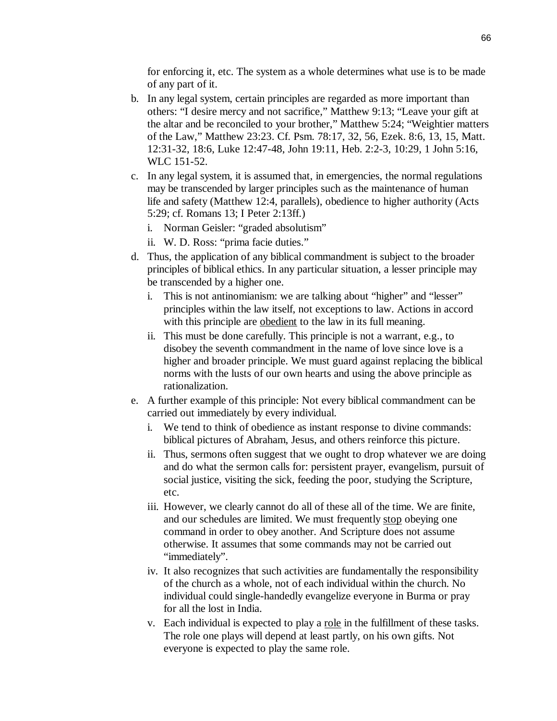for enforcing it, etc. The system as a whole determines what use is to be made of any part of it.

- b. In any legal system, certain principles are regarded as more important than others: "I desire mercy and not sacrifice," Matthew 9:13; "Leave your gift at the altar and be reconciled to your brother," Matthew 5:24; "Weightier matters of the Law," Matthew 23:23. Cf. Psm. 78:17, 32, 56, Ezek. 8:6, 13, 15, Matt. 12:31-32, 18:6, Luke 12:47-48, John 19:11, Heb. 2:2-3, 10:29, 1 John 5:16, WLC 151-52.
- c. In any legal system, it is assumed that, in emergencies, the normal regulations may be transcended by larger principles such as the maintenance of human life and safety (Matthew 12:4, parallels), obedience to higher authority (Acts 5:29; cf. Romans 13; I Peter 2:13ff.)
	- i. Norman Geisler: "graded absolutism"
	- ii. W. D. Ross: "prima facie duties."
- d. Thus, the application of any biblical commandment is subject to the broader principles of biblical ethics. In any particular situation, a lesser principle may be transcended by a higher one.
	- i. This is not antinomianism: we are talking about "higher" and "lesser" principles within the law itself, not exceptions to law. Actions in accord with this principle are obedient to the law in its full meaning.
	- ii. This must be done carefully. This principle is not a warrant, e.g., to disobey the seventh commandment in the name of love since love is a higher and broader principle. We must guard against replacing the biblical norms with the lusts of our own hearts and using the above principle as rationalization.
- e. A further example of this principle: Not every biblical commandment can be carried out immediately by every individual.
	- i. We tend to think of obedience as instant response to divine commands: biblical pictures of Abraham, Jesus, and others reinforce this picture.
	- ii. Thus, sermons often suggest that we ought to drop whatever we are doing and do what the sermon calls for: persistent prayer, evangelism, pursuit of social justice, visiting the sick, feeding the poor, studying the Scripture, etc.
	- iii. However, we clearly cannot do all of these all of the time. We are finite, and our schedules are limited. We must frequently stop obeying one command in order to obey another. And Scripture does not assume otherwise. It assumes that some commands may not be carried out "immediately".
	- iv. It also recognizes that such activities are fundamentally the responsibility of the church as a whole, not of each individual within the church. No individual could single-handedly evangelize everyone in Burma or pray for all the lost in India.
	- v. Each individual is expected to play a role in the fulfillment of these tasks. The role one plays will depend at least partly, on his own gifts. Not everyone is expected to play the same role.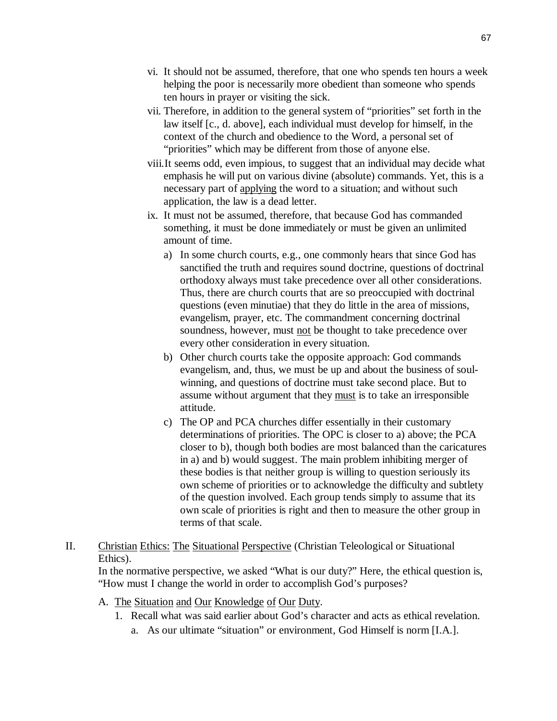- vi. It should not be assumed, therefore, that one who spends ten hours a week helping the poor is necessarily more obedient than someone who spends ten hours in prayer or visiting the sick.
- vii. Therefore, in addition to the general system of "priorities" set forth in the law itself [c., d. above], each individual must develop for himself, in the context of the church and obedience to the Word, a personal set of "priorities" which may be different from those of anyone else.
- viii.It seems odd, even impious, to suggest that an individual may decide what emphasis he will put on various divine (absolute) commands. Yet, this is a necessary part of applying the word to a situation; and without such application, the law is a dead letter.
- ix. It must not be assumed, therefore, that because God has commanded something, it must be done immediately or must be given an unlimited amount of time.
	- a) In some church courts, e.g., one commonly hears that since God has sanctified the truth and requires sound doctrine, questions of doctrinal orthodoxy always must take precedence over all other considerations. Thus, there are church courts that are so preoccupied with doctrinal questions (even minutiae) that they do little in the area of missions, evangelism, prayer, etc. The commandment concerning doctrinal soundness, however, must not be thought to take precedence over every other consideration in every situation.
	- b) Other church courts take the opposite approach: God commands evangelism, and, thus, we must be up and about the business of soulwinning, and questions of doctrine must take second place. But to assume without argument that they must is to take an irresponsible attitude.
	- c) The OP and PCA churches differ essentially in their customary determinations of priorities. The OPC is closer to a) above; the PCA closer to b), though both bodies are most balanced than the caricatures in a) and b) would suggest. The main problem inhibiting merger of these bodies is that neither group is willing to question seriously its own scheme of priorities or to acknowledge the difficulty and subtlety of the question involved. Each group tends simply to assume that its own scale of priorities is right and then to measure the other group in terms of that scale.

### II. Christian Ethics: The Situational Perspective (Christian Teleological or Situational Ethics).

In the normative perspective, we asked "What is our duty?" Here, the ethical question is, "How must I change the world in order to accomplish God's purposes?

- A. The Situation and Our Knowledge of Our Duty.
	- 1. Recall what was said earlier about God's character and acts as ethical revelation.
		- a. As our ultimate "situation" or environment, God Himself is norm [I.A.].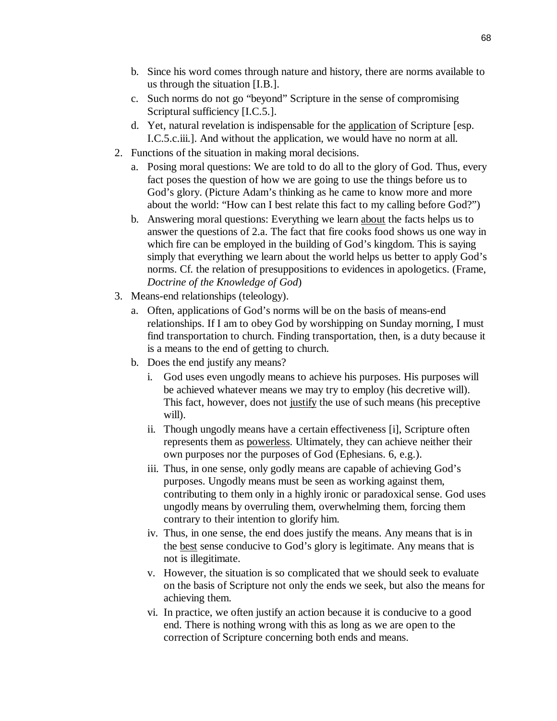- b. Since his word comes through nature and history, there are norms available to us through the situation [I.B.].
- c. Such norms do not go "beyond" Scripture in the sense of compromising Scriptural sufficiency [I.C.5.].
- d. Yet, natural revelation is indispensable for the application of Scripture [esp. I.C.5.c.iii.]. And without the application, we would have no norm at all.
- 2. Functions of the situation in making moral decisions.
	- a. Posing moral questions: We are told to do all to the glory of God. Thus, every fact poses the question of how we are going to use the things before us to God's glory. (Picture Adam's thinking as he came to know more and more about the world: "How can I best relate this fact to my calling before God?")
	- b. Answering moral questions: Everything we learn about the facts helps us to answer the questions of 2.a. The fact that fire cooks food shows us one way in which fire can be employed in the building of God's kingdom. This is saying simply that everything we learn about the world helps us better to apply God's norms. Cf. the relation of presuppositions to evidences in apologetics. (Frame, *Doctrine of the Knowledge of God*)
- 3. Means-end relationships (teleology).
	- a. Often, applications of God's norms will be on the basis of means-end relationships. If I am to obey God by worshipping on Sunday morning, I must find transportation to church. Finding transportation, then, is a duty because it is a means to the end of getting to church.
	- b. Does the end justify any means?
		- i. God uses even ungodly means to achieve his purposes. His purposes will be achieved whatever means we may try to employ (his decretive will). This fact, however, does not justify the use of such means (his preceptive will).
		- ii. Though ungodly means have a certain effectiveness [i], Scripture often represents them as powerless. Ultimately, they can achieve neither their own purposes nor the purposes of God (Ephesians. 6, e.g.).
		- iii. Thus, in one sense, only godly means are capable of achieving God's purposes. Ungodly means must be seen as working against them, contributing to them only in a highly ironic or paradoxical sense. God uses ungodly means by overruling them, overwhelming them, forcing them contrary to their intention to glorify him.
		- iv. Thus, in one sense, the end does justify the means. Any means that is in the best sense conducive to God's glory is legitimate. Any means that is not is illegitimate.
		- v. However, the situation is so complicated that we should seek to evaluate on the basis of Scripture not only the ends we seek, but also the means for achieving them.
		- vi. In practice, we often justify an action because it is conducive to a good end. There is nothing wrong with this as long as we are open to the correction of Scripture concerning both ends and means.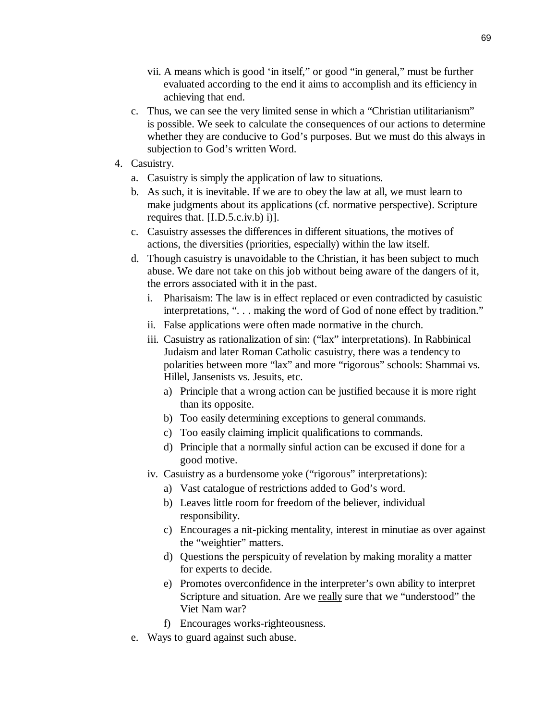- vii. A means which is good 'in itself," or good "in general," must be further evaluated according to the end it aims to accomplish and its efficiency in achieving that end.
- c. Thus, we can see the very limited sense in which a "Christian utilitarianism" is possible. We seek to calculate the consequences of our actions to determine whether they are conducive to God's purposes. But we must do this always in subjection to God's written Word.
- 4. Casuistry.
	- a. Casuistry is simply the application of law to situations.
	- b. As such, it is inevitable. If we are to obey the law at all, we must learn to make judgments about its applications (cf. normative perspective). Scripture requires that. [I.D.5.c.iv.b) i)].
	- c. Casuistry assesses the differences in different situations, the motives of actions, the diversities (priorities, especially) within the law itself.
	- d. Though casuistry is unavoidable to the Christian, it has been subject to much abuse. We dare not take on this job without being aware of the dangers of it, the errors associated with it in the past.
		- i. Pharisaism: The law is in effect replaced or even contradicted by casuistic interpretations, ". . . making the word of God of none effect by tradition."
		- ii. False applications were often made normative in the church.
		- iii. Casuistry as rationalization of sin: ("lax" interpretations). In Rabbinical Judaism and later Roman Catholic casuistry, there was a tendency to polarities between more "lax" and more "rigorous" schools: Shammai vs. Hillel, Jansenists vs. Jesuits, etc.
			- a) Principle that a wrong action can be justified because it is more right than its opposite.
			- b) Too easily determining exceptions to general commands.
			- c) Too easily claiming implicit qualifications to commands.
			- d) Principle that a normally sinful action can be excused if done for a good motive.
		- iv. Casuistry as a burdensome yoke ("rigorous" interpretations):
			- a) Vast catalogue of restrictions added to God's word.
			- b) Leaves little room for freedom of the believer, individual responsibility.
			- c) Encourages a nit-picking mentality, interest in minutiae as over against the "weightier" matters.
			- d) Questions the perspicuity of revelation by making morality a matter for experts to decide.
			- e) Promotes overconfidence in the interpreter's own ability to interpret Scripture and situation. Are we really sure that we "understood" the Viet Nam war?
			- f) Encourages works-righteousness.
	- e. Ways to guard against such abuse.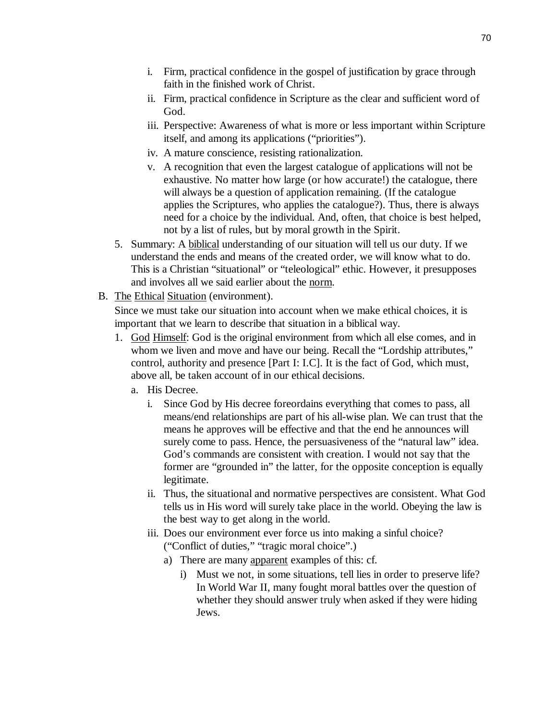- i. Firm, practical confidence in the gospel of justification by grace through faith in the finished work of Christ.
- ii. Firm, practical confidence in Scripture as the clear and sufficient word of God.
- iii. Perspective: Awareness of what is more or less important within Scripture itself, and among its applications ("priorities").
- iv. A mature conscience, resisting rationalization.
- v. A recognition that even the largest catalogue of applications will not be exhaustive. No matter how large (or how accurate!) the catalogue, there will always be a question of application remaining. (If the catalogue applies the Scriptures, who applies the catalogue?). Thus, there is always need for a choice by the individual. And, often, that choice is best helped, not by a list of rules, but by moral growth in the Spirit.
- 5. Summary: A biblical understanding of our situation will tell us our duty. If we understand the ends and means of the created order, we will know what to do. This is a Christian "situational" or "teleological" ethic. However, it presupposes and involves all we said earlier about the norm.
- B. The Ethical Situation (environment).

Since we must take our situation into account when we make ethical choices, it is important that we learn to describe that situation in a biblical way.

- 1. God Himself: God is the original environment from which all else comes, and in whom we liven and move and have our being. Recall the "Lordship attributes," control, authority and presence [Part I: I.C]. It is the fact of God, which must, above all, be taken account of in our ethical decisions.
	- a. His Decree.
		- i. Since God by His decree foreordains everything that comes to pass, all means/end relationships are part of his all-wise plan. We can trust that the means he approves will be effective and that the end he announces will surely come to pass. Hence, the persuasiveness of the "natural law" idea. God's commands are consistent with creation. I would not say that the former are "grounded in" the latter, for the opposite conception is equally legitimate.
		- ii. Thus, the situational and normative perspectives are consistent. What God tells us in His word will surely take place in the world. Obeying the law is the best way to get along in the world.
		- iii. Does our environment ever force us into making a sinful choice? ("Conflict of duties," "tragic moral choice".)
			- a) There are many apparent examples of this: cf.
				- i) Must we not, in some situations, tell lies in order to preserve life? In World War II, many fought moral battles over the question of whether they should answer truly when asked if they were hiding Jews.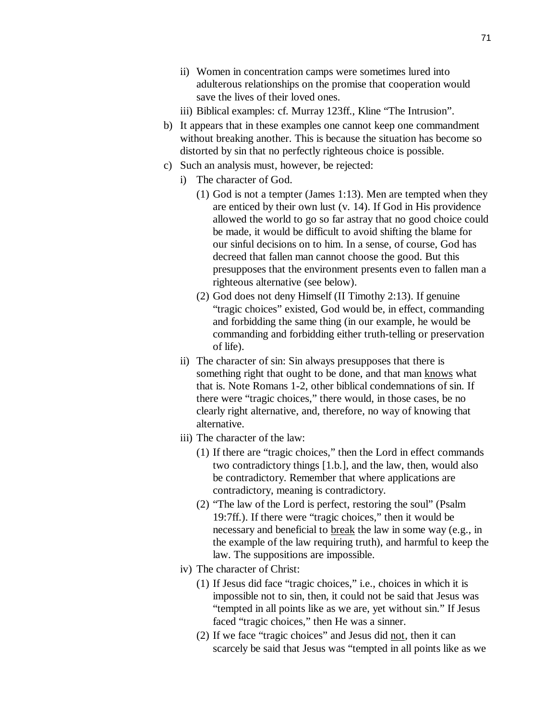- ii) Women in concentration camps were sometimes lured into adulterous relationships on the promise that cooperation would save the lives of their loved ones.
- iii) Biblical examples: cf. Murray 123ff., Kline "The Intrusion".
- b) It appears that in these examples one cannot keep one commandment without breaking another. This is because the situation has become so distorted by sin that no perfectly righteous choice is possible.
- c) Such an analysis must, however, be rejected:
	- i) The character of God.
		- (1) God is not a tempter (James 1:13). Men are tempted when they are enticed by their own lust (v. 14). If God in His providence allowed the world to go so far astray that no good choice could be made, it would be difficult to avoid shifting the blame for our sinful decisions on to him. In a sense, of course, God has decreed that fallen man cannot choose the good. But this presupposes that the environment presents even to fallen man a righteous alternative (see below).
		- (2) God does not deny Himself (II Timothy 2:13). If genuine "tragic choices" existed, God would be, in effect, commanding and forbidding the same thing (in our example, he would be commanding and forbidding either truth-telling or preservation of life).
	- ii) The character of sin: Sin always presupposes that there is something right that ought to be done, and that man knows what that is. Note Romans 1-2, other biblical condemnations of sin. If there were "tragic choices," there would, in those cases, be no clearly right alternative, and, therefore, no way of knowing that alternative.
	- iii) The character of the law:
		- (1) If there are "tragic choices," then the Lord in effect commands two contradictory things [1.b.], and the law, then, would also be contradictory. Remember that where applications are contradictory, meaning is contradictory.
		- (2) "The law of the Lord is perfect, restoring the soul" (Psalm 19:7ff.). If there were "tragic choices," then it would be necessary and beneficial to break the law in some way (e.g., in the example of the law requiring truth), and harmful to keep the law. The suppositions are impossible.
	- iv) The character of Christ:
		- (1) If Jesus did face "tragic choices," i.e., choices in which it is impossible not to sin, then, it could not be said that Jesus was "tempted in all points like as we are, yet without sin." If Jesus faced "tragic choices," then He was a sinner.
		- (2) If we face "tragic choices" and Jesus did not, then it can scarcely be said that Jesus was "tempted in all points like as we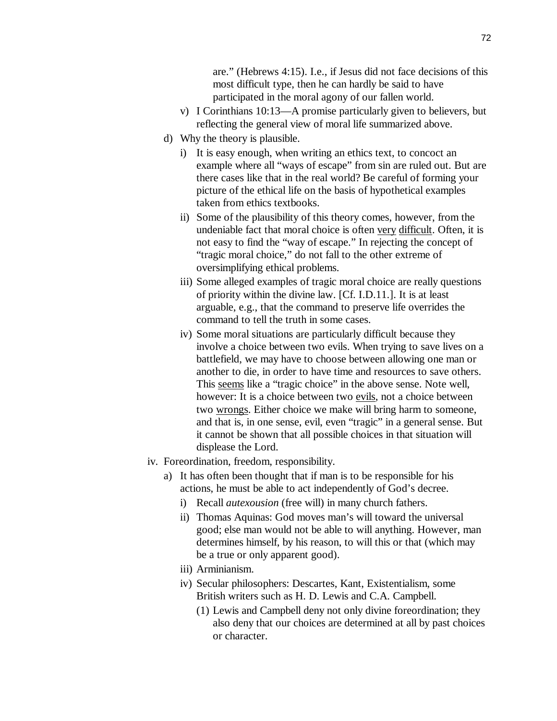are." (Hebrews 4:15). I.e., if Jesus did not face decisions of this most difficult type, then he can hardly be said to have participated in the moral agony of our fallen world.

- v) I Corinthians 10:13—A promise particularly given to believers, but reflecting the general view of moral life summarized above.
- d) Why the theory is plausible.
	- i) It is easy enough, when writing an ethics text, to concoct an example where all "ways of escape" from sin are ruled out. But are there cases like that in the real world? Be careful of forming your picture of the ethical life on the basis of hypothetical examples taken from ethics textbooks.
	- ii) Some of the plausibility of this theory comes, however, from the undeniable fact that moral choice is often very difficult. Often, it is not easy to find the "way of escape." In rejecting the concept of "tragic moral choice," do not fall to the other extreme of oversimplifying ethical problems.
	- iii) Some alleged examples of tragic moral choice are really questions of priority within the divine law. [Cf. I.D.11.]. It is at least arguable, e.g., that the command to preserve life overrides the command to tell the truth in some cases.
	- iv) Some moral situations are particularly difficult because they involve a choice between two evils. When trying to save lives on a battlefield, we may have to choose between allowing one man or another to die, in order to have time and resources to save others. This seems like a "tragic choice" in the above sense. Note well, however: It is a choice between two evils, not a choice between two wrongs. Either choice we make will bring harm to someone, and that is, in one sense, evil, even "tragic" in a general sense. But it cannot be shown that all possible choices in that situation will displease the Lord.
- iv. Foreordination, freedom, responsibility.
	- a) It has often been thought that if man is to be responsible for his actions, he must be able to act independently of God's decree.
		- i) Recall *autexousion* (free will) in many church fathers.
		- ii) Thomas Aquinas: God moves man's will toward the universal good; else man would not be able to will anything. However, man determines himself, by his reason, to will this or that (which may be a true or only apparent good).
		- iii) Arminianism.
		- iv) Secular philosophers: Descartes, Kant, Existentialism, some British writers such as H. D. Lewis and C.A. Campbell.
			- (1) Lewis and Campbell deny not only divine foreordination; they also deny that our choices are determined at all by past choices or character.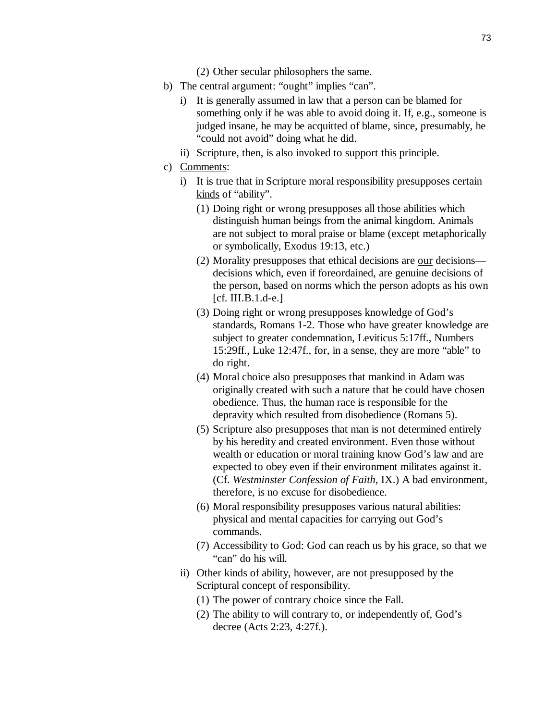- (2) Other secular philosophers the same.
- b) The central argument: "ought" implies "can".
	- i) It is generally assumed in law that a person can be blamed for something only if he was able to avoid doing it. If, e.g., someone is judged insane, he may be acquitted of blame, since, presumably, he "could not avoid" doing what he did.
	- ii) Scripture, then, is also invoked to support this principle.
- c) Comments:
	- i) It is true that in Scripture moral responsibility presupposes certain kinds of "ability".
		- (1) Doing right or wrong presupposes all those abilities which distinguish human beings from the animal kingdom. Animals are not subject to moral praise or blame (except metaphorically or symbolically, Exodus 19:13, etc.)
		- (2) Morality presupposes that ethical decisions are our decisions decisions which, even if foreordained, are genuine decisions of the person, based on norms which the person adopts as his own  $[cf. III.B.1.d-e.]$
		- (3) Doing right or wrong presupposes knowledge of God's standards, Romans 1-2. Those who have greater knowledge are subject to greater condemnation, Leviticus 5:17ff., Numbers 15:29ff., Luke 12:47f., for, in a sense, they are more "able" to do right.
		- (4) Moral choice also presupposes that mankind in Adam was originally created with such a nature that he could have chosen obedience. Thus, the human race is responsible for the depravity which resulted from disobedience (Romans 5).
		- (5) Scripture also presupposes that man is not determined entirely by his heredity and created environment. Even those without wealth or education or moral training know God's law and are expected to obey even if their environment militates against it. (Cf. *Westminster Confession of Faith*, IX.) A bad environment, therefore, is no excuse for disobedience.
		- (6) Moral responsibility presupposes various natural abilities: physical and mental capacities for carrying out God's commands.
		- (7) Accessibility to God: God can reach us by his grace, so that we "can" do his will.
	- ii) Other kinds of ability, however, are not presupposed by the Scriptural concept of responsibility.
		- (1) The power of contrary choice since the Fall.
		- (2) The ability to will contrary to, or independently of, God's decree (Acts 2:23, 4:27f.).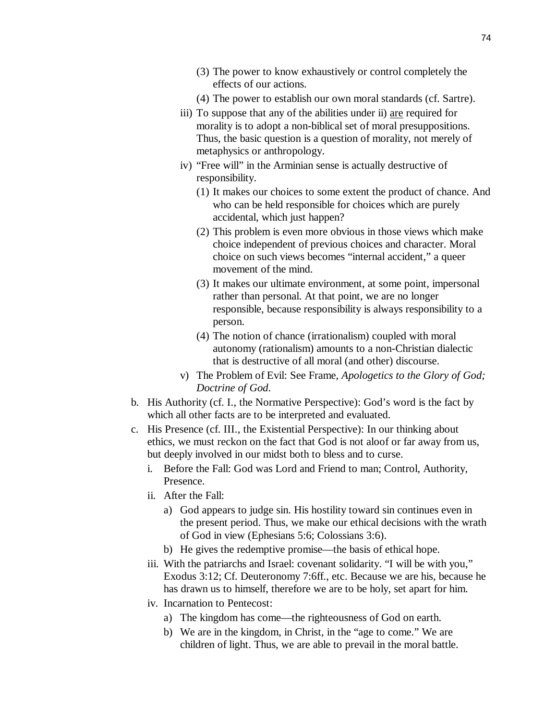- (3) The power to know exhaustively or control completely the effects of our actions.
- (4) The power to establish our own moral standards (cf. Sartre).
- iii) To suppose that any of the abilities under ii) are required for morality is to adopt a non-biblical set of moral presuppositions. Thus, the basic question is a question of morality, not merely of metaphysics or anthropology.
- iv) "Free will" in the Arminian sense is actually destructive of responsibility.
	- (1) It makes our choices to some extent the product of chance. And who can be held responsible for choices which are purely accidental, which just happen?
	- (2) This problem is even more obvious in those views which make choice independent of previous choices and character. Moral choice on such views becomes "internal accident," a queer movement of the mind.
	- (3) It makes our ultimate environment, at some point, impersonal rather than personal. At that point, we are no longer responsible, because responsibility is always responsibility to a person.
	- (4) The notion of chance (irrationalism) coupled with moral autonomy (rationalism) amounts to a non-Christian dialectic that is destructive of all moral (and other) discourse.
- v) The Problem of Evil: See Frame, *Apologetics to the Glory of God; Doctrine of God*.
- b. His Authority (cf. I., the Normative Perspective): God's word is the fact by which all other facts are to be interpreted and evaluated.
- c. His Presence (cf. III., the Existential Perspective): In our thinking about ethics, we must reckon on the fact that God is not aloof or far away from us, but deeply involved in our midst both to bless and to curse.
	- i. Before the Fall: God was Lord and Friend to man; Control, Authority, Presence.
	- ii. After the Fall:
		- a) God appears to judge sin. His hostility toward sin continues even in the present period. Thus, we make our ethical decisions with the wrath of God in view (Ephesians 5:6; Colossians 3:6).
		- b) He gives the redemptive promise—the basis of ethical hope.
	- iii. With the patriarchs and Israel: covenant solidarity. "I will be with you," Exodus 3:12; Cf. Deuteronomy 7:6ff., etc. Because we are his, because he has drawn us to himself, therefore we are to be holy, set apart for him.
	- iv. Incarnation to Pentecost:
		- a) The kingdom has come—the righteousness of God on earth.
		- b) We are in the kingdom, in Christ, in the "age to come." We are children of light. Thus, we are able to prevail in the moral battle.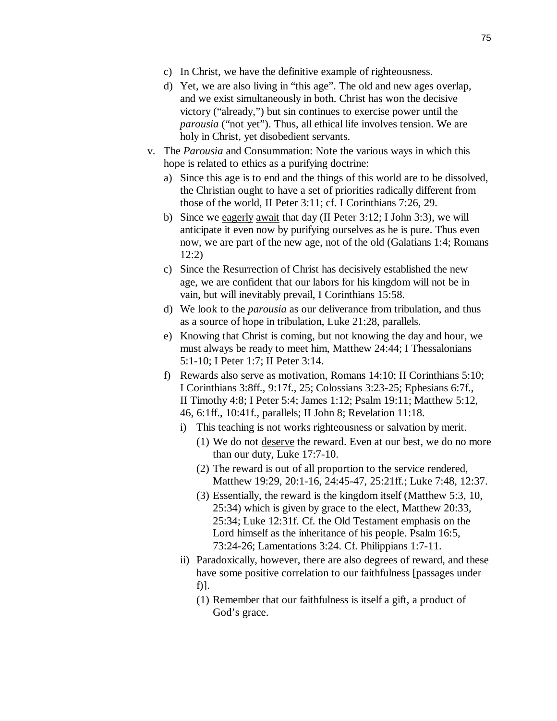- c) In Christ, we have the definitive example of righteousness.
- d) Yet, we are also living in "this age". The old and new ages overlap, and we exist simultaneously in both. Christ has won the decisive victory ("already,") but sin continues to exercise power until the *parousia* ("not yet"). Thus, all ethical life involves tension. We are holy in Christ, yet disobedient servants.
- v. The *Parousia* and Consummation: Note the various ways in which this hope is related to ethics as a purifying doctrine:
	- a) Since this age is to end and the things of this world are to be dissolved, the Christian ought to have a set of priorities radically different from those of the world, II Peter 3:11; cf. I Corinthians 7:26, 29.
	- b) Since we eagerly await that day (II Peter 3:12; I John 3:3), we will anticipate it even now by purifying ourselves as he is pure. Thus even now, we are part of the new age, not of the old (Galatians 1:4; Romans 12:2)
	- c) Since the Resurrection of Christ has decisively established the new age, we are confident that our labors for his kingdom will not be in vain, but will inevitably prevail, I Corinthians 15:58.
	- d) We look to the *parousia* as our deliverance from tribulation, and thus as a source of hope in tribulation, Luke 21:28, parallels.
	- e) Knowing that Christ is coming, but not knowing the day and hour, we must always be ready to meet him, Matthew 24:44; I Thessalonians 5:1-10; I Peter 1:7; II Peter 3:14.
	- f) Rewards also serve as motivation, Romans 14:10; II Corinthians 5:10; I Corinthians 3:8ff., 9:17f., 25; Colossians 3:23-25; Ephesians 6:7f., II Timothy 4:8; I Peter 5:4; James 1:12; Psalm 19:11; Matthew 5:12, 46, 6:1ff., 10:41f., parallels; II John 8; Revelation 11:18.
		- i) This teaching is not works righteousness or salvation by merit.
			- (1) We do not deserve the reward. Even at our best, we do no more than our duty, Luke 17:7-10.
			- (2) The reward is out of all proportion to the service rendered, Matthew 19:29, 20:1-16, 24:45-47, 25:21ff.; Luke 7:48, 12:37.
			- (3) Essentially, the reward is the kingdom itself (Matthew 5:3, 10, 25:34) which is given by grace to the elect, Matthew 20:33, 25:34; Luke 12:31f. Cf. the Old Testament emphasis on the Lord himself as the inheritance of his people. Psalm 16:5, 73:24-26; Lamentations 3:24. Cf. Philippians 1:7-11.
		- ii) Paradoxically, however, there are also degrees of reward, and these have some positive correlation to our faithfulness [passages under f)].
			- (1) Remember that our faithfulness is itself a gift, a product of God's grace.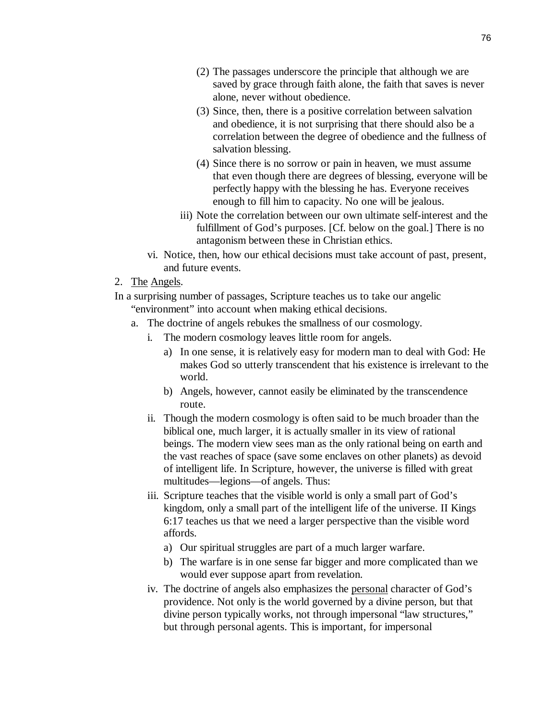- (2) The passages underscore the principle that although we are saved by grace through faith alone, the faith that saves is never alone, never without obedience.
- (3) Since, then, there is a positive correlation between salvation and obedience, it is not surprising that there should also be a correlation between the degree of obedience and the fullness of salvation blessing.
- (4) Since there is no sorrow or pain in heaven, we must assume that even though there are degrees of blessing, everyone will be perfectly happy with the blessing he has. Everyone receives enough to fill him to capacity. No one will be jealous.
- iii) Note the correlation between our own ultimate self-interest and the fulfillment of God's purposes. [Cf. below on the goal.] There is no antagonism between these in Christian ethics.
- vi. Notice, then, how our ethical decisions must take account of past, present, and future events.
- 2. The Angels.

In a surprising number of passages, Scripture teaches us to take our angelic "environment" into account when making ethical decisions.

- a. The doctrine of angels rebukes the smallness of our cosmology.
	- i. The modern cosmology leaves little room for angels.
		- a) In one sense, it is relatively easy for modern man to deal with God: He makes God so utterly transcendent that his existence is irrelevant to the world.
		- b) Angels, however, cannot easily be eliminated by the transcendence route.
	- ii. Though the modern cosmology is often said to be much broader than the biblical one, much larger, it is actually smaller in its view of rational beings. The modern view sees man as the only rational being on earth and the vast reaches of space (save some enclaves on other planets) as devoid of intelligent life. In Scripture, however, the universe is filled with great multitudes—legions—of angels. Thus:
	- iii. Scripture teaches that the visible world is only a small part of God's kingdom, only a small part of the intelligent life of the universe. II Kings 6:17 teaches us that we need a larger perspective than the visible word affords.
		- a) Our spiritual struggles are part of a much larger warfare.
		- b) The warfare is in one sense far bigger and more complicated than we would ever suppose apart from revelation.
	- iv. The doctrine of angels also emphasizes the personal character of God's providence. Not only is the world governed by a divine person, but that divine person typically works, not through impersonal "law structures," but through personal agents. This is important, for impersonal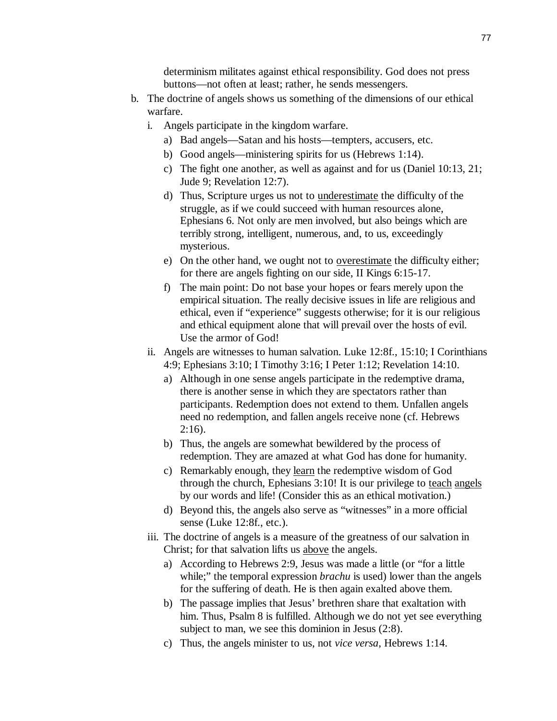determinism militates against ethical responsibility. God does not press buttons—not often at least; rather, he sends messengers.

- b. The doctrine of angels shows us something of the dimensions of our ethical warfare.
	- i. Angels participate in the kingdom warfare.
		- a) Bad angels—Satan and his hosts—tempters, accusers, etc.
		- b) Good angels—ministering spirits for us (Hebrews 1:14).
		- c) The fight one another, as well as against and for us (Daniel 10:13, 21; Jude 9; Revelation 12:7).
		- d) Thus, Scripture urges us not to underestimate the difficulty of the struggle, as if we could succeed with human resources alone, Ephesians 6. Not only are men involved, but also beings which are terribly strong, intelligent, numerous, and, to us, exceedingly mysterious.
		- e) On the other hand, we ought not to overestimate the difficulty either; for there are angels fighting on our side, II Kings 6:15-17.
		- f) The main point: Do not base your hopes or fears merely upon the empirical situation. The really decisive issues in life are religious and ethical, even if "experience" suggests otherwise; for it is our religious and ethical equipment alone that will prevail over the hosts of evil. Use the armor of God!
	- ii. Angels are witnesses to human salvation. Luke 12:8f., 15:10; I Corinthians 4:9; Ephesians 3:10; I Timothy 3:16; I Peter 1:12; Revelation 14:10.
		- a) Although in one sense angels participate in the redemptive drama, there is another sense in which they are spectators rather than participants. Redemption does not extend to them. Unfallen angels need no redemption, and fallen angels receive none (cf. Hebrews 2:16).
		- b) Thus, the angels are somewhat bewildered by the process of redemption. They are amazed at what God has done for humanity.
		- c) Remarkably enough, they learn the redemptive wisdom of God through the church, Ephesians 3:10! It is our privilege to teach angels by our words and life! (Consider this as an ethical motivation.)
		- d) Beyond this, the angels also serve as "witnesses" in a more official sense (Luke 12:8f., etc.).
	- iii. The doctrine of angels is a measure of the greatness of our salvation in Christ; for that salvation lifts us above the angels.
		- a) According to Hebrews 2:9, Jesus was made a little (or "for a little while;" the temporal expression *brachu* is used) lower than the angels for the suffering of death. He is then again exalted above them.
		- b) The passage implies that Jesus' brethren share that exaltation with him. Thus, Psalm 8 is fulfilled. Although we do not yet see everything subject to man, we see this dominion in Jesus (2:8).
		- c) Thus, the angels minister to us, not *vice versa*, Hebrews 1:14.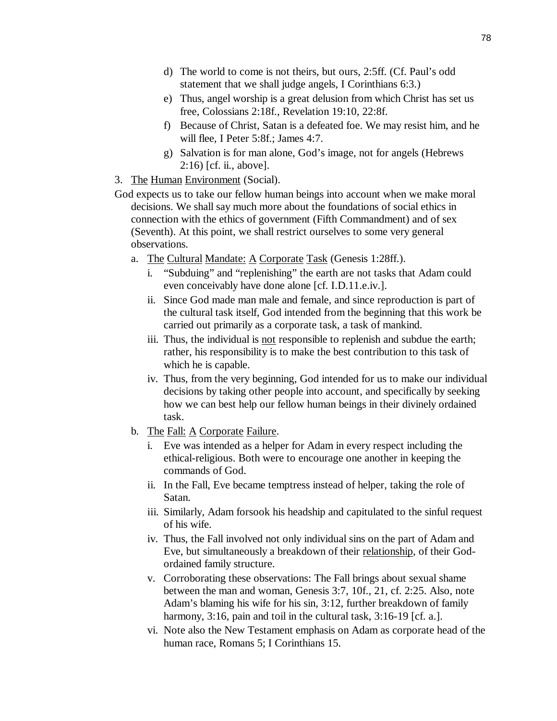- d) The world to come is not theirs, but ours, 2:5ff. (Cf. Paul's odd statement that we shall judge angels, I Corinthians 6:3.)
- e) Thus, angel worship is a great delusion from which Christ has set us free, Colossians 2:18f., Revelation 19:10, 22:8f.
- f) Because of Christ, Satan is a defeated foe. We may resist him, and he will flee, I Peter 5:8f.; James 4:7.
- g) Salvation is for man alone, God's image, not for angels (Hebrews 2:16) [cf. ii., above].
- 3. The Human Environment (Social).
- God expects us to take our fellow human beings into account when we make moral decisions. We shall say much more about the foundations of social ethics in connection with the ethics of government (Fifth Commandment) and of sex (Seventh). At this point, we shall restrict ourselves to some very general observations.
	- a. The Cultural Mandate: A Corporate Task (Genesis 1:28ff.).
		- i. "Subduing" and "replenishing" the earth are not tasks that Adam could even conceivably have done alone [cf. I.D.11.e.iv.].
		- ii. Since God made man male and female, and since reproduction is part of the cultural task itself, God intended from the beginning that this work be carried out primarily as a corporate task, a task of mankind.
		- iii. Thus, the individual is **not** responsible to replenish and subdue the earth; rather, his responsibility is to make the best contribution to this task of which he is capable.
		- iv. Thus, from the very beginning, God intended for us to make our individual decisions by taking other people into account, and specifically by seeking how we can best help our fellow human beings in their divinely ordained task.
	- b. The Fall: A Corporate Failure.
		- i. Eve was intended as a helper for Adam in every respect including the ethical-religious. Both were to encourage one another in keeping the commands of God.
		- ii. In the Fall, Eve became temptress instead of helper, taking the role of Satan.
		- iii. Similarly, Adam forsook his headship and capitulated to the sinful request of his wife.
		- iv. Thus, the Fall involved not only individual sins on the part of Adam and Eve, but simultaneously a breakdown of their relationship, of their Godordained family structure.
		- v. Corroborating these observations: The Fall brings about sexual shame between the man and woman, Genesis 3:7, 10f., 21, cf. 2:25. Also, note Adam's blaming his wife for his sin, 3:12, further breakdown of family harmony, 3:16, pain and toil in the cultural task, 3:16-19 [cf. a.].
		- vi. Note also the New Testament emphasis on Adam as corporate head of the human race, Romans 5; I Corinthians 15.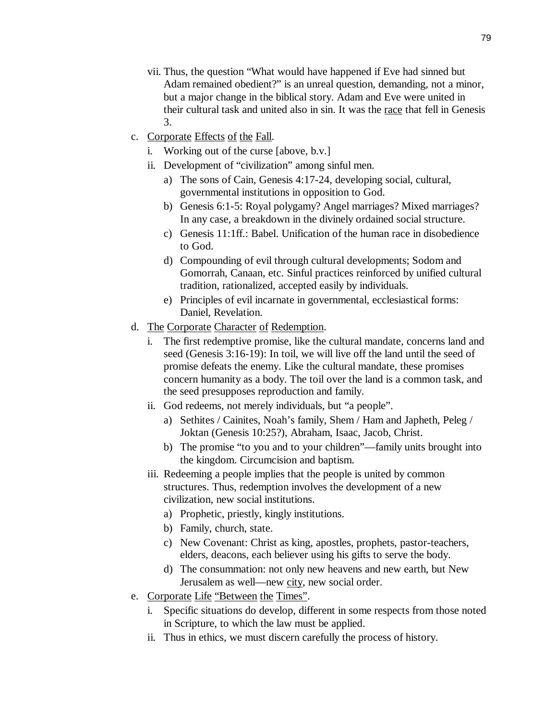- vii. Thus, the question "What would have happened if Eve had sinned but Adam remained obedient?" is an unreal question, demanding, not a minor, but a major change in the biblical story. Adam and Eve were united in their cultural task and united also in sin. It was the race that fell in Genesis 3.
- c. Corporate Effects of the Fall.
	- i. Working out of the curse [above, b.v.]
	- ii. Development of "civilization" among sinful men.
		- a) The sons of Cain, Genesis 4:17-24, developing social, cultural, governmental institutions in opposition to God.
		- b) Genesis 6:1-5: Royal polygamy? Angel marriages? Mixed marriages? In any case, a breakdown in the divinely ordained social structure.
		- c) Genesis 11:1ff.: Babel. Unification of the human race in disobedience to God.
		- d) Compounding of evil through cultural developments; Sodom and Gomorrah, Canaan, etc. Sinful practices reinforced by unified cultural tradition, rationalized, accepted easily by individuals.
		- e) Principles of evil incarnate in governmental, ecclesiastical forms: Daniel, Revelation.
- d. The Corporate Character of Redemption.
	- i. The first redemptive promise, like the cultural mandate, concerns land and seed (Genesis 3:16-19): In toil, we will live off the land until the seed of promise defeats the enemy. Like the cultural mandate, these promises concern humanity as a body. The toil over the land is a common task, and the seed presupposes reproduction and family.
	- ii. God redeems, not merely individuals, but "a people".
		- a) Sethites / Cainites, Noah's family, Shem / Ham and Japheth, Peleg / Joktan (Genesis 10:25?), Abraham, Isaac, Jacob, Christ.
		- b) The promise "to you and to your children"—family units brought into the kingdom. Circumcision and baptism.
	- iii. Redeeming a people implies that the people is united by common structures. Thus, redemption involves the development of a new civilization, new social institutions.
		- a) Prophetic, priestly, kingly institutions.
		- b) Family, church, state.
		- c) New Covenant: Christ as king, apostles, prophets, pastor-teachers, elders, deacons, each believer using his gifts to serve the body.
		- d) The consummation: not only new heavens and new earth, but New Jerusalem as well—new city, new social order.
- e. Corporate Life "Between the Times".
	- i. Specific situations do develop, different in some respects from those noted in Scripture, to which the law must be applied.
	- ii. Thus in ethics, we must discern carefully the process of history.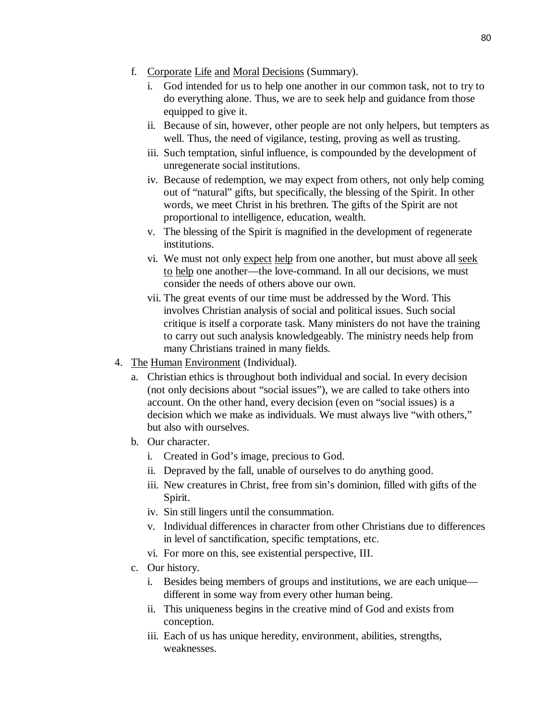- f. Corporate Life and Moral Decisions (Summary).
	- i. God intended for us to help one another in our common task, not to try to do everything alone. Thus, we are to seek help and guidance from those equipped to give it.
	- ii. Because of sin, however, other people are not only helpers, but tempters as well. Thus, the need of vigilance, testing, proving as well as trusting.
	- iii. Such temptation, sinful influence, is compounded by the development of unregenerate social institutions.
	- iv. Because of redemption, we may expect from others, not only help coming out of "natural" gifts, but specifically, the blessing of the Spirit. In other words, we meet Christ in his brethren. The gifts of the Spirit are not proportional to intelligence, education, wealth.
	- v. The blessing of the Spirit is magnified in the development of regenerate institutions.
	- vi. We must not only expect help from one another, but must above all seek to help one another—the love-command. In all our decisions, we must consider the needs of others above our own.
	- vii. The great events of our time must be addressed by the Word. This involves Christian analysis of social and political issues. Such social critique is itself a corporate task. Many ministers do not have the training to carry out such analysis knowledgeably. The ministry needs help from many Christians trained in many fields.
- 4. The Human Environment (Individual).
	- a. Christian ethics is throughout both individual and social. In every decision (not only decisions about "social issues"), we are called to take others into account. On the other hand, every decision (even on "social issues) is a decision which we make as individuals. We must always live "with others," but also with ourselves.
	- b. Our character.
		- i. Created in God's image, precious to God.
		- ii. Depraved by the fall, unable of ourselves to do anything good.
		- iii. New creatures in Christ, free from sin's dominion, filled with gifts of the Spirit.
		- iv. Sin still lingers until the consummation.
		- v. Individual differences in character from other Christians due to differences in level of sanctification, specific temptations, etc.
		- vi. For more on this, see existential perspective, III.
	- c. Our history.
		- i. Besides being members of groups and institutions, we are each unique different in some way from every other human being.
		- ii. This uniqueness begins in the creative mind of God and exists from conception.
		- iii. Each of us has unique heredity, environment, abilities, strengths, weaknesses.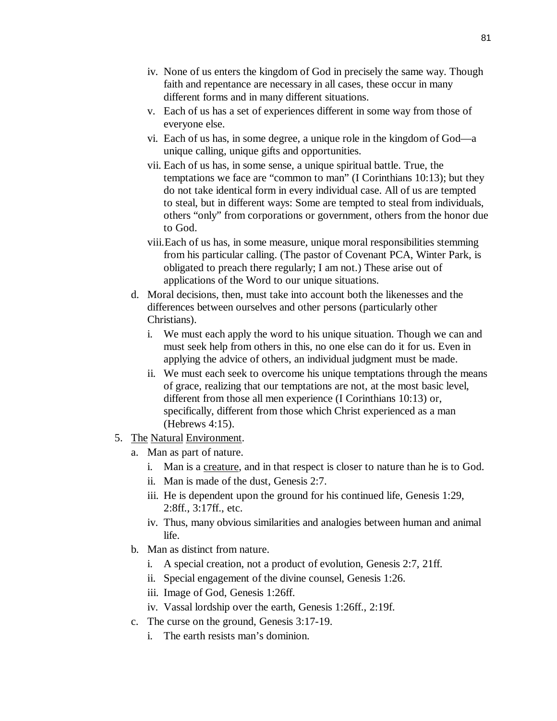- iv. None of us enters the kingdom of God in precisely the same way. Though faith and repentance are necessary in all cases, these occur in many different forms and in many different situations.
- v. Each of us has a set of experiences different in some way from those of everyone else.
- vi. Each of us has, in some degree, a unique role in the kingdom of God—a unique calling, unique gifts and opportunities.
- vii. Each of us has, in some sense, a unique spiritual battle. True, the temptations we face are "common to man" (I Corinthians 10:13); but they do not take identical form in every individual case. All of us are tempted to steal, but in different ways: Some are tempted to steal from individuals, others "only" from corporations or government, others from the honor due to God.
- viii.Each of us has, in some measure, unique moral responsibilities stemming from his particular calling. (The pastor of Covenant PCA, Winter Park, is obligated to preach there regularly; I am not.) These arise out of applications of the Word to our unique situations.
- d. Moral decisions, then, must take into account both the likenesses and the differences between ourselves and other persons (particularly other Christians).
	- i. We must each apply the word to his unique situation. Though we can and must seek help from others in this, no one else can do it for us. Even in applying the advice of others, an individual judgment must be made.
	- ii. We must each seek to overcome his unique temptations through the means of grace, realizing that our temptations are not, at the most basic level, different from those all men experience (I Corinthians 10:13) or, specifically, different from those which Christ experienced as a man (Hebrews 4:15).
- 5. The Natural Environment.
	- a. Man as part of nature.
		- i. Man is a creature, and in that respect is closer to nature than he is to God.
		- ii. Man is made of the dust, Genesis 2:7.
		- iii. He is dependent upon the ground for his continued life, Genesis 1:29, 2:8ff., 3:17ff., etc.
		- iv. Thus, many obvious similarities and analogies between human and animal life.
	- b. Man as distinct from nature.
		- i. A special creation, not a product of evolution, Genesis 2:7, 21ff.
		- ii. Special engagement of the divine counsel, Genesis 1:26.
		- iii. Image of God, Genesis 1:26ff.
		- iv. Vassal lordship over the earth, Genesis 1:26ff., 2:19f.
	- c. The curse on the ground, Genesis 3:17-19.
		- i. The earth resists man's dominion.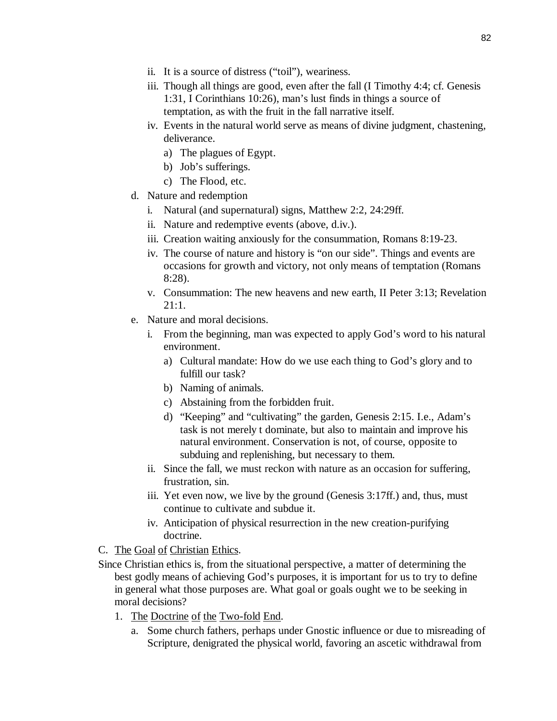- ii. It is a source of distress ("toil"), weariness.
- iii. Though all things are good, even after the fall (I Timothy 4:4; cf. Genesis 1:31, I Corinthians 10:26), man's lust finds in things a source of temptation, as with the fruit in the fall narrative itself.
- iv. Events in the natural world serve as means of divine judgment, chastening, deliverance.
	- a) The plagues of Egypt.
	- b) Job's sufferings.
	- c) The Flood, etc.
- d. Nature and redemption
	- i. Natural (and supernatural) signs, Matthew 2:2, 24:29ff.
	- ii. Nature and redemptive events (above, d.iv.).
	- iii. Creation waiting anxiously for the consummation, Romans 8:19-23.
	- iv. The course of nature and history is "on our side". Things and events are occasions for growth and victory, not only means of temptation (Romans 8:28).
	- v. Consummation: The new heavens and new earth, II Peter 3:13; Revelation 21:1.
- e. Nature and moral decisions.
	- i. From the beginning, man was expected to apply God's word to his natural environment.
		- a) Cultural mandate: How do we use each thing to God's glory and to fulfill our task?
		- b) Naming of animals.
		- c) Abstaining from the forbidden fruit.
		- d) "Keeping" and "cultivating" the garden, Genesis 2:15. I.e., Adam's task is not merely t dominate, but also to maintain and improve his natural environment. Conservation is not, of course, opposite to subduing and replenishing, but necessary to them.
	- ii. Since the fall, we must reckon with nature as an occasion for suffering, frustration, sin.
	- iii. Yet even now, we live by the ground (Genesis 3:17ff.) and, thus, must continue to cultivate and subdue it.
	- iv. Anticipation of physical resurrection in the new creation-purifying doctrine.
- C. The Goal of Christian Ethics.
- Since Christian ethics is, from the situational perspective, a matter of determining the best godly means of achieving God's purposes, it is important for us to try to define in general what those purposes are. What goal or goals ought we to be seeking in moral decisions?
	- 1. The Doctrine of the Two-fold End.
		- a. Some church fathers, perhaps under Gnostic influence or due to misreading of Scripture, denigrated the physical world, favoring an ascetic withdrawal from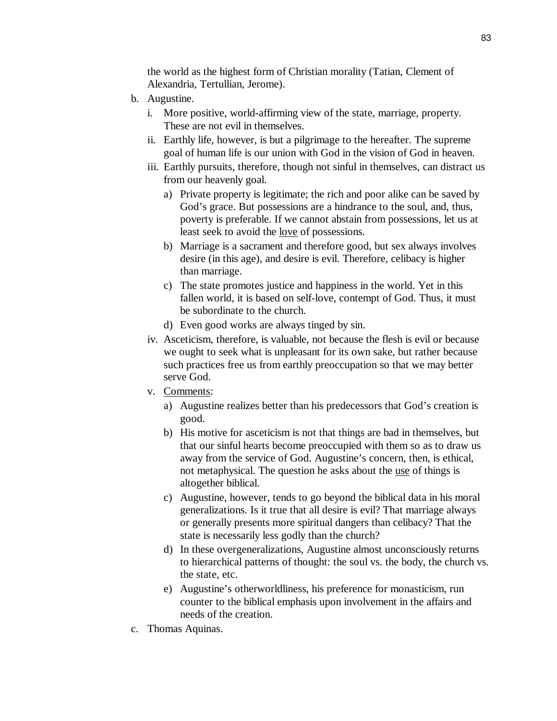the world as the highest form of Christian morality (Tatian, Clement of Alexandria, Tertullian, Jerome).

- b. Augustine.
	- i. More positive, world-affirming view of the state, marriage, property. These are not evil in themselves.
	- ii. Earthly life, however, is but a pilgrimage to the hereafter. The supreme goal of human life is our union with God in the vision of God in heaven.
	- iii. Earthly pursuits, therefore, though not sinful in themselves, can distract us from our heavenly goal.
		- a) Private property is legitimate; the rich and poor alike can be saved by God's grace. But possessions are a hindrance to the soul, and, thus, poverty is preferable. If we cannot abstain from possessions, let us at least seek to avoid the love of possessions.
		- b) Marriage is a sacrament and therefore good, but sex always involves desire (in this age), and desire is evil. Therefore, celibacy is higher than marriage.
		- c) The state promotes justice and happiness in the world. Yet in this fallen world, it is based on self-love, contempt of God. Thus, it must be subordinate to the church.
		- d) Even good works are always tinged by sin.
	- iv. Asceticism, therefore, is valuable, not because the flesh is evil or because we ought to seek what is unpleasant for its own sake, but rather because such practices free us from earthly preoccupation so that we may better serve God.
	- v. Comments:
		- a) Augustine realizes better than his predecessors that God's creation is good.
		- b) His motive for asceticism is not that things are bad in themselves, but that our sinful hearts become preoccupied with them so as to draw us away from the service of God. Augustine's concern, then, is ethical, not metaphysical. The question he asks about the use of things is altogether biblical.
		- c) Augustine, however, tends to go beyond the biblical data in his moral generalizations. Is it true that all desire is evil? That marriage always or generally presents more spiritual dangers than celibacy? That the state is necessarily less godly than the church?
		- d) In these overgeneralizations, Augustine almost unconsciously returns to hierarchical patterns of thought: the soul vs. the body, the church vs. the state, etc.
		- e) Augustine's otherworldliness, his preference for monasticism, run counter to the biblical emphasis upon involvement in the affairs and needs of the creation.
- c. Thomas Aquinas.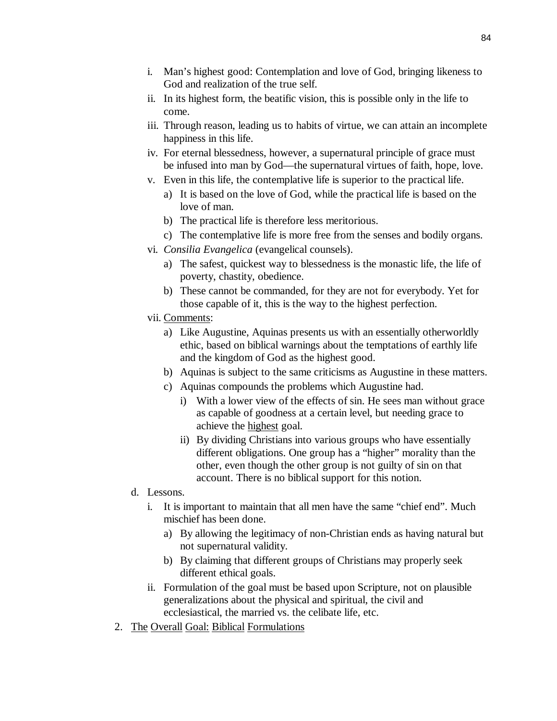- i. Man's highest good: Contemplation and love of God, bringing likeness to God and realization of the true self.
- ii. In its highest form, the beatific vision, this is possible only in the life to come.
- iii. Through reason, leading us to habits of virtue, we can attain an incomplete happiness in this life.
- iv. For eternal blessedness, however, a supernatural principle of grace must be infused into man by God—the supernatural virtues of faith, hope, love.
- v. Even in this life, the contemplative life is superior to the practical life.
	- a) It is based on the love of God, while the practical life is based on the love of man.
	- b) The practical life is therefore less meritorious.
	- c) The contemplative life is more free from the senses and bodily organs.
- vi. *Consilia Evangelica* (evangelical counsels).
	- a) The safest, quickest way to blessedness is the monastic life, the life of poverty, chastity, obedience.
	- b) These cannot be commanded, for they are not for everybody. Yet for those capable of it, this is the way to the highest perfection.
- vii. Comments:
	- a) Like Augustine, Aquinas presents us with an essentially otherworldly ethic, based on biblical warnings about the temptations of earthly life and the kingdom of God as the highest good.
	- b) Aquinas is subject to the same criticisms as Augustine in these matters.
	- c) Aquinas compounds the problems which Augustine had.
		- i) With a lower view of the effects of sin. He sees man without grace as capable of goodness at a certain level, but needing grace to achieve the highest goal.
		- ii) By dividing Christians into various groups who have essentially different obligations. One group has a "higher" morality than the other, even though the other group is not guilty of sin on that account. There is no biblical support for this notion.
- d. Lessons.
	- i. It is important to maintain that all men have the same "chief end". Much mischief has been done.
		- a) By allowing the legitimacy of non-Christian ends as having natural but not supernatural validity.
		- b) By claiming that different groups of Christians may properly seek different ethical goals.
	- ii. Formulation of the goal must be based upon Scripture, not on plausible generalizations about the physical and spiritual, the civil and ecclesiastical, the married vs. the celibate life, etc.
- 2. The Overall Goal: Biblical Formulations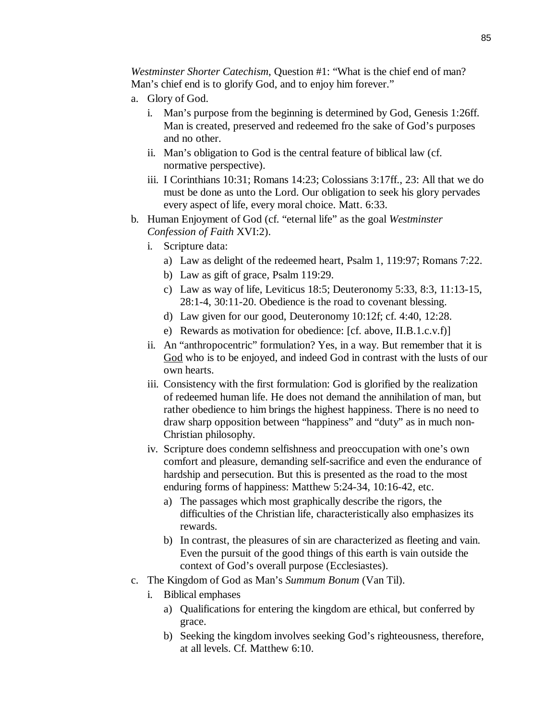*Westminster Shorter Catechism*, Question #1: "What is the chief end of man? Man's chief end is to glorify God, and to enjoy him forever."

- a. Glory of God.
	- i. Man's purpose from the beginning is determined by God, Genesis 1:26ff. Man is created, preserved and redeemed fro the sake of God's purposes and no other.
	- ii. Man's obligation to God is the central feature of biblical law (cf. normative perspective).
	- iii. I Corinthians 10:31; Romans 14:23; Colossians 3:17ff., 23: All that we do must be done as unto the Lord. Our obligation to seek his glory pervades every aspect of life, every moral choice. Matt. 6:33.
- b. Human Enjoyment of God (cf. "eternal life" as the goal *Westminster Confession of Faith* XVI:2).
	- i. Scripture data:
		- a) Law as delight of the redeemed heart, Psalm 1, 119:97; Romans 7:22.
		- b) Law as gift of grace, Psalm 119:29.
		- c) Law as way of life, Leviticus 18:5; Deuteronomy 5:33, 8:3, 11:13-15, 28:1-4, 30:11-20. Obedience is the road to covenant blessing.
		- d) Law given for our good, Deuteronomy 10:12f; cf. 4:40, 12:28.
		- e) Rewards as motivation for obedience: [cf. above, II.B.1.c.v.f)]
	- ii. An "anthropocentric" formulation? Yes, in a way. But remember that it is God who is to be enjoyed, and indeed God in contrast with the lusts of our own hearts.
	- iii. Consistency with the first formulation: God is glorified by the realization of redeemed human life. He does not demand the annihilation of man, but rather obedience to him brings the highest happiness. There is no need to draw sharp opposition between "happiness" and "duty" as in much non-Christian philosophy.
	- iv. Scripture does condemn selfishness and preoccupation with one's own comfort and pleasure, demanding self-sacrifice and even the endurance of hardship and persecution. But this is presented as the road to the most enduring forms of happiness: Matthew 5:24-34, 10:16-42, etc.
		- a) The passages which most graphically describe the rigors, the difficulties of the Christian life, characteristically also emphasizes its rewards.
		- b) In contrast, the pleasures of sin are characterized as fleeting and vain. Even the pursuit of the good things of this earth is vain outside the context of God's overall purpose (Ecclesiastes).
- c. The Kingdom of God as Man's *Summum Bonum* (Van Til).
	- i. Biblical emphases
		- a) Qualifications for entering the kingdom are ethical, but conferred by grace.
		- b) Seeking the kingdom involves seeking God's righteousness, therefore, at all levels. Cf. Matthew 6:10.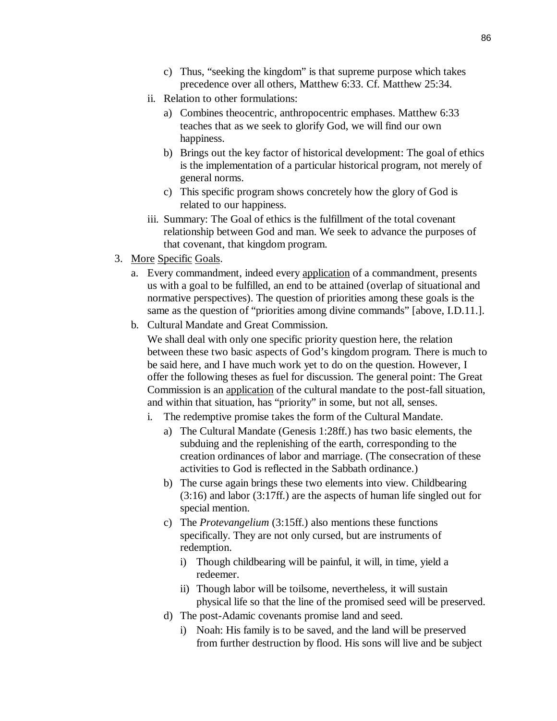- c) Thus, "seeking the kingdom" is that supreme purpose which takes precedence over all others, Matthew 6:33. Cf. Matthew 25:34.
- ii. Relation to other formulations:
	- a) Combines theocentric, anthropocentric emphases. Matthew 6:33 teaches that as we seek to glorify God, we will find our own happiness.
	- b) Brings out the key factor of historical development: The goal of ethics is the implementation of a particular historical program, not merely of general norms.
	- c) This specific program shows concretely how the glory of God is related to our happiness.
- iii. Summary: The Goal of ethics is the fulfillment of the total covenant relationship between God and man. We seek to advance the purposes of that covenant, that kingdom program.
- 3. More Specific Goals.
	- a. Every commandment, indeed every application of a commandment, presents us with a goal to be fulfilled, an end to be attained (overlap of situational and normative perspectives). The question of priorities among these goals is the same as the question of "priorities among divine commands" [above, I.D.11.].
	- b. Cultural Mandate and Great Commission.

We shall deal with only one specific priority question here, the relation between these two basic aspects of God's kingdom program. There is much to be said here, and I have much work yet to do on the question. However, I offer the following theses as fuel for discussion. The general point: The Great Commission is an application of the cultural mandate to the post-fall situation, and within that situation, has "priority" in some, but not all, senses.

- i. The redemptive promise takes the form of the Cultural Mandate.
	- a) The Cultural Mandate (Genesis 1:28ff.) has two basic elements, the subduing and the replenishing of the earth, corresponding to the creation ordinances of labor and marriage. (The consecration of these activities to God is reflected in the Sabbath ordinance.)
	- b) The curse again brings these two elements into view. Childbearing (3:16) and labor (3:17ff.) are the aspects of human life singled out for special mention.
	- c) The *Protevangelium* (3:15ff.) also mentions these functions specifically. They are not only cursed, but are instruments of redemption.
		- i) Though childbearing will be painful, it will, in time, yield a redeemer.
		- ii) Though labor will be toilsome, nevertheless, it will sustain physical life so that the line of the promised seed will be preserved.
	- d) The post-Adamic covenants promise land and seed.
		- i) Noah: His family is to be saved, and the land will be preserved from further destruction by flood. His sons will live and be subject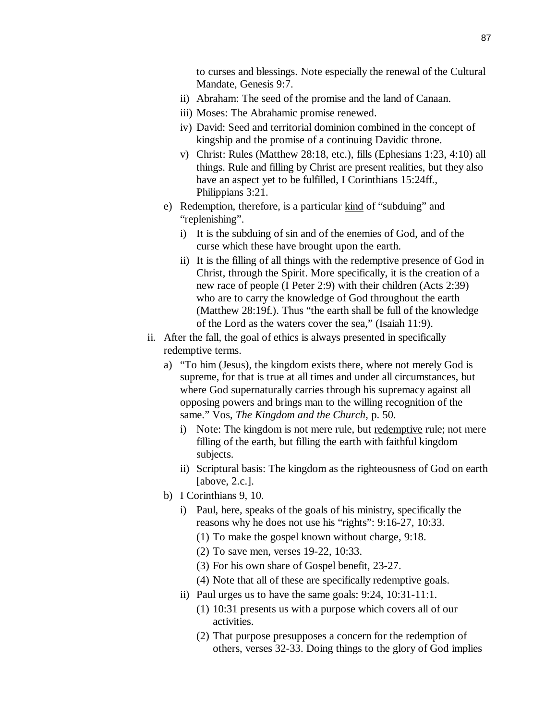to curses and blessings. Note especially the renewal of the Cultural Mandate, Genesis 9:7.

- ii) Abraham: The seed of the promise and the land of Canaan.
- iii) Moses: The Abrahamic promise renewed.
- iv) David: Seed and territorial dominion combined in the concept of kingship and the promise of a continuing Davidic throne.
- v) Christ: Rules (Matthew 28:18, etc.), fills (Ephesians 1:23, 4:10) all things. Rule and filling by Christ are present realities, but they also have an aspect yet to be fulfilled, I Corinthians 15:24ff., Philippians 3:21.
- e) Redemption, therefore, is a particular kind of "subduing" and "replenishing".
	- i) It is the subduing of sin and of the enemies of God, and of the curse which these have brought upon the earth.
	- ii) It is the filling of all things with the redemptive presence of God in Christ, through the Spirit. More specifically, it is the creation of a new race of people (I Peter 2:9) with their children (Acts 2:39) who are to carry the knowledge of God throughout the earth (Matthew 28:19f.). Thus "the earth shall be full of the knowledge of the Lord as the waters cover the sea," (Isaiah 11:9).
- ii. After the fall, the goal of ethics is always presented in specifically redemptive terms.
	- a) "To him (Jesus), the kingdom exists there, where not merely God is supreme, for that is true at all times and under all circumstances, but where God supernaturally carries through his supremacy against all opposing powers and brings man to the willing recognition of the same." Vos, *The Kingdom and the Church*, p. 50.
		- i) Note: The kingdom is not mere rule, but redemptive rule; not mere filling of the earth, but filling the earth with faithful kingdom subjects.
		- ii) Scriptural basis: The kingdom as the righteousness of God on earth [above, 2.c.].
	- b) I Corinthians 9, 10.
		- i) Paul, here, speaks of the goals of his ministry, specifically the reasons why he does not use his "rights": 9:16-27, 10:33.
			- (1) To make the gospel known without charge, 9:18.
			- (2) To save men, verses 19-22, 10:33.
			- (3) For his own share of Gospel benefit, 23-27.
			- (4) Note that all of these are specifically redemptive goals.
		- ii) Paul urges us to have the same goals: 9:24, 10:31-11:1.
			- (1) 10:31 presents us with a purpose which covers all of our activities.
			- (2) That purpose presupposes a concern for the redemption of others, verses 32-33. Doing things to the glory of God implies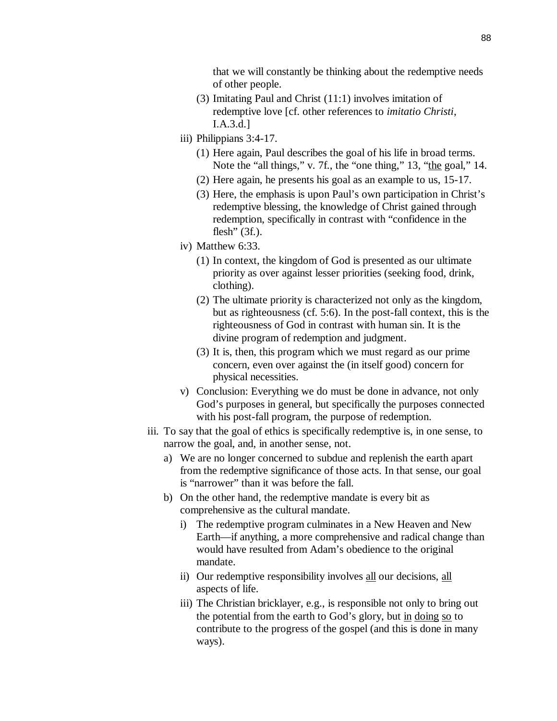that we will constantly be thinking about the redemptive needs of other people.

- (3) Imitating Paul and Christ (11:1) involves imitation of redemptive love [cf. other references to *imitatio Christi*, I.A.3.d.]
- iii) Philippians 3:4-17.
	- (1) Here again, Paul describes the goal of his life in broad terms. Note the "all things," v. 7f., the "one thing," 13, "the goal," 14.
	- (2) Here again, he presents his goal as an example to us, 15-17.
	- (3) Here, the emphasis is upon Paul's own participation in Christ's redemptive blessing, the knowledge of Christ gained through redemption, specifically in contrast with "confidence in the flesh" (3f.).
- iv) Matthew 6:33.
	- (1) In context, the kingdom of God is presented as our ultimate priority as over against lesser priorities (seeking food, drink, clothing).
	- (2) The ultimate priority is characterized not only as the kingdom, but as righteousness (cf. 5:6). In the post-fall context, this is the righteousness of God in contrast with human sin. It is the divine program of redemption and judgment.
	- (3) It is, then, this program which we must regard as our prime concern, even over against the (in itself good) concern for physical necessities.
- v) Conclusion: Everything we do must be done in advance, not only God's purposes in general, but specifically the purposes connected with his post-fall program, the purpose of redemption.
- iii. To say that the goal of ethics is specifically redemptive is, in one sense, to narrow the goal, and, in another sense, not.
	- a) We are no longer concerned to subdue and replenish the earth apart from the redemptive significance of those acts. In that sense, our goal is "narrower" than it was before the fall.
	- b) On the other hand, the redemptive mandate is every bit as comprehensive as the cultural mandate.
		- i) The redemptive program culminates in a New Heaven and New Earth—if anything, a more comprehensive and radical change than would have resulted from Adam's obedience to the original mandate.
		- ii) Our redemptive responsibility involves all our decisions, all aspects of life.
		- iii) The Christian bricklayer, e.g., is responsible not only to bring out the potential from the earth to God's glory, but in doing so to contribute to the progress of the gospel (and this is done in many ways).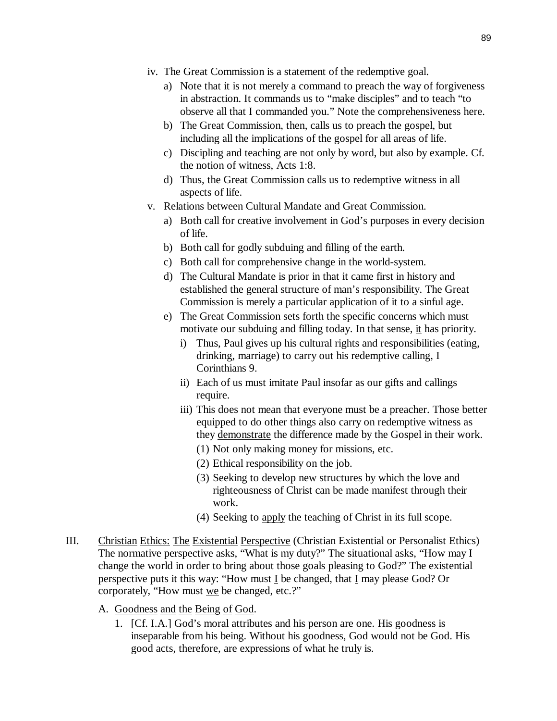- iv. The Great Commission is a statement of the redemptive goal.
	- a) Note that it is not merely a command to preach the way of forgiveness in abstraction. It commands us to "make disciples" and to teach "to observe all that I commanded you." Note the comprehensiveness here.
	- b) The Great Commission, then, calls us to preach the gospel, but including all the implications of the gospel for all areas of life.
	- c) Discipling and teaching are not only by word, but also by example. Cf. the notion of witness, Acts 1:8.
	- d) Thus, the Great Commission calls us to redemptive witness in all aspects of life.
- v. Relations between Cultural Mandate and Great Commission.
	- a) Both call for creative involvement in God's purposes in every decision of life.
	- b) Both call for godly subduing and filling of the earth.
	- c) Both call for comprehensive change in the world-system.
	- d) The Cultural Mandate is prior in that it came first in history and established the general structure of man's responsibility. The Great Commission is merely a particular application of it to a sinful age.
	- e) The Great Commission sets forth the specific concerns which must motivate our subduing and filling today. In that sense, it has priority.
		- i) Thus, Paul gives up his cultural rights and responsibilities (eating, drinking, marriage) to carry out his redemptive calling, I Corinthians 9.
		- ii) Each of us must imitate Paul insofar as our gifts and callings require.
		- iii) This does not mean that everyone must be a preacher. Those better equipped to do other things also carry on redemptive witness as they demonstrate the difference made by the Gospel in their work.
			- (1) Not only making money for missions, etc.
			- (2) Ethical responsibility on the job.
			- (3) Seeking to develop new structures by which the love and righteousness of Christ can be made manifest through their work.
			- (4) Seeking to apply the teaching of Christ in its full scope.
- III. Christian Ethics: The Existential Perspective (Christian Existential or Personalist Ethics) The normative perspective asks, "What is my duty?" The situational asks, "How may I change the world in order to bring about those goals pleasing to God?" The existential perspective puts it this way: "How must I be changed, that I may please God? Or corporately, "How must we be changed, etc.?"
	- A. Goodness and the Being of God.
		- 1. [Cf. I.A.] God's moral attributes and his person are one. His goodness is inseparable from his being. Without his goodness, God would not be God. His good acts, therefore, are expressions of what he truly is.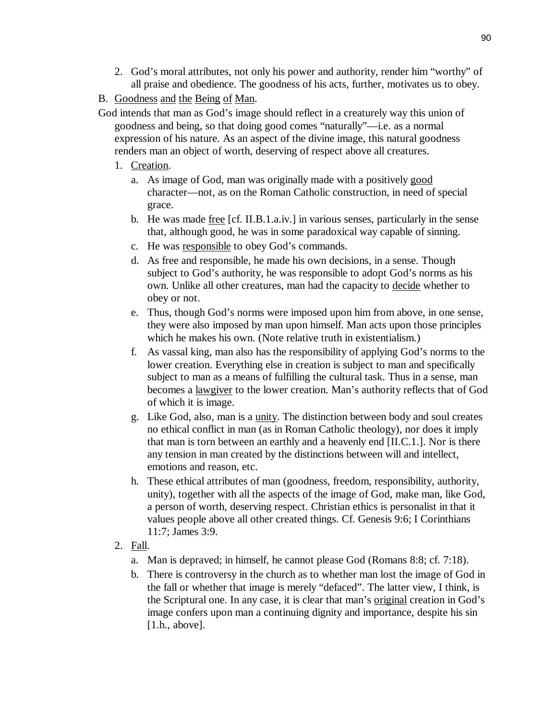2. God's moral attributes, not only his power and authority, render him "worthy" of all praise and obedience. The goodness of his acts, further, motivates us to obey.

B. Goodness and the Being of Man.

God intends that man as God's image should reflect in a creaturely way this union of goodness and being, so that doing good comes "naturally"—i.e. as a normal expression of his nature. As an aspect of the divine image, this natural goodness renders man an object of worth, deserving of respect above all creatures.

- 1. Creation.
	- a. As image of God, man was originally made with a positively good character—not, as on the Roman Catholic construction, in need of special grace.
	- b. He was made free [cf. II.B.1.a.iv.] in various senses, particularly in the sense that, although good, he was in some paradoxical way capable of sinning.
	- c. He was responsible to obey God's commands.
	- d. As free and responsible, he made his own decisions, in a sense. Though subject to God's authority, he was responsible to adopt God's norms as his own. Unlike all other creatures, man had the capacity to decide whether to obey or not.
	- e. Thus, though God's norms were imposed upon him from above, in one sense, they were also imposed by man upon himself. Man acts upon those principles which he makes his own. (Note relative truth in existentialism.)
	- f. As vassal king, man also has the responsibility of applying God's norms to the lower creation. Everything else in creation is subject to man and specifically subject to man as a means of fulfilling the cultural task. Thus in a sense, man becomes a lawgiver to the lower creation. Man's authority reflects that of God of which it is image.
	- g. Like God, also, man is a unity. The distinction between body and soul creates no ethical conflict in man (as in Roman Catholic theology), nor does it imply that man is torn between an earthly and a heavenly end [II.C.1.]. Nor is there any tension in man created by the distinctions between will and intellect, emotions and reason, etc.
	- h. These ethical attributes of man (goodness, freedom, responsibility, authority, unity), together with all the aspects of the image of God, make man, like God, a person of worth, deserving respect. Christian ethics is personalist in that it values people above all other created things. Cf. Genesis 9:6; I Corinthians 11:7; James 3:9.
- 2. Fall.
	- a. Man is depraved; in himself, he cannot please God (Romans 8:8; cf. 7:18).
	- b. There is controversy in the church as to whether man lost the image of God in the fall or whether that image is merely "defaced". The latter view, I think, is the Scriptural one. In any case, it is clear that man's original creation in God's image confers upon man a continuing dignity and importance, despite his sin [1.h., above].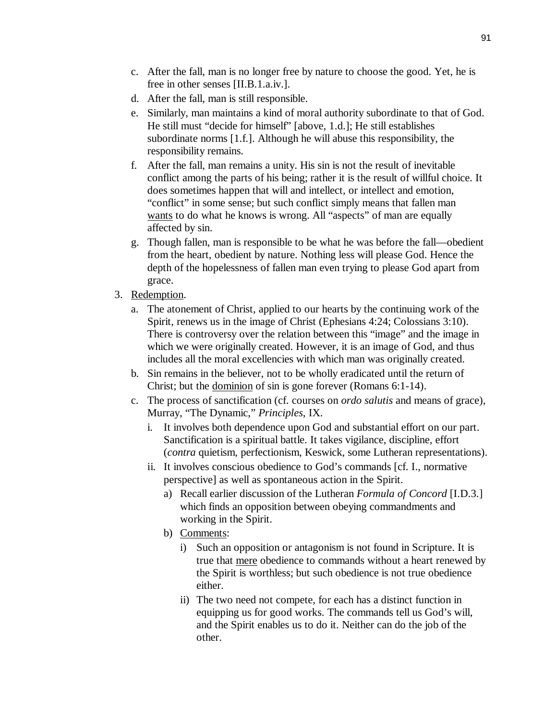- c. After the fall, man is no longer free by nature to choose the good. Yet, he is free in other senses [II.B.1.a.iv.].
- d. After the fall, man is still responsible.
- e. Similarly, man maintains a kind of moral authority subordinate to that of God. He still must "decide for himself" [above, 1.d.]; He still establishes subordinate norms [1.f.]. Although he will abuse this responsibility, the responsibility remains.
- f. After the fall, man remains a unity. His sin is not the result of inevitable conflict among the parts of his being; rather it is the result of willful choice. It does sometimes happen that will and intellect, or intellect and emotion, "conflict" in some sense; but such conflict simply means that fallen man wants to do what he knows is wrong. All "aspects" of man are equally affected by sin.
- g. Though fallen, man is responsible to be what he was before the fall—obedient from the heart, obedient by nature. Nothing less will please God. Hence the depth of the hopelessness of fallen man even trying to please God apart from grace.
- 3. Redemption.
	- a. The atonement of Christ, applied to our hearts by the continuing work of the Spirit, renews us in the image of Christ (Ephesians 4:24; Colossians 3:10). There is controversy over the relation between this "image" and the image in which we were originally created. However, it is an image of God, and thus includes all the moral excellencies with which man was originally created.
	- b. Sin remains in the believer, not to be wholly eradicated until the return of Christ; but the dominion of sin is gone forever (Romans 6:1-14).
	- c. The process of sanctification (cf. courses on *ordo salutis* and means of grace), Murray, "The Dynamic," *Principles*, IX.
		- i. It involves both dependence upon God and substantial effort on our part. Sanctification is a spiritual battle. It takes vigilance, discipline, effort (*contra* quietism, perfectionism, Keswick, some Lutheran representations).
		- ii. It involves conscious obedience to God's commands [cf. I., normative perspective] as well as spontaneous action in the Spirit.
			- a) Recall earlier discussion of the Lutheran *Formula of Concord* [I.D.3.] which finds an opposition between obeying commandments and working in the Spirit.
			- b) Comments:
				- i) Such an opposition or antagonism is not found in Scripture. It is true that mere obedience to commands without a heart renewed by the Spirit is worthless; but such obedience is not true obedience either.
				- ii) The two need not compete, for each has a distinct function in equipping us for good works. The commands tell us God's will, and the Spirit enables us to do it. Neither can do the job of the other.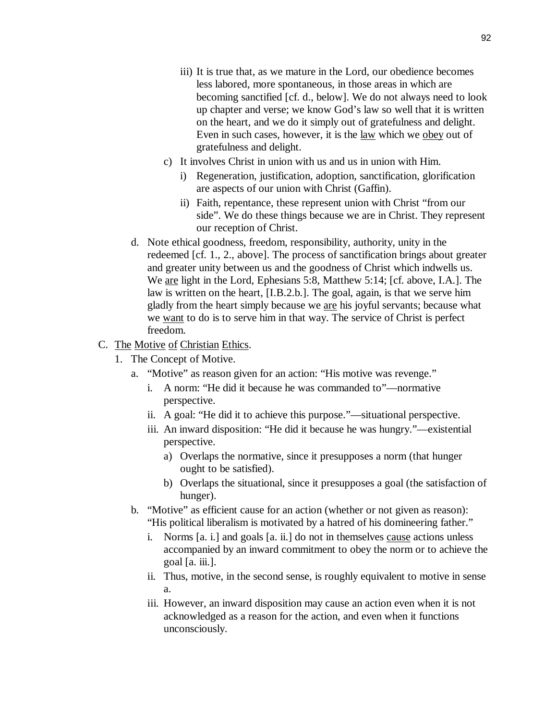- iii) It is true that, as we mature in the Lord, our obedience becomes less labored, more spontaneous, in those areas in which are becoming sanctified [cf. d., below]. We do not always need to look up chapter and verse; we know God's law so well that it is written on the heart, and we do it simply out of gratefulness and delight. Even in such cases, however, it is the law which we obey out of gratefulness and delight.
- c) It involves Christ in union with us and us in union with Him.
	- i) Regeneration, justification, adoption, sanctification, glorification are aspects of our union with Christ (Gaffin).
	- ii) Faith, repentance, these represent union with Christ "from our side". We do these things because we are in Christ. They represent our reception of Christ.
- d. Note ethical goodness, freedom, responsibility, authority, unity in the redeemed [cf. 1., 2., above]. The process of sanctification brings about greater and greater unity between us and the goodness of Christ which indwells us. We are light in the Lord, Ephesians 5:8, Matthew 5:14; [cf. above, I.A.]. The law is written on the heart, [I.B.2.b.]. The goal, again, is that we serve him gladly from the heart simply because we are his joyful servants; because what we want to do is to serve him in that way. The service of Christ is perfect freedom.

### C. The Motive of Christian Ethics.

- 1. The Concept of Motive.
	- a. "Motive" as reason given for an action: "His motive was revenge."
		- i. A norm: "He did it because he was commanded to"—normative perspective.
		- ii. A goal: "He did it to achieve this purpose."—situational perspective.
		- iii. An inward disposition: "He did it because he was hungry."—existential perspective.
			- a) Overlaps the normative, since it presupposes a norm (that hunger ought to be satisfied).
			- b) Overlaps the situational, since it presupposes a goal (the satisfaction of hunger).
	- b. "Motive" as efficient cause for an action (whether or not given as reason): "His political liberalism is motivated by a hatred of his domineering father."
		- i. Norms [a. i.] and goals [a. ii.] do not in themselves cause actions unless accompanied by an inward commitment to obey the norm or to achieve the  $goal [a. iii.].$
		- ii. Thus, motive, in the second sense, is roughly equivalent to motive in sense a.
		- iii. However, an inward disposition may cause an action even when it is not acknowledged as a reason for the action, and even when it functions unconsciously.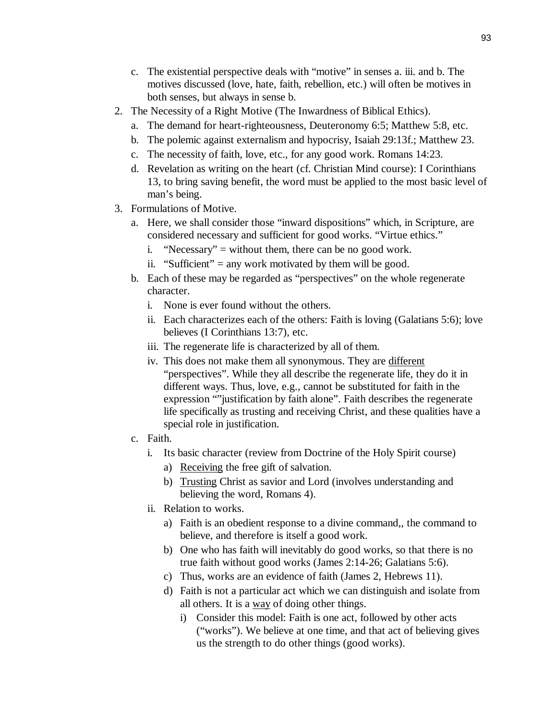- c. The existential perspective deals with "motive" in senses a. iii. and b. The motives discussed (love, hate, faith, rebellion, etc.) will often be motives in both senses, but always in sense b.
- 2. The Necessity of a Right Motive (The Inwardness of Biblical Ethics).
	- a. The demand for heart-righteousness, Deuteronomy 6:5; Matthew 5:8, etc.
	- b. The polemic against externalism and hypocrisy, Isaiah 29:13f.; Matthew 23.
	- c. The necessity of faith, love, etc., for any good work. Romans 14:23.
	- d. Revelation as writing on the heart (cf. Christian Mind course): I Corinthians 13, to bring saving benefit, the word must be applied to the most basic level of man's being.
- 3. Formulations of Motive.
	- a. Here, we shall consider those "inward dispositions" which, in Scripture, are considered necessary and sufficient for good works. "Virtue ethics."
		- i. "Necessary" = without them, there can be no good work.
		- ii. "Sufficient" = any work motivated by them will be good.
	- b. Each of these may be regarded as "perspectives" on the whole regenerate character.
		- i. None is ever found without the others.
		- ii. Each characterizes each of the others: Faith is loving (Galatians 5:6); love believes (I Corinthians 13:7), etc.
		- iii. The regenerate life is characterized by all of them.
		- iv. This does not make them all synonymous. They are different "perspectives". While they all describe the regenerate life, they do it in different ways. Thus, love, e.g., cannot be substituted for faith in the expression ""justification by faith alone". Faith describes the regenerate life specifically as trusting and receiving Christ, and these qualities have a special role in justification.
	- c. Faith.
		- i. Its basic character (review from Doctrine of the Holy Spirit course)
			- a) Receiving the free gift of salvation.
			- b) Trusting Christ as savior and Lord (involves understanding and believing the word, Romans 4).
		- ii. Relation to works.
			- a) Faith is an obedient response to a divine command,, the command to believe, and therefore is itself a good work.
			- b) One who has faith will inevitably do good works, so that there is no true faith without good works (James 2:14-26; Galatians 5:6).
			- c) Thus, works are an evidence of faith (James 2, Hebrews 11).
			- d) Faith is not a particular act which we can distinguish and isolate from all others. It is a way of doing other things.
				- i) Consider this model: Faith is one act, followed by other acts ("works"). We believe at one time, and that act of believing gives us the strength to do other things (good works).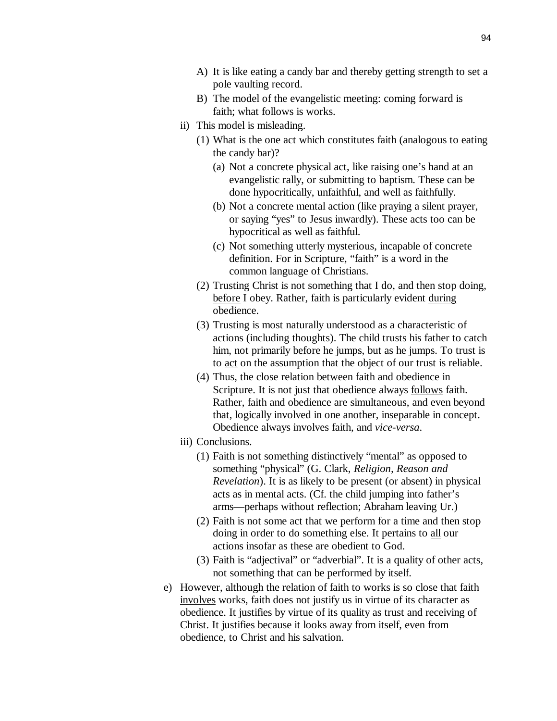- A) It is like eating a candy bar and thereby getting strength to set a pole vaulting record.
- B) The model of the evangelistic meeting: coming forward is faith; what follows is works.
- ii) This model is misleading.
	- (1) What is the one act which constitutes faith (analogous to eating the candy bar)?
		- (a) Not a concrete physical act, like raising one's hand at an evangelistic rally, or submitting to baptism. These can be done hypocritically, unfaithful, and well as faithfully.
		- (b) Not a concrete mental action (like praying a silent prayer, or saying "yes" to Jesus inwardly). These acts too can be hypocritical as well as faithful.
		- (c) Not something utterly mysterious, incapable of concrete definition. For in Scripture, "faith" is a word in the common language of Christians.
	- (2) Trusting Christ is not something that I do, and then stop doing, before I obey. Rather, faith is particularly evident during obedience.
	- (3) Trusting is most naturally understood as a characteristic of actions (including thoughts). The child trusts his father to catch him, not primarily before he jumps, but <u>as</u> he jumps. To trust is to act on the assumption that the object of our trust is reliable.
	- (4) Thus, the close relation between faith and obedience in Scripture. It is not just that obedience always follows faith. Rather, faith and obedience are simultaneous, and even beyond that, logically involved in one another, inseparable in concept. Obedience always involves faith, and *vice-versa*.
- iii) Conclusions.
	- (1) Faith is not something distinctively "mental" as opposed to something "physical" (G. Clark, *Religion, Reason and Revelation*). It is as likely to be present (or absent) in physical acts as in mental acts. (Cf. the child jumping into father's arms—perhaps without reflection; Abraham leaving Ur.)
	- (2) Faith is not some act that we perform for a time and then stop doing in order to do something else. It pertains to all our actions insofar as these are obedient to God.
	- (3) Faith is "adjectival" or "adverbial". It is a quality of other acts, not something that can be performed by itself.
- e) However, although the relation of faith to works is so close that faith involves works, faith does not justify us in virtue of its character as obedience. It justifies by virtue of its quality as trust and receiving of Christ. It justifies because it looks away from itself, even from obedience, to Christ and his salvation.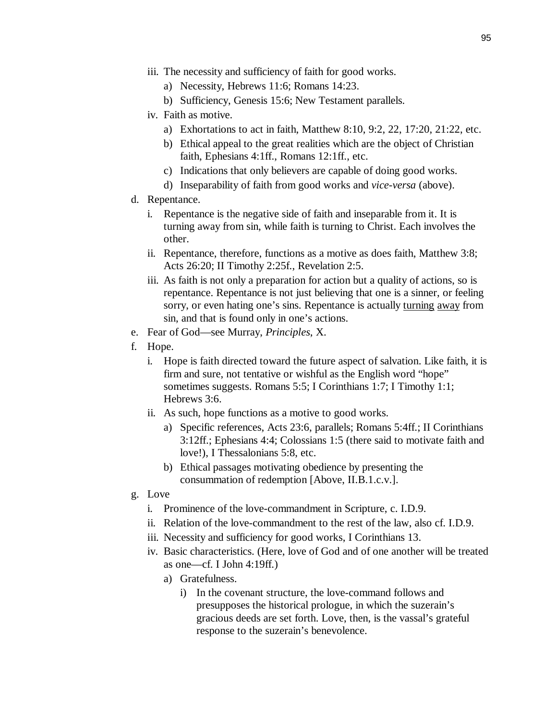- iii. The necessity and sufficiency of faith for good works.
	- a) Necessity, Hebrews 11:6; Romans 14:23.
	- b) Sufficiency, Genesis 15:6; New Testament parallels.
- iv. Faith as motive.
	- a) Exhortations to act in faith, Matthew 8:10, 9:2, 22, 17:20, 21:22, etc.
	- b) Ethical appeal to the great realities which are the object of Christian faith, Ephesians 4:1ff., Romans 12:1ff., etc.
	- c) Indications that only believers are capable of doing good works.
	- d) Inseparability of faith from good works and *vice-versa* (above).
- d. Repentance.
	- i. Repentance is the negative side of faith and inseparable from it. It is turning away from sin, while faith is turning to Christ. Each involves the other.
	- ii. Repentance, therefore, functions as a motive as does faith, Matthew 3:8; Acts 26:20; II Timothy 2:25f., Revelation 2:5.
	- iii. As faith is not only a preparation for action but a quality of actions, so is repentance. Repentance is not just believing that one is a sinner, or feeling sorry, or even hating one's sins. Repentance is actually turning away from sin, and that is found only in one's actions.
- e. Fear of God—see Murray, *Principles*, X.
- f. Hope.
	- i. Hope is faith directed toward the future aspect of salvation. Like faith, it is firm and sure, not tentative or wishful as the English word "hope" sometimes suggests. Romans 5:5; I Corinthians 1:7; I Timothy 1:1; Hebrews 3:6.
	- ii. As such, hope functions as a motive to good works.
		- a) Specific references, Acts 23:6, parallels; Romans 5:4ff.; II Corinthians 3:12ff.; Ephesians 4:4; Colossians 1:5 (there said to motivate faith and love!), I Thessalonians 5:8, etc.
		- b) Ethical passages motivating obedience by presenting the consummation of redemption [Above, II.B.1.c.v.].
- g. Love
	- i. Prominence of the love-commandment in Scripture, c. I.D.9.
	- ii. Relation of the love-commandment to the rest of the law, also cf. I.D.9.
	- iii. Necessity and sufficiency for good works, I Corinthians 13.
	- iv. Basic characteristics. (Here, love of God and of one another will be treated as one—cf. I John 4:19ff.)
		- a) Gratefulness.
			- i) In the covenant structure, the love-command follows and presupposes the historical prologue, in which the suzerain's gracious deeds are set forth. Love, then, is the vassal's grateful response to the suzerain's benevolence.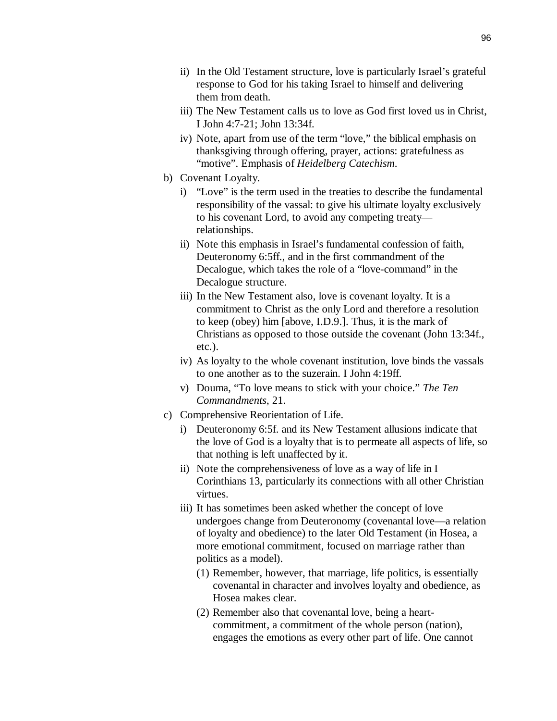- ii) In the Old Testament structure, love is particularly Israel's grateful response to God for his taking Israel to himself and delivering them from death.
- iii) The New Testament calls us to love as God first loved us in Christ, I John 4:7-21; John 13:34f.
- iv) Note, apart from use of the term "love," the biblical emphasis on thanksgiving through offering, prayer, actions: gratefulness as "motive". Emphasis of *Heidelberg Catechism*.
- b) Covenant Loyalty.
	- i) "Love" is the term used in the treaties to describe the fundamental responsibility of the vassal: to give his ultimate loyalty exclusively to his covenant Lord, to avoid any competing treaty relationships.
	- ii) Note this emphasis in Israel's fundamental confession of faith, Deuteronomy 6:5ff., and in the first commandment of the Decalogue, which takes the role of a "love-command" in the Decalogue structure.
	- iii) In the New Testament also, love is covenant loyalty. It is a commitment to Christ as the only Lord and therefore a resolution to keep (obey) him [above, I.D.9.]. Thus, it is the mark of Christians as opposed to those outside the covenant (John 13:34f., etc.).
	- iv) As loyalty to the whole covenant institution, love binds the vassals to one another as to the suzerain. I John 4:19ff.
	- v) Douma, "To love means to stick with your choice." *The Ten Commandments*, 21.
- c) Comprehensive Reorientation of Life.
	- i) Deuteronomy 6:5f. and its New Testament allusions indicate that the love of God is a loyalty that is to permeate all aspects of life, so that nothing is left unaffected by it.
	- ii) Note the comprehensiveness of love as a way of life in I Corinthians 13, particularly its connections with all other Christian virtues.
	- iii) It has sometimes been asked whether the concept of love undergoes change from Deuteronomy (covenantal love—a relation of loyalty and obedience) to the later Old Testament (in Hosea, a more emotional commitment, focused on marriage rather than politics as a model).
		- (1) Remember, however, that marriage, life politics, is essentially covenantal in character and involves loyalty and obedience, as Hosea makes clear.
		- (2) Remember also that covenantal love, being a heartcommitment, a commitment of the whole person (nation), engages the emotions as every other part of life. One cannot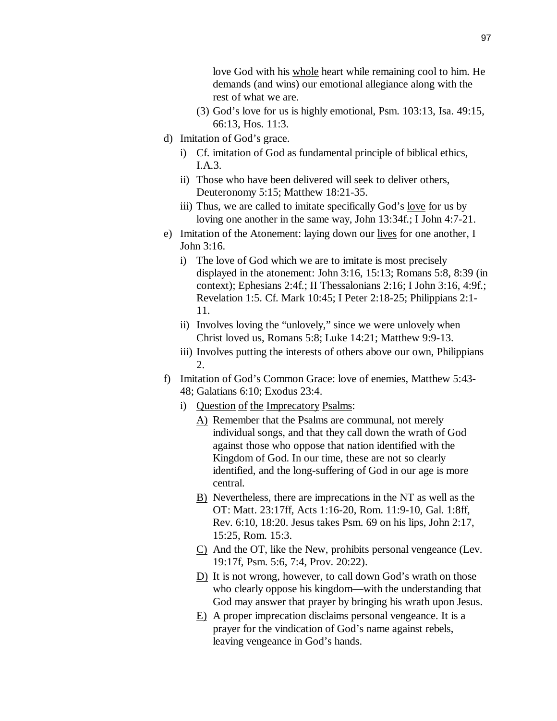love God with his whole heart while remaining cool to him. He demands (and wins) our emotional allegiance along with the rest of what we are.

- (3) God's love for us is highly emotional, Psm. 103:13, Isa. 49:15, 66:13, Hos. 11:3.
- d) Imitation of God's grace.
	- i) Cf. imitation of God as fundamental principle of biblical ethics, I.A.3.
	- ii) Those who have been delivered will seek to deliver others, Deuteronomy 5:15; Matthew 18:21-35.
	- iii) Thus, we are called to imitate specifically God's love for us by loving one another in the same way, John 13:34f.; I John 4:7-21.
- e) Imitation of the Atonement: laying down our lives for one another, I John 3:16.
	- i) The love of God which we are to imitate is most precisely displayed in the atonement: John 3:16, 15:13; Romans 5:8, 8:39 (in context); Ephesians 2:4f.; II Thessalonians 2:16; I John 3:16, 4:9f.; Revelation 1:5. Cf. Mark 10:45; I Peter 2:18-25; Philippians 2:1- 11.
	- ii) Involves loving the "unlovely," since we were unlovely when Christ loved us, Romans 5:8; Luke 14:21; Matthew 9:9-13.
	- iii) Involves putting the interests of others above our own, Philippians 2.
- f) Imitation of God's Common Grace: love of enemies, Matthew 5:43- 48; Galatians 6:10; Exodus 23:4.
	- i) Question of the Imprecatory Psalms:
		- A) Remember that the Psalms are communal, not merely individual songs, and that they call down the wrath of God against those who oppose that nation identified with the Kingdom of God. In our time, these are not so clearly identified, and the long-suffering of God in our age is more central.
		- B) Nevertheless, there are imprecations in the NT as well as the OT: Matt. 23:17ff, Acts 1:16-20, Rom. 11:9-10, Gal. 1:8ff, Rev. 6:10, 18:20. Jesus takes Psm. 69 on his lips, John 2:17, 15:25, Rom. 15:3.
		- C) And the OT, like the New, prohibits personal vengeance (Lev. 19:17f, Psm. 5:6, 7:4, Prov. 20:22).
		- D) It is not wrong, however, to call down God's wrath on those who clearly oppose his kingdom—with the understanding that God may answer that prayer by bringing his wrath upon Jesus.
		- E) A proper imprecation disclaims personal vengeance. It is a prayer for the vindication of God's name against rebels, leaving vengeance in God's hands.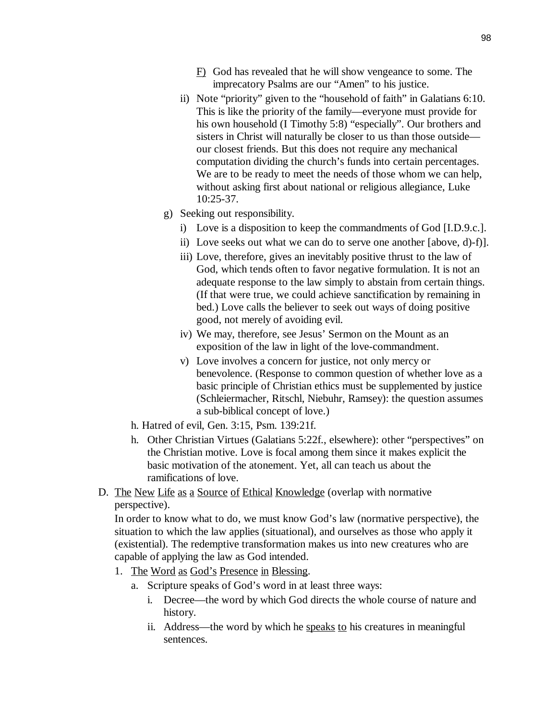- $E$  God has revealed that he will show vengeance to some. The imprecatory Psalms are our "Amen" to his justice.
- ii) Note "priority" given to the "household of faith" in Galatians 6:10. This is like the priority of the family—everyone must provide for his own household (I Timothy 5:8) "especially". Our brothers and sisters in Christ will naturally be closer to us than those outside our closest friends. But this does not require any mechanical computation dividing the church's funds into certain percentages. We are to be ready to meet the needs of those whom we can help, without asking first about national or religious allegiance, Luke 10:25-37.
- g) Seeking out responsibility.
	- i) Love is a disposition to keep the commandments of God [I.D.9.c.].
	- ii) Love seeks out what we can do to serve one another [above, d)-f)].
	- iii) Love, therefore, gives an inevitably positive thrust to the law of God, which tends often to favor negative formulation. It is not an adequate response to the law simply to abstain from certain things. (If that were true, we could achieve sanctification by remaining in bed.) Love calls the believer to seek out ways of doing positive good, not merely of avoiding evil.
	- iv) We may, therefore, see Jesus' Sermon on the Mount as an exposition of the law in light of the love-commandment.
	- v) Love involves a concern for justice, not only mercy or benevolence. (Response to common question of whether love as a basic principle of Christian ethics must be supplemented by justice (Schleiermacher, Ritschl, Niebuhr, Ramsey): the question assumes a sub-biblical concept of love.)
- h. Hatred of evil, Gen. 3:15, Psm. 139:21f.
- h. Other Christian Virtues (Galatians 5:22f., elsewhere): other "perspectives" on the Christian motive. Love is focal among them since it makes explicit the basic motivation of the atonement. Yet, all can teach us about the ramifications of love.
- D. The New Life as a Source of Ethical Knowledge (overlap with normative perspective).

In order to know what to do, we must know God's law (normative perspective), the situation to which the law applies (situational), and ourselves as those who apply it (existential). The redemptive transformation makes us into new creatures who are capable of applying the law as God intended.

- 1. The Word as God's Presence in Blessing.
	- a. Scripture speaks of God's word in at least three ways:
		- i. Decree—the word by which God directs the whole course of nature and history.
		- ii. Address—the word by which he speaks to his creatures in meaningful sentences.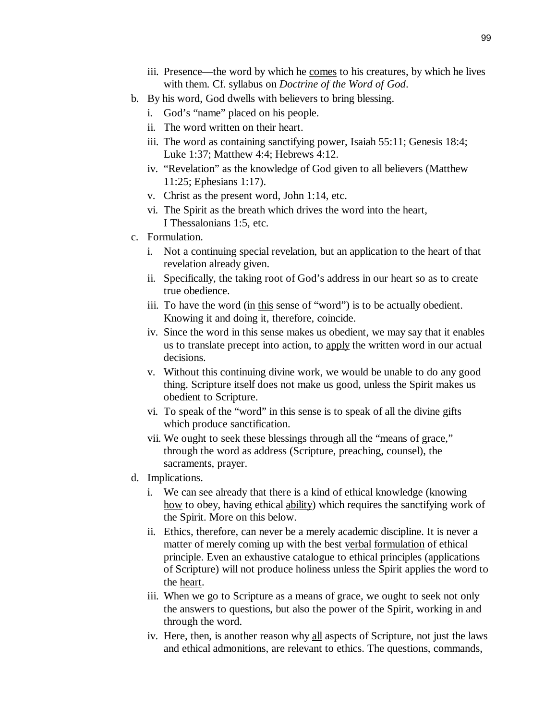- iii. Presence—the word by which he comes to his creatures, by which he lives with them. Cf. syllabus on *Doctrine of the Word of God*.
- b. By his word, God dwells with believers to bring blessing.
	- i. God's "name" placed on his people.
	- ii. The word written on their heart.
	- iii. The word as containing sanctifying power, Isaiah 55:11; Genesis 18:4; Luke 1:37; Matthew 4:4; Hebrews 4:12.
	- iv. "Revelation" as the knowledge of God given to all believers (Matthew 11:25; Ephesians 1:17).
	- v. Christ as the present word, John 1:14, etc.
	- vi. The Spirit as the breath which drives the word into the heart, I Thessalonians 1:5, etc.
- c. Formulation.
	- i. Not a continuing special revelation, but an application to the heart of that revelation already given.
	- ii. Specifically, the taking root of God's address in our heart so as to create true obedience.
	- iii. To have the word (in this sense of "word") is to be actually obedient. Knowing it and doing it, therefore, coincide.
	- iv. Since the word in this sense makes us obedient, we may say that it enables us to translate precept into action, to apply the written word in our actual decisions.
	- v. Without this continuing divine work, we would be unable to do any good thing. Scripture itself does not make us good, unless the Spirit makes us obedient to Scripture.
	- vi. To speak of the "word" in this sense is to speak of all the divine gifts which produce sanctification.
	- vii. We ought to seek these blessings through all the "means of grace," through the word as address (Scripture, preaching, counsel), the sacraments, prayer.
- d. Implications.
	- i. We can see already that there is a kind of ethical knowledge (knowing how to obey, having ethical ability) which requires the sanctifying work of the Spirit. More on this below.
	- ii. Ethics, therefore, can never be a merely academic discipline. It is never a matter of merely coming up with the best verbal formulation of ethical principle. Even an exhaustive catalogue to ethical principles (applications of Scripture) will not produce holiness unless the Spirit applies the word to the heart.
	- iii. When we go to Scripture as a means of grace, we ought to seek not only the answers to questions, but also the power of the Spirit, working in and through the word.
	- iv. Here, then, is another reason why all aspects of Scripture, not just the laws and ethical admonitions, are relevant to ethics. The questions, commands,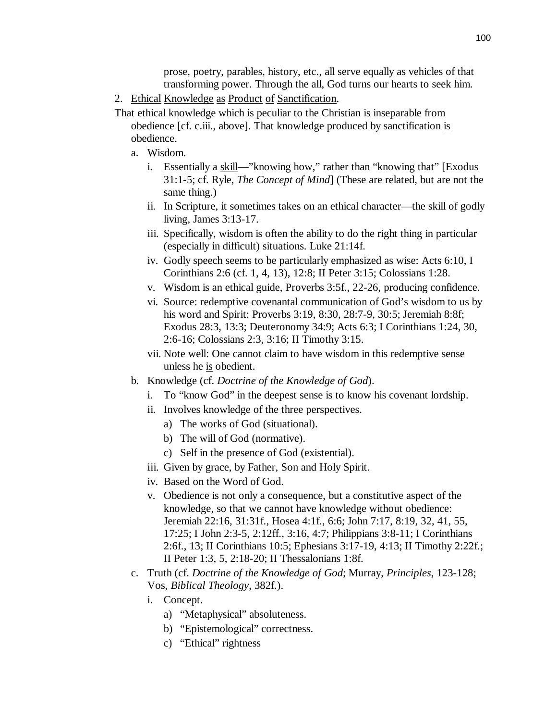prose, poetry, parables, history, etc., all serve equally as vehicles of that transforming power. Through the all, God turns our hearts to seek him.

2. Ethical Knowledge as Product of Sanctification.

That ethical knowledge which is peculiar to the Christian is inseparable from obedience [cf. c.iii., above]. That knowledge produced by sanctification is obedience.

- a. Wisdom.
	- i. Essentially a skill—"knowing how," rather than "knowing that" [Exodus 31:1-5; cf. Ryle, *The Concept of Mind*] (These are related, but are not the same thing.)
	- ii. In Scripture, it sometimes takes on an ethical character—the skill of godly living, James 3:13-17.
	- iii. Specifically, wisdom is often the ability to do the right thing in particular (especially in difficult) situations. Luke 21:14f.
	- iv. Godly speech seems to be particularly emphasized as wise: Acts 6:10, I Corinthians 2:6 (cf. 1, 4, 13), 12:8; II Peter 3:15; Colossians 1:28.
	- v. Wisdom is an ethical guide, Proverbs 3:5f., 22-26, producing confidence.
	- vi. Source: redemptive covenantal communication of God's wisdom to us by his word and Spirit: Proverbs 3:19, 8:30, 28:7-9, 30:5; Jeremiah 8:8f; Exodus 28:3, 13:3; Deuteronomy 34:9; Acts 6:3; I Corinthians 1:24, 30, 2:6-16; Colossians 2:3, 3:16; II Timothy 3:15.
	- vii. Note well: One cannot claim to have wisdom in this redemptive sense unless he is obedient.
- b. Knowledge (cf. *Doctrine of the Knowledge of God*).
	- i. To "know God" in the deepest sense is to know his covenant lordship.
	- ii. Involves knowledge of the three perspectives.
		- a) The works of God (situational).
		- b) The will of God (normative).
		- c) Self in the presence of God (existential).
	- iii. Given by grace, by Father, Son and Holy Spirit.
	- iv. Based on the Word of God.
	- v. Obedience is not only a consequence, but a constitutive aspect of the knowledge, so that we cannot have knowledge without obedience: Jeremiah 22:16, 31:31f., Hosea 4:1f., 6:6; John 7:17, 8:19, 32, 41, 55, 17:25; I John 2:3-5, 2:12ff., 3:16, 4:7; Philippians 3:8-11; I Corinthians 2:6f., 13; II Corinthians 10:5; Ephesians 3:17-19, 4:13; II Timothy 2:22f.; II Peter 1:3, 5, 2:18-20; II Thessalonians 1:8f.
- c. Truth (cf. *Doctrine of the Knowledge of God*; Murray, *Principles*, 123-128; Vos, *Biblical Theology*, 382f.).
	- i. Concept.
		- a) "Metaphysical" absoluteness.
		- b) "Epistemological" correctness.
		- c) "Ethical" rightness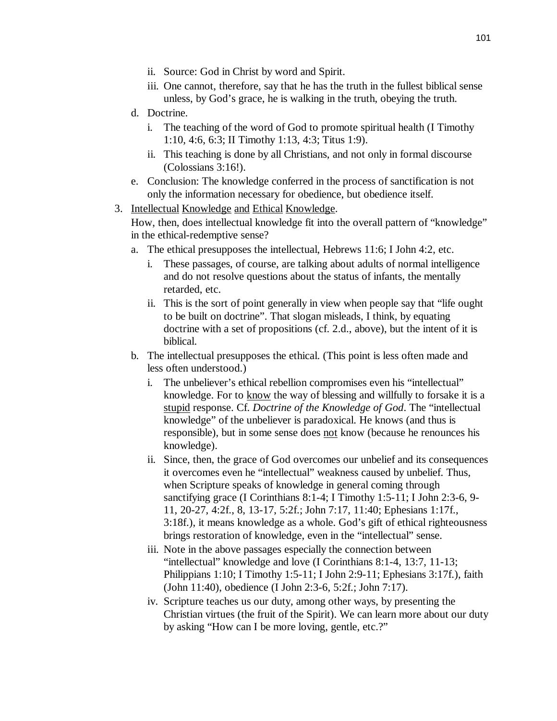- ii. Source: God in Christ by word and Spirit.
- iii. One cannot, therefore, say that he has the truth in the fullest biblical sense unless, by God's grace, he is walking in the truth, obeying the truth.
- d. Doctrine.
	- i. The teaching of the word of God to promote spiritual health (I Timothy 1:10, 4:6, 6:3; II Timothy 1:13, 4:3; Titus 1:9).
	- ii. This teaching is done by all Christians, and not only in formal discourse (Colossians 3:16!).
- e. Conclusion: The knowledge conferred in the process of sanctification is not only the information necessary for obedience, but obedience itself.

#### 3. Intellectual Knowledge and Ethical Knowledge.

How, then, does intellectual knowledge fit into the overall pattern of "knowledge" in the ethical-redemptive sense?

- a. The ethical presupposes the intellectual, Hebrews 11:6; I John 4:2, etc.
	- These passages, of course, are talking about adults of normal intelligence and do not resolve questions about the status of infants, the mentally retarded, etc.
	- ii. This is the sort of point generally in view when people say that "life ought to be built on doctrine". That slogan misleads, I think, by equating doctrine with a set of propositions (cf. 2.d., above), but the intent of it is biblical.
- b. The intellectual presupposes the ethical. (This point is less often made and less often understood.)
	- i. The unbeliever's ethical rebellion compromises even his "intellectual" knowledge. For to know the way of blessing and willfully to forsake it is a stupid response. Cf. *Doctrine of the Knowledge of God*. The "intellectual knowledge" of the unbeliever is paradoxical. He knows (and thus is responsible), but in some sense does <u>not</u> know (because he renounces his knowledge).
	- ii. Since, then, the grace of God overcomes our unbelief and its consequences it overcomes even he "intellectual" weakness caused by unbelief. Thus, when Scripture speaks of knowledge in general coming through sanctifying grace (I Corinthians 8:1-4; I Timothy 1:5-11; I John 2:3-6, 9- 11, 20-27, 4:2f., 8, 13-17, 5:2f.; John 7:17, 11:40; Ephesians 1:17f., 3:18f.), it means knowledge as a whole. God's gift of ethical righteousness brings restoration of knowledge, even in the "intellectual" sense.
	- iii. Note in the above passages especially the connection between "intellectual" knowledge and love (I Corinthians 8:1-4, 13:7, 11-13; Philippians 1:10; I Timothy 1:5-11; I John 2:9-11; Ephesians 3:17f.), faith (John 11:40), obedience (I John 2:3-6, 5:2f.; John 7:17).
	- iv. Scripture teaches us our duty, among other ways, by presenting the Christian virtues (the fruit of the Spirit). We can learn more about our duty by asking "How can I be more loving, gentle, etc.?"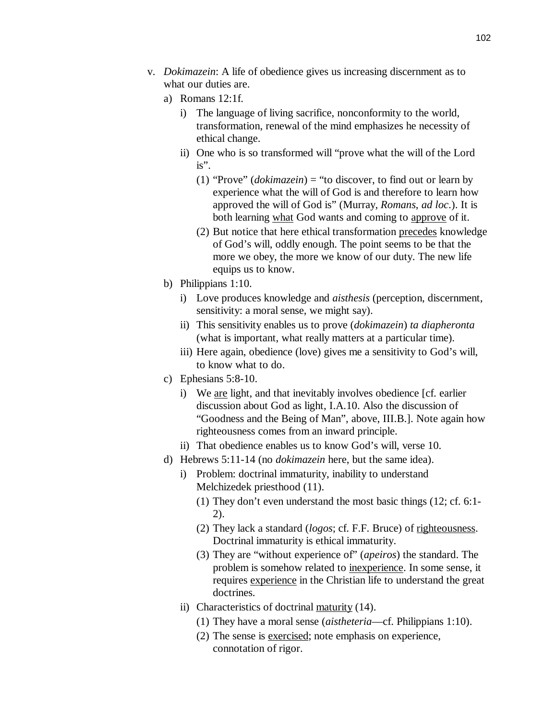- v. *Dokimazein*: A life of obedience gives us increasing discernment as to what our duties are.
	- a) Romans 12:1f.
		- i) The language of living sacrifice, nonconformity to the world, transformation, renewal of the mind emphasizes he necessity of ethical change.
		- ii) One who is so transformed will "prove what the will of the Lord is".
			- (1) "Prove" (*dokimazein*) = "to discover, to find out or learn by experience what the will of God is and therefore to learn how approved the will of God is" (Murray, *Romans*, *ad loc*.). It is both learning what God wants and coming to approve of it.
			- (2) But notice that here ethical transformation precedes knowledge of God's will, oddly enough. The point seems to be that the more we obey, the more we know of our duty. The new life equips us to know.
	- b) Philippians 1:10.
		- i) Love produces knowledge and *aisthesis* (perception, discernment, sensitivity: a moral sense, we might say).
		- ii) This sensitivity enables us to prove (*dokimazein*) *ta diapheronta* (what is important, what really matters at a particular time).
		- iii) Here again, obedience (love) gives me a sensitivity to God's will, to know what to do.
	- c) Ephesians 5:8-10.
		- i) We are light, and that inevitably involves obedience [cf. earlier discussion about God as light, I.A.10. Also the discussion of "Goodness and the Being of Man", above, III.B.]. Note again how righteousness comes from an inward principle.
		- ii) That obedience enables us to know God's will, verse 10.
	- d) Hebrews 5:11-14 (no *dokimazein* here, but the same idea).
		- i) Problem: doctrinal immaturity, inability to understand Melchizedek priesthood (11).
			- (1) They don't even understand the most basic things (12; cf. 6:1- 2).
			- (2) They lack a standard (*logos*; cf. F.F. Bruce) of righteousness. Doctrinal immaturity is ethical immaturity.
			- (3) They are "without experience of" (*apeiros*) the standard. The problem is somehow related to inexperience. In some sense, it requires experience in the Christian life to understand the great doctrines.
		- ii) Characteristics of doctrinal maturity (14).
			- (1) They have a moral sense (*aistheteria*—cf. Philippians 1:10).
			- (2) The sense is exercised; note emphasis on experience, connotation of rigor.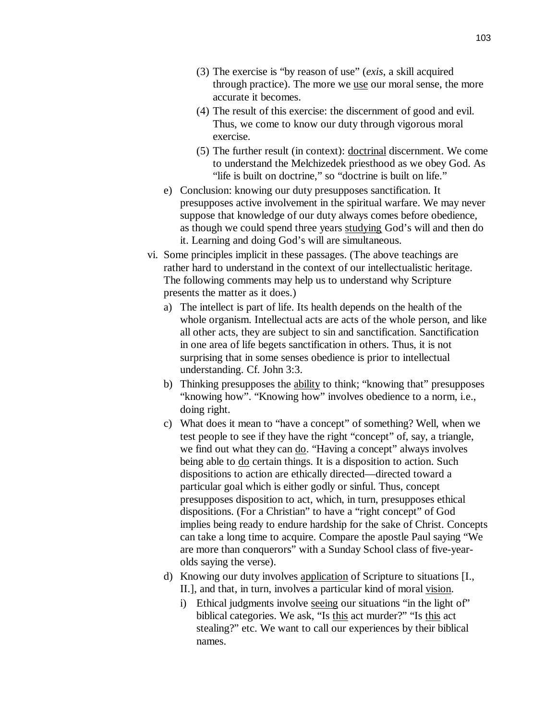- (3) The exercise is "by reason of use" (*exis*, a skill acquired through practice). The more we use our moral sense, the more accurate it becomes.
- (4) The result of this exercise: the discernment of good and evil. Thus, we come to know our duty through vigorous moral exercise.
- (5) The further result (in context): doctrinal discernment. We come to understand the Melchizedek priesthood as we obey God. As "life is built on doctrine," so "doctrine is built on life."
- e) Conclusion: knowing our duty presupposes sanctification. It presupposes active involvement in the spiritual warfare. We may never suppose that knowledge of our duty always comes before obedience, as though we could spend three years studying God's will and then do it. Learning and doing God's will are simultaneous.
- vi. Some principles implicit in these passages. (The above teachings are rather hard to understand in the context of our intellectualistic heritage. The following comments may help us to understand why Scripture presents the matter as it does.)
	- a) The intellect is part of life. Its health depends on the health of the whole organism. Intellectual acts are acts of the whole person, and like all other acts, they are subject to sin and sanctification. Sanctification in one area of life begets sanctification in others. Thus, it is not surprising that in some senses obedience is prior to intellectual understanding. Cf. John 3:3.
	- b) Thinking presupposes the ability to think; "knowing that" presupposes "knowing how". "Knowing how" involves obedience to a norm, i.e., doing right.
	- c) What does it mean to "have a concept" of something? Well, when we test people to see if they have the right "concept" of, say, a triangle, we find out what they can do. "Having a concept" always involves being able to do certain things. It is a disposition to action. Such dispositions to action are ethically directed—directed toward a particular goal which is either godly or sinful. Thus, concept presupposes disposition to act, which, in turn, presupposes ethical dispositions. (For a Christian" to have a "right concept" of God implies being ready to endure hardship for the sake of Christ. Concepts can take a long time to acquire. Compare the apostle Paul saying "We are more than conquerors" with a Sunday School class of five-yearolds saying the verse).
	- d) Knowing our duty involves application of Scripture to situations [I., II.], and that, in turn, involves a particular kind of moral vision.
		- i) Ethical judgments involve seeing our situations "in the light of" biblical categories. We ask, "Is this act murder?" "Is this act stealing?" etc. We want to call our experiences by their biblical names.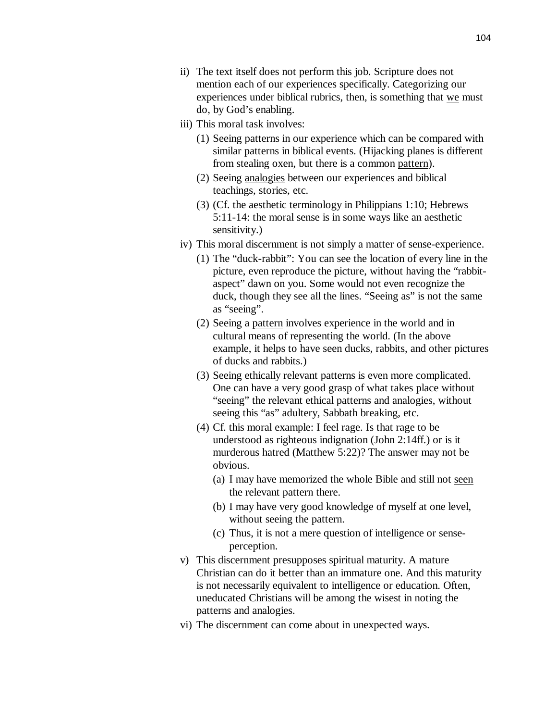- ii) The text itself does not perform this job. Scripture does not mention each of our experiences specifically. Categorizing our experiences under biblical rubrics, then, is something that we must do, by God's enabling.
- iii) This moral task involves:
	- (1) Seeing patterns in our experience which can be compared with similar patterns in biblical events. (Hijacking planes is different from stealing oxen, but there is a common pattern.
	- (2) Seeing analogies between our experiences and biblical teachings, stories, etc.
	- (3) (Cf. the aesthetic terminology in Philippians 1:10; Hebrews 5:11-14: the moral sense is in some ways like an aesthetic sensitivity.)
- iv) This moral discernment is not simply a matter of sense-experience.
	- (1) The "duck-rabbit": You can see the location of every line in the picture, even reproduce the picture, without having the "rabbitaspect" dawn on you. Some would not even recognize the duck, though they see all the lines. "Seeing as" is not the same as "seeing".
	- (2) Seeing a pattern involves experience in the world and in cultural means of representing the world. (In the above example, it helps to have seen ducks, rabbits, and other pictures of ducks and rabbits.)
	- (3) Seeing ethically relevant patterns is even more complicated. One can have a very good grasp of what takes place without "seeing" the relevant ethical patterns and analogies, without seeing this "as" adultery, Sabbath breaking, etc.
	- (4) Cf. this moral example: I feel rage. Is that rage to be understood as righteous indignation (John 2:14ff.) or is it murderous hatred (Matthew 5:22)? The answer may not be obvious.
		- (a) I may have memorized the whole Bible and still not seen the relevant pattern there.
		- (b) I may have very good knowledge of myself at one level, without seeing the pattern.
		- (c) Thus, it is not a mere question of intelligence or senseperception.
- v) This discernment presupposes spiritual maturity. A mature Christian can do it better than an immature one. And this maturity is not necessarily equivalent to intelligence or education. Often, uneducated Christians will be among the wisest in noting the patterns and analogies.
- vi) The discernment can come about in unexpected ways.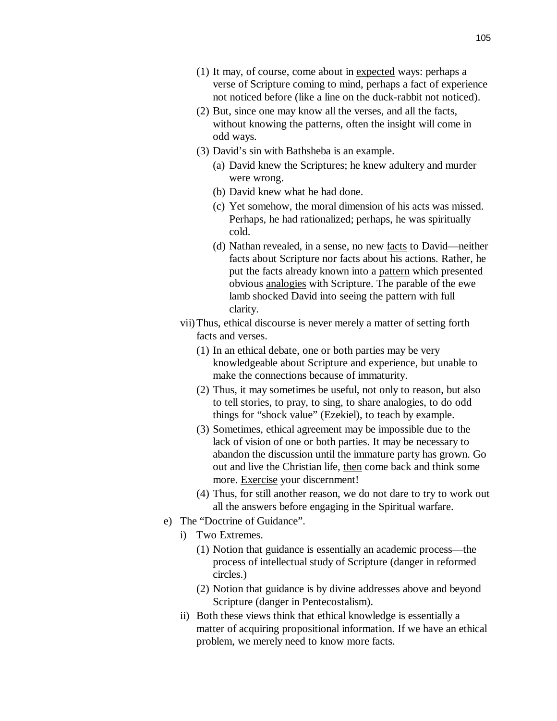- (1) It may, of course, come about in expected ways: perhaps a verse of Scripture coming to mind, perhaps a fact of experience not noticed before (like a line on the duck-rabbit not noticed).
- (2) But, since one may know all the verses, and all the facts, without knowing the patterns, often the insight will come in odd ways.
- (3) David's sin with Bathsheba is an example.
	- (a) David knew the Scriptures; he knew adultery and murder were wrong.
	- (b) David knew what he had done.
	- (c) Yet somehow, the moral dimension of his acts was missed. Perhaps, he had rationalized; perhaps, he was spiritually cold.
	- (d) Nathan revealed, in a sense, no new facts to David—neither facts about Scripture nor facts about his actions. Rather, he put the facts already known into a pattern which presented obvious analogies with Scripture. The parable of the ewe lamb shocked David into seeing the pattern with full clarity.
- vii) Thus, ethical discourse is never merely a matter of setting forth facts and verses.
	- (1) In an ethical debate, one or both parties may be very knowledgeable about Scripture and experience, but unable to make the connections because of immaturity.
	- (2) Thus, it may sometimes be useful, not only to reason, but also to tell stories, to pray, to sing, to share analogies, to do odd things for "shock value" (Ezekiel), to teach by example.
	- (3) Sometimes, ethical agreement may be impossible due to the lack of vision of one or both parties. It may be necessary to abandon the discussion until the immature party has grown. Go out and live the Christian life, then come back and think some more. Exercise your discernment!
	- (4) Thus, for still another reason, we do not dare to try to work out all the answers before engaging in the Spiritual warfare.
- e) The "Doctrine of Guidance".
	- i) Two Extremes.
		- (1) Notion that guidance is essentially an academic process—the process of intellectual study of Scripture (danger in reformed circles.)
		- (2) Notion that guidance is by divine addresses above and beyond Scripture (danger in Pentecostalism).
	- ii) Both these views think that ethical knowledge is essentially a matter of acquiring propositional information. If we have an ethical problem, we merely need to know more facts.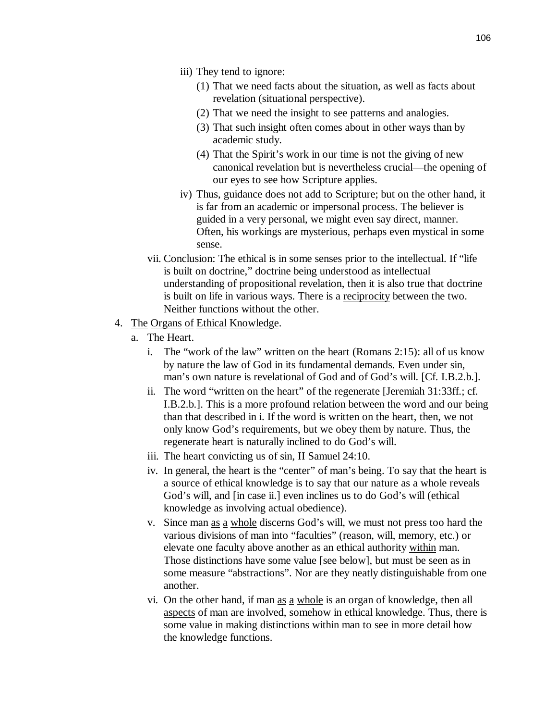- iii) They tend to ignore:
	- (1) That we need facts about the situation, as well as facts about revelation (situational perspective).
	- (2) That we need the insight to see patterns and analogies.
	- (3) That such insight often comes about in other ways than by academic study.
	- (4) That the Spirit's work in our time is not the giving of new canonical revelation but is nevertheless crucial—the opening of our eyes to see how Scripture applies.
- iv) Thus, guidance does not add to Scripture; but on the other hand, it is far from an academic or impersonal process. The believer is guided in a very personal, we might even say direct, manner. Often, his workings are mysterious, perhaps even mystical in some sense.
- vii. Conclusion: The ethical is in some senses prior to the intellectual. If "life is built on doctrine," doctrine being understood as intellectual understanding of propositional revelation, then it is also true that doctrine is built on life in various ways. There is a reciprocity between the two. Neither functions without the other.
- 4. The Organs of Ethical Knowledge.
	- a. The Heart.
		- i. The "work of the law" written on the heart (Romans 2:15): all of us know by nature the law of God in its fundamental demands. Even under sin, man's own nature is revelational of God and of God's will. [Cf. I.B.2.b.].
		- ii. The word "written on the heart" of the regenerate [Jeremiah 31:33ff.; cf. I.B.2.b.]. This is a more profound relation between the word and our being than that described in i. If the word is written on the heart, then, we not only know God's requirements, but we obey them by nature. Thus, the regenerate heart is naturally inclined to do God's will.
		- iii. The heart convicting us of sin, II Samuel 24:10.
		- iv. In general, the heart is the "center" of man's being. To say that the heart is a source of ethical knowledge is to say that our nature as a whole reveals God's will, and [in case ii.] even inclines us to do God's will (ethical knowledge as involving actual obedience).
		- v. Since man as a whole discerns God's will, we must not press too hard the various divisions of man into "faculties" (reason, will, memory, etc.) or elevate one faculty above another as an ethical authority within man. Those distinctions have some value [see below], but must be seen as in some measure "abstractions". Nor are they neatly distinguishable from one another.
		- vi. On the other hand, if man  $\underline{as} a \underline{w}$  whole is an organ of knowledge, then all aspects of man are involved, somehow in ethical knowledge. Thus, there is some value in making distinctions within man to see in more detail how the knowledge functions.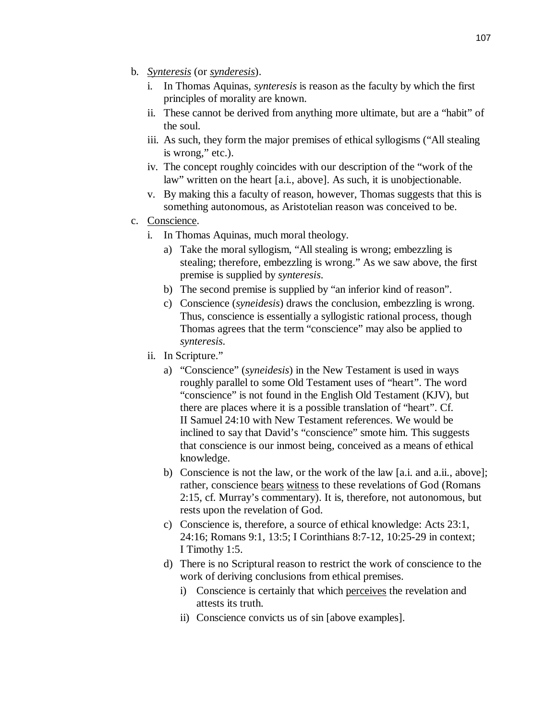- b. *Synteresis* (or *synderesis*).
	- i. In Thomas Aquinas, *synteresis* is reason as the faculty by which the first principles of morality are known.
	- ii. These cannot be derived from anything more ultimate, but are a "habit" of the soul.
	- iii. As such, they form the major premises of ethical syllogisms ("All stealing is wrong," etc.).
	- iv. The concept roughly coincides with our description of the "work of the law" written on the heart [a.i., above]. As such, it is unobjectionable.
	- v. By making this a faculty of reason, however, Thomas suggests that this is something autonomous, as Aristotelian reason was conceived to be.
- c. Conscience.
	- i. In Thomas Aquinas, much moral theology.
		- a) Take the moral syllogism, "All stealing is wrong; embezzling is stealing; therefore, embezzling is wrong." As we saw above, the first premise is supplied by *synteresis*.
		- b) The second premise is supplied by "an inferior kind of reason".
		- c) Conscience (*syneidesis*) draws the conclusion, embezzling is wrong. Thus, conscience is essentially a syllogistic rational process, though Thomas agrees that the term "conscience" may also be applied to *synteresis*.
	- ii. In Scripture."
		- a) "Conscience" (*syneidesis*) in the New Testament is used in ways roughly parallel to some Old Testament uses of "heart". The word "conscience" is not found in the English Old Testament (KJV), but there are places where it is a possible translation of "heart". Cf. II Samuel 24:10 with New Testament references. We would be inclined to say that David's "conscience" smote him. This suggests that conscience is our inmost being, conceived as a means of ethical knowledge.
		- b) Conscience is not the law, or the work of the law [a.i. and a.ii., above]; rather, conscience bears witness to these revelations of God (Romans 2:15, cf. Murray's commentary). It is, therefore, not autonomous, but rests upon the revelation of God.
		- c) Conscience is, therefore, a source of ethical knowledge: Acts 23:1, 24:16; Romans 9:1, 13:5; I Corinthians 8:7-12, 10:25-29 in context; I Timothy 1:5.
		- d) There is no Scriptural reason to restrict the work of conscience to the work of deriving conclusions from ethical premises.
			- i) Conscience is certainly that which perceives the revelation and attests its truth.
			- ii) Conscience convicts us of sin [above examples].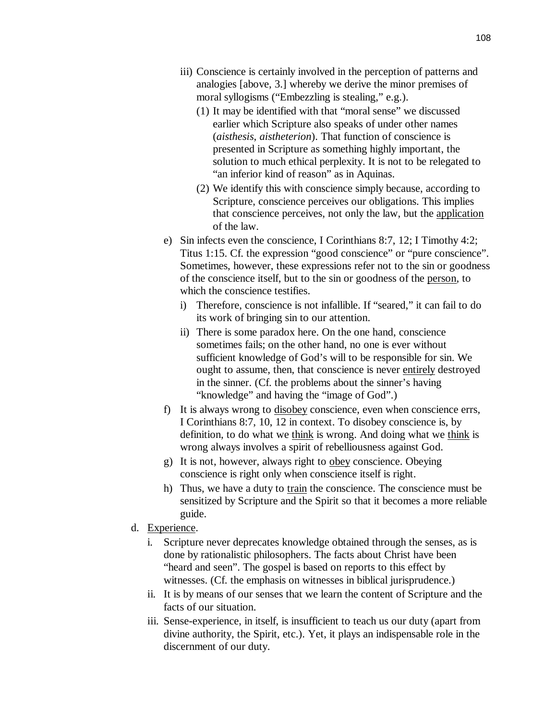- iii) Conscience is certainly involved in the perception of patterns and analogies [above, 3.] whereby we derive the minor premises of moral syllogisms ("Embezzling is stealing," e.g.).
	- (1) It may be identified with that "moral sense" we discussed earlier which Scripture also speaks of under other names (*aisthesis*, *aistheterion*). That function of conscience is presented in Scripture as something highly important, the solution to much ethical perplexity. It is not to be relegated to "an inferior kind of reason" as in Aquinas.
	- (2) We identify this with conscience simply because, according to Scripture, conscience perceives our obligations. This implies that conscience perceives, not only the law, but the application of the law.
- e) Sin infects even the conscience, I Corinthians 8:7, 12; I Timothy 4:2; Titus 1:15. Cf. the expression "good conscience" or "pure conscience". Sometimes, however, these expressions refer not to the sin or goodness of the conscience itself, but to the sin or goodness of the person, to which the conscience testifies.
	- i) Therefore, conscience is not infallible. If "seared," it can fail to do its work of bringing sin to our attention.
	- ii) There is some paradox here. On the one hand, conscience sometimes fails; on the other hand, no one is ever without sufficient knowledge of God's will to be responsible for sin. We ought to assume, then, that conscience is never entirely destroyed in the sinner. (Cf. the problems about the sinner's having "knowledge" and having the "image of God".)
- f) It is always wrong to disobey conscience, even when conscience errs, I Corinthians 8:7, 10, 12 in context. To disobey conscience is, by definition, to do what we think is wrong. And doing what we think is wrong always involves a spirit of rebelliousness against God.
- g) It is not, however, always right to obey conscience. Obeying conscience is right only when conscience itself is right.
- h) Thus, we have a duty to train the conscience. The conscience must be sensitized by Scripture and the Spirit so that it becomes a more reliable guide.
- d. Experience.
	- i. Scripture never deprecates knowledge obtained through the senses, as is done by rationalistic philosophers. The facts about Christ have been "heard and seen". The gospel is based on reports to this effect by witnesses. (Cf. the emphasis on witnesses in biblical jurisprudence.)
	- ii. It is by means of our senses that we learn the content of Scripture and the facts of our situation.
	- iii. Sense-experience, in itself, is insufficient to teach us our duty (apart from divine authority, the Spirit, etc.). Yet, it plays an indispensable role in the discernment of our duty.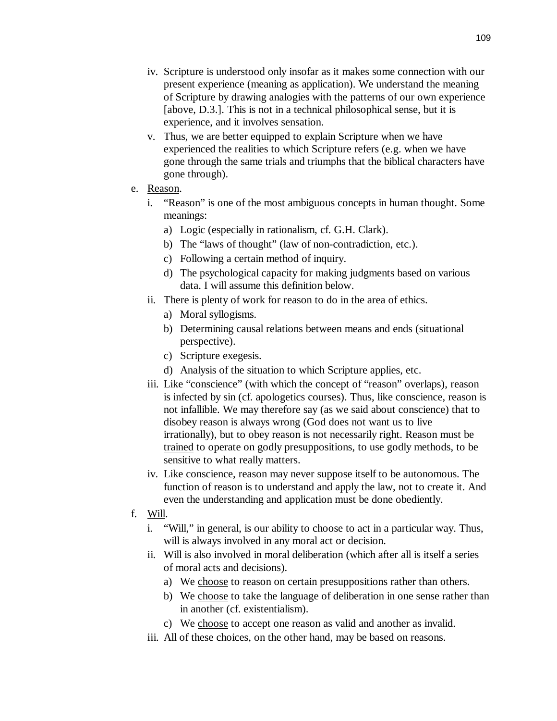- iv. Scripture is understood only insofar as it makes some connection with our present experience (meaning as application). We understand the meaning of Scripture by drawing analogies with the patterns of our own experience [above, D.3.]. This is not in a technical philosophical sense, but it is experience, and it involves sensation.
- v. Thus, we are better equipped to explain Scripture when we have experienced the realities to which Scripture refers (e.g. when we have gone through the same trials and triumphs that the biblical characters have gone through).
- e. Reason.
	- i. "Reason" is one of the most ambiguous concepts in human thought. Some meanings:
		- a) Logic (especially in rationalism, cf. G.H. Clark).
		- b) The "laws of thought" (law of non-contradiction, etc.).
		- c) Following a certain method of inquiry.
		- d) The psychological capacity for making judgments based on various data. I will assume this definition below.
	- ii. There is plenty of work for reason to do in the area of ethics.
		- a) Moral syllogisms.
		- b) Determining causal relations between means and ends (situational perspective).
		- c) Scripture exegesis.
		- d) Analysis of the situation to which Scripture applies, etc.
	- iii. Like "conscience" (with which the concept of "reason" overlaps), reason is infected by sin (cf. apologetics courses). Thus, like conscience, reason is not infallible. We may therefore say (as we said about conscience) that to disobey reason is always wrong (God does not want us to live irrationally), but to obey reason is not necessarily right. Reason must be trained to operate on godly presuppositions, to use godly methods, to be sensitive to what really matters.
	- iv. Like conscience, reason may never suppose itself to be autonomous. The function of reason is to understand and apply the law, not to create it. And even the understanding and application must be done obediently.
- f. Will.
	- i. "Will," in general, is our ability to choose to act in a particular way. Thus, will is always involved in any moral act or decision.
	- ii. Will is also involved in moral deliberation (which after all is itself a series of moral acts and decisions).
		- a) We choose to reason on certain presuppositions rather than others.
		- b) We choose to take the language of deliberation in one sense rather than in another (cf. existentialism).
		- c) We choose to accept one reason as valid and another as invalid.
	- iii. All of these choices, on the other hand, may be based on reasons.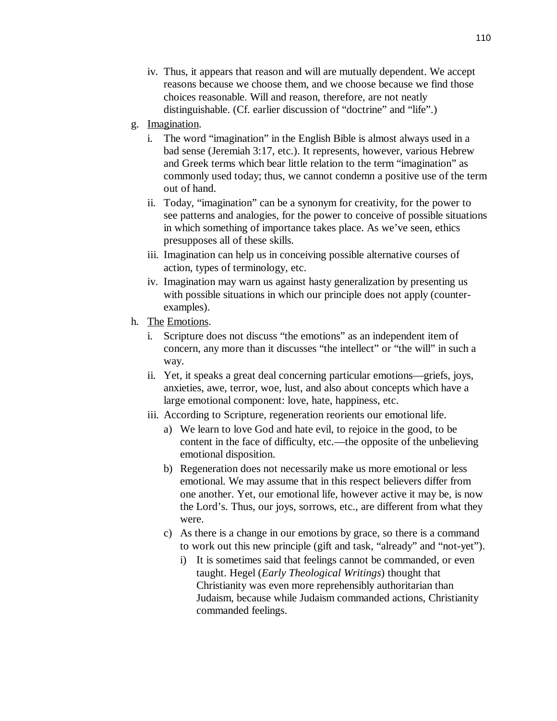- iv. Thus, it appears that reason and will are mutually dependent. We accept reasons because we choose them, and we choose because we find those choices reasonable. Will and reason, therefore, are not neatly distinguishable. (Cf. earlier discussion of "doctrine" and "life".)
- g. Imagination.
	- i. The word "imagination" in the English Bible is almost always used in a bad sense (Jeremiah 3:17, etc.). It represents, however, various Hebrew and Greek terms which bear little relation to the term "imagination" as commonly used today; thus, we cannot condemn a positive use of the term out of hand.
	- ii. Today, "imagination" can be a synonym for creativity, for the power to see patterns and analogies, for the power to conceive of possible situations in which something of importance takes place. As we've seen, ethics presupposes all of these skills.
	- iii. Imagination can help us in conceiving possible alternative courses of action, types of terminology, etc.
	- iv. Imagination may warn us against hasty generalization by presenting us with possible situations in which our principle does not apply (counterexamples).
- h. The Emotions.
	- i. Scripture does not discuss "the emotions" as an independent item of concern, any more than it discusses "the intellect" or "the will" in such a way.
	- ii. Yet, it speaks a great deal concerning particular emotions—griefs, joys, anxieties, awe, terror, woe, lust, and also about concepts which have a large emotional component: love, hate, happiness, etc.
	- iii. According to Scripture, regeneration reorients our emotional life.
		- a) We learn to love God and hate evil, to rejoice in the good, to be content in the face of difficulty, etc.—the opposite of the unbelieving emotional disposition.
		- b) Regeneration does not necessarily make us more emotional or less emotional. We may assume that in this respect believers differ from one another. Yet, our emotional life, however active it may be, is now the Lord's. Thus, our joys, sorrows, etc., are different from what they were.
		- c) As there is a change in our emotions by grace, so there is a command to work out this new principle (gift and task, "already" and "not-yet").
			- i) It is sometimes said that feelings cannot be commanded, or even taught. Hegel (*Early Theological Writings*) thought that Christianity was even more reprehensibly authoritarian than Judaism, because while Judaism commanded actions, Christianity commanded feelings.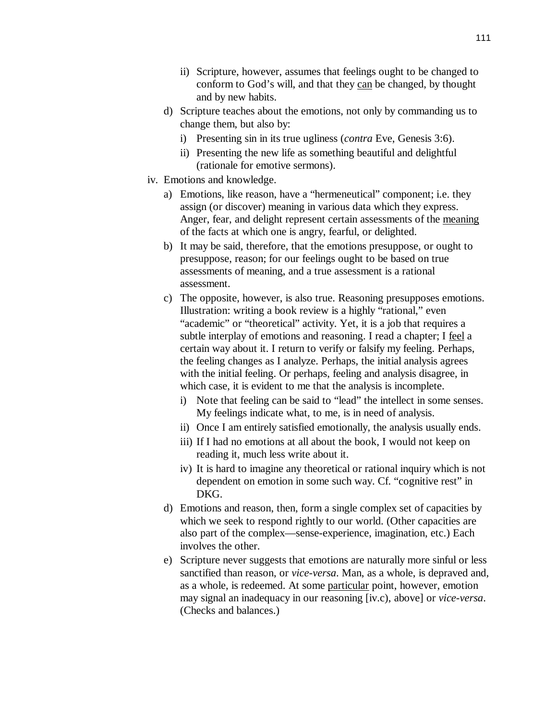- ii) Scripture, however, assumes that feelings ought to be changed to conform to God's will, and that they can be changed, by thought and by new habits.
- d) Scripture teaches about the emotions, not only by commanding us to change them, but also by:
	- i) Presenting sin in its true ugliness (*contra* Eve, Genesis 3:6).
	- ii) Presenting the new life as something beautiful and delightful (rationale for emotive sermons).
- iv. Emotions and knowledge.
	- a) Emotions, like reason, have a "hermeneutical" component; i.e. they assign (or discover) meaning in various data which they express. Anger, fear, and delight represent certain assessments of the meaning of the facts at which one is angry, fearful, or delighted.
	- b) It may be said, therefore, that the emotions presuppose, or ought to presuppose, reason; for our feelings ought to be based on true assessments of meaning, and a true assessment is a rational assessment.
	- c) The opposite, however, is also true. Reasoning presupposes emotions. Illustration: writing a book review is a highly "rational," even "academic" or "theoretical" activity. Yet, it is a job that requires a subtle interplay of emotions and reasoning. I read a chapter; I feel a certain way about it. I return to verify or falsify my feeling. Perhaps, the feeling changes as I analyze. Perhaps, the initial analysis agrees with the initial feeling. Or perhaps, feeling and analysis disagree, in which case, it is evident to me that the analysis is incomplete.
		- i) Note that feeling can be said to "lead" the intellect in some senses. My feelings indicate what, to me, is in need of analysis.
		- ii) Once I am entirely satisfied emotionally, the analysis usually ends.
		- iii) If I had no emotions at all about the book, I would not keep on reading it, much less write about it.
		- iv) It is hard to imagine any theoretical or rational inquiry which is not dependent on emotion in some such way. Cf. "cognitive rest" in DKG.
	- d) Emotions and reason, then, form a single complex set of capacities by which we seek to respond rightly to our world. (Other capacities are also part of the complex—sense-experience, imagination, etc.) Each involves the other.
	- e) Scripture never suggests that emotions are naturally more sinful or less sanctified than reason, or *vice-versa*. Man, as a whole, is depraved and, as a whole, is redeemed. At some particular point, however, emotion may signal an inadequacy in our reasoning [iv.c), above] or *vice-versa*. (Checks and balances.)